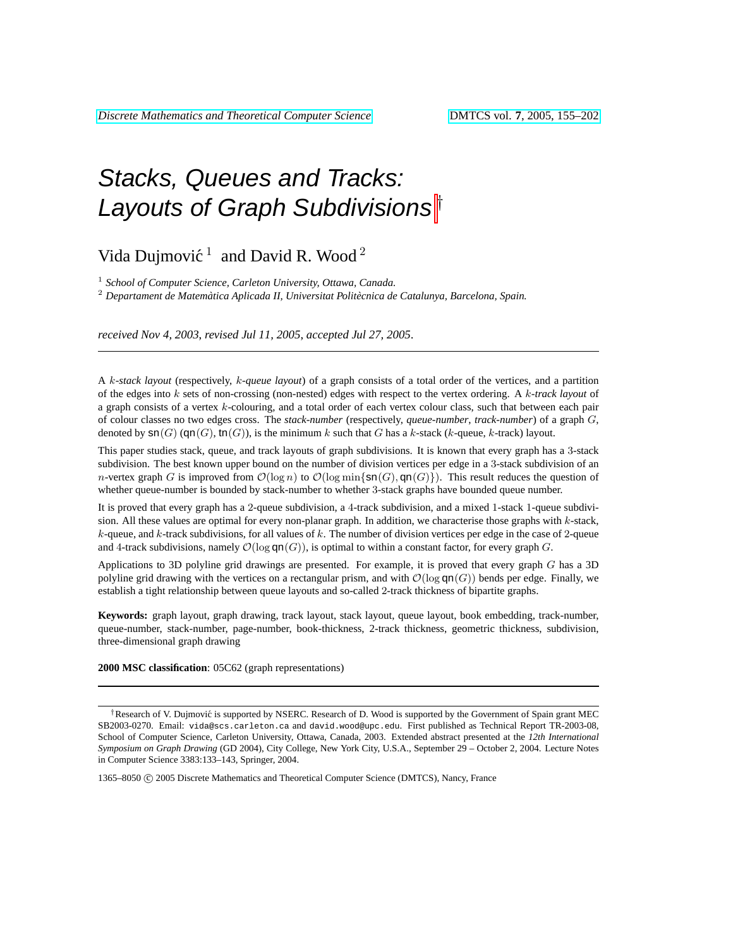# Stacks, Queues and Tracks: Layouts of Graph Subdivisions<sup>†</sup>

## Vida Dujmović<sup>1</sup> and David R. Wood<sup>2</sup>

<sup>1</sup> School of Computer Science, Carleton University, Ottawa, Canada.

<sup>2</sup> *Departament de Matematica Aplicada II, Universitat Polit ` ecnica de Catalunya, Barcelona, Spain. `*

*received Nov 4, 2003*, *revised Jul 11, 2005*, *accepted Jul 27, 2005*.

A k*-stack layout* (respectively, k*-queue layout*) of a graph consists of a total order of the vertices, and a partition of the edges into k sets of non-crossing (non-nested) edges with respect to the vertex ordering. A k*-track layout* of a graph consists of a vertex  $k$ -colouring, and a total order of each vertex colour class, such that between each pair of colour classes no two edges cross. The *stack-number* (respectively, *queue-number*, *track-number*) of a graph G, denoted by  $\text{sn}(G)$  (qn(G), tn(G)), is the minimum k such that G has a k-stack (k-queue, k-track) layout.

This paper studies stack, queue, and track layouts of graph subdivisions. It is known that every graph has a 3-stack subdivision. The best known upper bound on the number of division vertices per edge in a 3-stack subdivision of an *n*-vertex graph G is improved from  $\mathcal{O}(\log n)$  to  $\mathcal{O}(\log \min\{\text{sn}(G), \text{gn}(G)\})$ . This result reduces the question of whether queue-number is bounded by stack-number to whether 3-stack graphs have bounded queue number.

It is proved that every graph has a 2-queue subdivision, a 4-track subdivision, and a mixed 1-stack 1-queue subdivision. All these values are optimal for every non-planar graph. In addition, we characterise those graphs with k-stack,  $k$ -queue, and  $k$ -track subdivisions, for all values of  $k$ . The number of division vertices per edge in the case of 2-queue and 4-track subdivisions, namely  $\mathcal{O}(\log \textsf{qn}(G))$ , is optimal to within a constant factor, for every graph G.

Applications to 3D polyline grid drawings are presented. For example, it is proved that every graph G has a 3D polyline grid drawing with the vertices on a rectangular prism, and with  $\mathcal{O}(\log qn(G))$  bends per edge. Finally, we establish a tight relationship between queue layouts and so-called 2-track thickness of bipartite graphs.

**Keywords:** graph layout, graph drawing, track layout, stack layout, queue layout, book embedding, track-number, queue-number, stack-number, page-number, book-thickness, 2-track thickness, geometric thickness, subdivision, three-dimensional graph drawing

#### **2000 MSC classification**: 05C62 (graph representations)

<sup>†</sup>Research of V. Dujmović is supported by NSERC. Research of D. Wood is supported by the Government of Spain grant MEC SB2003-0270. Email: vida@scs.carleton.ca and david.wood@upc.edu. First published as Technical Report TR-2003-08, School of Computer Science, Carleton University, Ottawa, Canada, 2003. Extended abstract presented at the *12th International Symposium on Graph Drawing* (GD 2004), City College, New York City, U.S.A., September 29 – October 2, 2004. Lecture Notes in Computer Science 3383:133–143, Springer, 2004.

1365–8050 ( $\degree$ ) 2005 Discrete Mathematics and Theoretical Computer Science (DMTCS), Nancy, France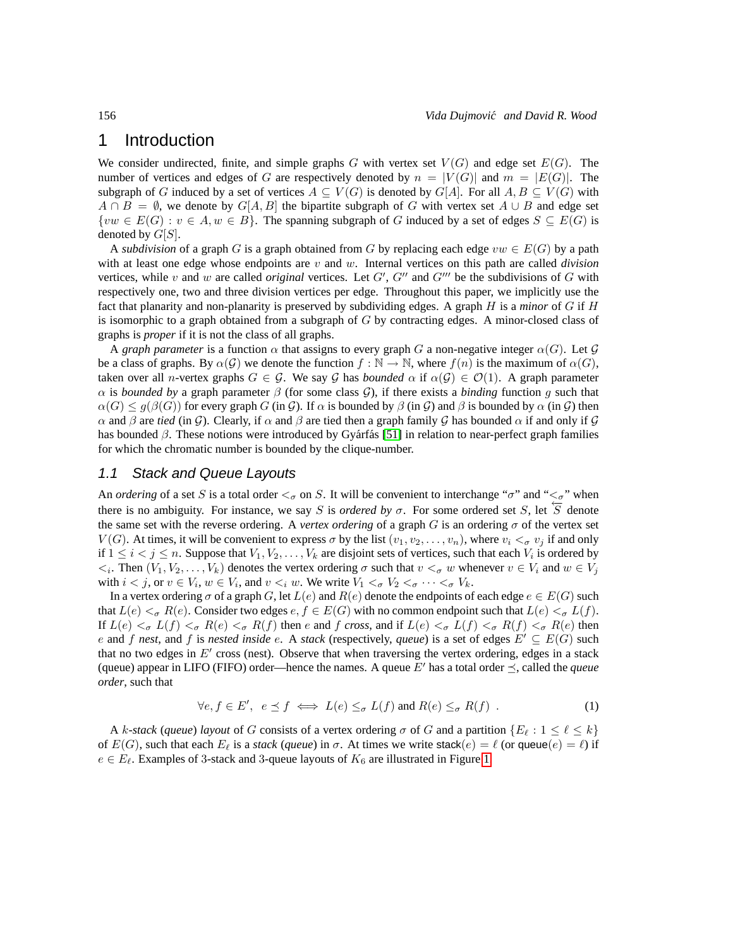### <span id="page-1-1"></span>1 Introduction

We consider undirected, finite, and simple graphs G with vertex set  $V(G)$  and edge set  $E(G)$ . The number of vertices and edges of G are respectively denoted by  $n = |V(G)|$  and  $m = |E(G)|$ . The subgraph of G induced by a set of vertices  $A \subseteq V(G)$  is denoted by  $G[A]$ . For all  $A, B \subseteq V(G)$  with  $A \cap B = \emptyset$ , we denote by  $G[A, B]$  the bipartite subgraph of G with vertex set  $A \cup B$  and edge set  $\{vw \in E(G): v \in A, w \in B\}$ . The spanning subgraph of G induced by a set of edges  $S \subseteq E(G)$  is denoted by  $G[S]$ .

A *subdivision* of a graph G is a graph obtained from G by replacing each edge  $vw \in E(G)$  by a path with at least one edge whose endpoints are v and w. Internal vertices on this path are called *division* vertices, while v and w are called *original* vertices. Let  $G'$ ,  $G''$  and  $G'''$  be the subdivisions of G with respectively one, two and three division vertices per edge. Throughout this paper, we implicitly use the fact that planarity and non-planarity is preserved by subdividing edges. A graph H is a *minor* of G if H is isomorphic to a graph obtained from a subgraph of  $G$  by contracting edges. A minor-closed class of graphs is *proper* if it is not the class of all graphs.

A *graph parameter* is a function  $\alpha$  that assigns to every graph G a non-negative integer  $\alpha(G)$ . Let G be a class of graphs. By  $\alpha(G)$  we denote the function  $f : \mathbb{N} \to \mathbb{N}$ , where  $f(n)$  is the maximum of  $\alpha(G)$ , taken over all *n*-vertex graphs  $G \in \mathcal{G}$ . We say  $\mathcal{G}$  has *bounded*  $\alpha$  if  $\alpha(\mathcal{G}) \in \mathcal{O}(1)$ . A graph parameter  $\alpha$  is *bounded by* a graph parameter  $\beta$  (for some class  $\mathcal{G}$ ), if there exists a *binding* function g such that  $\alpha(G) \leq g(\beta(G))$  for every graph G (in G). If  $\alpha$  is bounded by  $\beta$  (in G) and  $\beta$  is bounded by  $\alpha$  (in G) then  $\alpha$  and  $\beta$  are *tied* (in G). Clearly, if  $\alpha$  and  $\beta$  are tied then a graph family G has bounded  $\alpha$  if and only if G has bounded  $\beta$ . These notions were introduced by Gyárfás [\[51\]](#page-43-0) in relation to near-perfect graph families for which the chromatic number is bounded by the clique-number.

#### 1.1 Stack and Queue Layouts

An *ordering* of a set S is a total order  $\lt_{\sigma}$  on S. It will be convenient to interchange " $\sigma$ " and " $\lt_{\sigma}$ " when there is no ambiguity. For instance, we say S is *ordered by*  $\sigma$ . For some ordered set S, let  $\overleftarrow{S}$  denote the same set with the reverse ordering. A *vertex ordering* of a graph G is an ordering  $\sigma$  of the vertex set  $V(G)$ . At times, it will be convenient to express  $\sigma$  by the list  $(v_1, v_2, \ldots, v_n)$ , where  $v_i < \sigma v_j$  if and only if  $1 \leq i < j \leq n$ . Suppose that  $V_1, V_2, \ldots, V_k$  are disjoint sets of vertices, such that each  $V_i$  is ordered by  $\langle i, \text{Then } (V_1, V_2, \dots, V_k) \rangle$  denotes the vertex ordering  $\sigma$  such that  $v \leq \sigma w$  whenever  $v \in V_i$  and  $w \in V_j$ with  $i < j$ , or  $v \in V_i$ ,  $w \in V_i$ , and  $v < i$  w. We write  $V_1 <_{\sigma} V_2 <_{\sigma} \cdots <_{\sigma} V_k$ .

In a vertex ordering  $\sigma$  of a graph G, let  $L(e)$  and  $R(e)$  denote the endpoints of each edge  $e \in E(G)$  such that  $L(e) <_{\sigma} R(e)$ . Consider two edges  $e, f \in E(G)$  with no common endpoint such that  $L(e) <_{\sigma} L(f)$ . If  $L(e) <_{\sigma} L(f) <_{\sigma} R(e) <_{\sigma} R(f)$  then e and f *cross*, and if  $L(e) <_{\sigma} L(f) <_{\sigma} R(f) <_{\sigma} R(e)$  then e and f nest, and f is nested inside e. A *stack* (respectively, *queue*) is a set of edges  $E' \subseteq E(G)$  such that no two edges in  $E'$  cross (nest). Observe that when traversing the vertex ordering, edges in a stack (queue) appear in LIFO (FIFO) order—hence the names. A queue  $E'$  has a total order  $\preceq$ , called the *queue order*, such that

<span id="page-1-0"></span>
$$
\forall e, f \in E', \ e \preceq f \iff L(e) \leq_{\sigma} L(f) \text{ and } R(e) \leq_{\sigma} R(f) \ .
$$
 (1)

A k-stack (queue) *layout* of G consists of a vertex ordering  $\sigma$  of G and a partition  $\{E_\ell : 1 \leq \ell \leq k\}$ of  $E(G)$ , such that each  $E_{\ell}$  is a *stack* (*queue*) in  $\sigma$ . At times we write stack( $e$ ) =  $\ell$  (or queue $(e) = \ell$ ) if  $e \in E_{\ell}$ . Examples of 3-stack and 3-queue layouts of  $K_6$  are illustrated in Figure [1.](#page-2-0)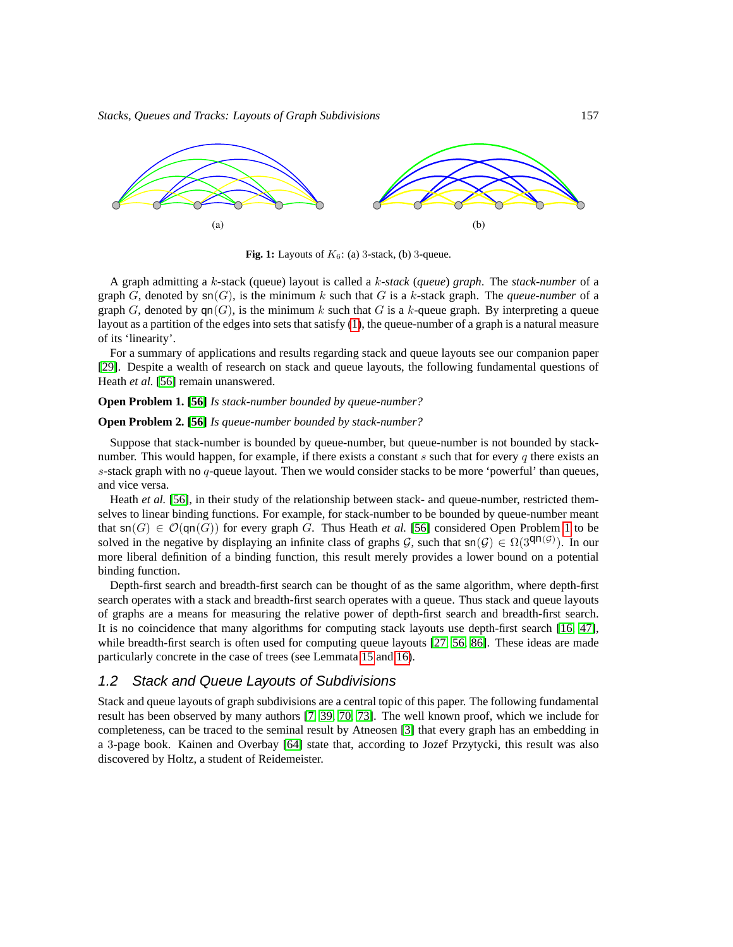

<span id="page-2-0"></span>**Fig. 1:** Layouts of  $K_6$ : (a) 3-stack, (b) 3-queue.

A graph admitting a k-stack (queue) layout is called a k-*stack* (*queue*) *graph*. The *stack-number* of a graph  $G$ , denoted by  $\text{sn}(G)$ , is the minimum k such that G is a k-stack graph. The *queue-number* of a graph G, denoted by  $qn(G)$ , is the minimum k such that G is a k-queue graph. By interpreting a queue layout as a partition of the edges into sets that satisfy [\(1\)](#page-1-0), the queue-number of a graph is a natural measure of its 'linearity'.

For a summary of applications and results regarding stack and queue layouts see our companion paper [\[29\]](#page-42-0). Despite a wealth of research on stack and queue layouts, the following fundamental questions of Heath *et al.* [\[56\]](#page-43-1) remain unanswered.

#### <span id="page-2-1"></span>**Open Problem 1. [\[56\]](#page-43-1)** *Is stack-number bounded by queue-number?*

#### <span id="page-2-3"></span>**Open Problem 2. [\[56\]](#page-43-1)** *Is queue-number bounded by stack-number?*

Suppose that stack-number is bounded by queue-number, but queue-number is not bounded by stacknumber. This would happen, for example, if there exists a constant s such that for every q there exists an s-stack graph with no  $q$ -queue layout. Then we would consider stacks to be more 'powerful' than queues, and vice versa.

Heath *et al.* [\[56\]](#page-43-1), in their study of the relationship between stack- and queue-number, restricted themselves to linear binding functions. For example, for stack-number to be bounded by queue-number meant that  $\text{sn}(G) \in \mathcal{O}(\text{gn}(G))$  for every graph G. Thus Heath *et al.* [\[56\]](#page-43-1) considered Open Problem [1](#page-2-1) to be solved in the negative by displaying an infinite class of graphs  $G$ , such that  $\text{sn}(G) \in \Omega(3^{\text{qn}}(G))$ . In our more liberal definition of a binding function, this result merely provides a lower bound on a potential binding function.

Depth-first search and breadth-first search can be thought of as the same algorithm, where depth-first search operates with a stack and breadth-first search operates with a queue. Thus stack and queue layouts of graphs are a means for measuring the relative power of depth-first search and breadth-first search. It is no coincidence that many algorithms for computing stack layouts use depth-first search [\[16,](#page-41-0) [47\]](#page-43-2), while breadth-first search is often used for computing queue layouts [\[27,](#page-41-1) [56,](#page-43-1) [86\]](#page-45-0). These ideas are made particularly concrete in the case of trees (see Lemmata [15](#page-14-0) and [16\)](#page-14-1).

#### 1.2 Stack and Queue Layouts of Subdivisions

<span id="page-2-2"></span>Stack and queue layouts of graph subdivisions are a central topic of this paper. The following fundamental result has been observed by many authors [\[7,](#page-40-0) [39,](#page-42-1) [70,](#page-44-0) [73\]](#page-44-1). The well known proof, which we include for completeness, can be traced to the seminal result by Atneosen [\[3\]](#page-40-1) that every graph has an embedding in a 3-page book. Kainen and Overbay [\[64\]](#page-44-2) state that, according to Jozef Przytycki, this result was also discovered by Holtz, a student of Reidemeister.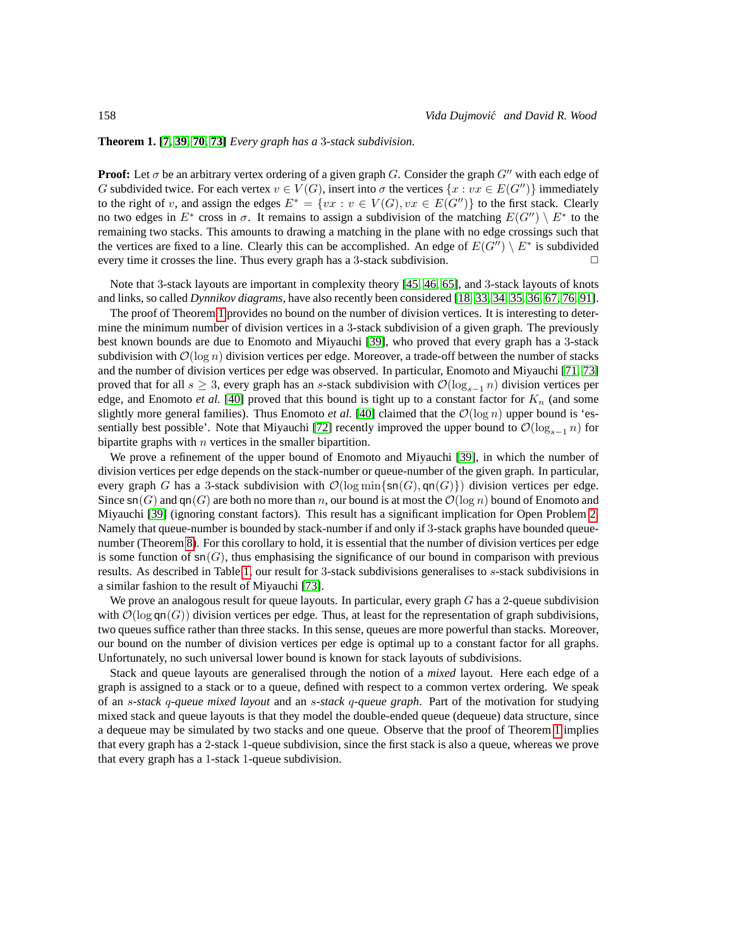#### **Theorem 1. [\[7,](#page-40-0) [39,](#page-42-1) [70,](#page-44-0) [73\]](#page-44-1)** *Every graph has a* 3*-stack subdivision.*

**Proof:** Let  $\sigma$  be an arbitrary vertex ordering of a given graph  $G$ . Consider the graph  $G''$  with each edge of G subdivided twice. For each vertex  $v \in V(G)$ , insert into  $\sigma$  the vertices  $\{x : vx \in E(G'')\}$  immediately to the right of v, and assign the edges  $E^* = \{vx : v \in V(G), vx \in E(G'')\}$  to the first stack. Clearly no two edges in  $E^*$  cross in  $\sigma$ . It remains to assign a subdivision of the matching  $E(G'') \setminus E^*$  to the remaining two stacks. This amounts to drawing a matching in the plane with no edge crossings such that the vertices are fixed to a line. Clearly this can be accomplished. An edge of  $E(G'') \setminus E^*$  is subdivided every time it crosses the line. Thus every graph has a 3-stack subdivision.  $\Box$ 

Note that 3-stack layouts are important in complexity theory [\[45,](#page-43-3) [46,](#page-43-4) [65\]](#page-44-3), and 3-stack layouts of knots and links, so called *Dynnikov diagrams*, have also recently been considered [\[18,](#page-41-2) [33,](#page-42-2) [34,](#page-42-3) [35,](#page-42-4) [36,](#page-42-5) [67,](#page-44-4) [76,](#page-45-1) [91\]](#page-46-0).

The proof of Theorem [1](#page-2-2) provides no bound on the number of division vertices. It is interesting to determine the minimum number of division vertices in a 3-stack subdivision of a given graph. The previously best known bounds are due to Enomoto and Miyauchi [\[39\]](#page-42-1), who proved that every graph has a 3-stack subdivision with  $\mathcal{O}(\log n)$  division vertices per edge. Moreover, a trade-off between the number of stacks and the number of division vertices per edge was observed. In particular, Enomoto and Miyauchi [\[71,](#page-44-5) [73\]](#page-44-1) proved that for all  $s \geq 3$ , every graph has an s-stack subdivision with  $\mathcal{O}(\log_{s-1} n)$  division vertices per edge, and Enomoto *et al.* [\[40\]](#page-42-6) proved that this bound is tight up to a constant factor for  $K_n$  (and some slightly more general families). Thus Enomoto *et al.* [\[40\]](#page-42-6) claimed that the  $\mathcal{O}(\log n)$  upper bound is 'es-sentially best possible'. Note that Miyauchi [\[72\]](#page-44-6) recently improved the upper bound to  $\mathcal{O}(\log_{s-1} n)$  for bipartite graphs with  $n$  vertices in the smaller bipartition.

We prove a refinement of the upper bound of Enomoto and Miyauchi [\[39\]](#page-42-1), in which the number of division vertices per edge depends on the stack-number or queue-number of the given graph. In particular, every graph G has a 3-stack subdivision with  $\mathcal{O}(\log \min\{\text{sn}(G), \text{qn}(G)\})$  division vertices per edge. Since  $\text{sn}(G)$  and  $\text{qn}(G)$  are both no more than n, our bound is at most the  $\mathcal{O}(\log n)$  bound of Enomoto and Miyauchi [\[39\]](#page-42-1) (ignoring constant factors). This result has a significant implication for Open Problem [2.](#page-2-3) Namely that queue-number is bounded by stack-number if and only if 3-stack graphs have bounded queuenumber (Theorem [8\)](#page-26-0). For this corollary to hold, it is essential that the number of division vertices per edge is some function of  $\text{sn}(G)$ , thus emphasising the significance of our bound in comparison with previous results. As described in Table [1,](#page-4-0) our result for 3-stack subdivisions generalises to s-stack subdivisions in a similar fashion to the result of Miyauchi [\[73\]](#page-44-1).

We prove an analogous result for queue layouts. In particular, every graph  $G$  has a 2-queue subdivision with  $\mathcal{O}(\log \textsf{qn}(G))$  division vertices per edge. Thus, at least for the representation of graph subdivisions, two queues suffice rather than three stacks. In this sense, queues are more powerful than stacks. Moreover, our bound on the number of division vertices per edge is optimal up to a constant factor for all graphs. Unfortunately, no such universal lower bound is known for stack layouts of subdivisions.

Stack and queue layouts are generalised through the notion of a *mixed* layout. Here each edge of a graph is assigned to a stack or to a queue, defined with respect to a common vertex ordering. We speak of an s*-stack* q*-queue mixed layout* and an s*-stack* q*-queue graph*. Part of the motivation for studying mixed stack and queue layouts is that they model the double-ended queue (dequeue) data structure, since a dequeue may be simulated by two stacks and one queue. Observe that the proof of Theorem [1](#page-2-2) implies that every graph has a 2-stack 1-queue subdivision, since the first stack is also a queue, whereas we prove that every graph has a 1-stack 1-queue subdivision.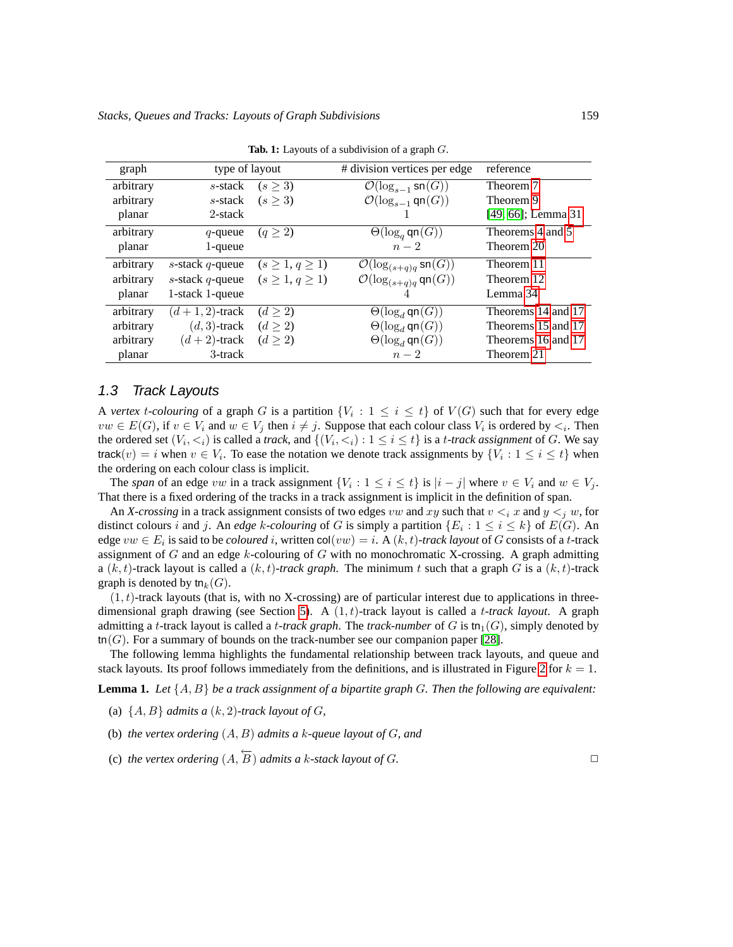| graph     | type of layout     |                      | # division vertices per edge                | reference          |
|-----------|--------------------|----------------------|---------------------------------------------|--------------------|
| arbitrary | s-stack            | (s > 3)              | $\mathcal{O}(\log_{s-1} \mathsf{sn}(G))$    | Theorem 7          |
| arbitrary | s-stack            | $(s \geq 3)$         | $\mathcal{O}(\log_{s-1} \mathsf{qn}(G))$    | Theorem 9          |
| planar    | 2-stack            |                      |                                             | [49, 66]; Lemma 31 |
| arbitrary | $q$ -queue         | $(q \geq 2)$         | $\Theta(\log_q \mathsf{qn}(G))$             | Theorems 4 and 5   |
| planar    | $1$ -queue         |                      | $n-2$                                       | Theorem 20         |
| arbitrary | s-stack q-queue    | $(s\geq 1, q\geq 1)$ | $\mathcal{O}(\log_{(s+q)q} \mathsf{sn}(G))$ | Theorem 11         |
| arbitrary | s-stack $q$ -queue | $(s\geq 1, q\geq 1)$ | $\mathcal{O}(\log_{(s+q)q} \mathsf{qn}(G))$ | Theorem 12         |
| planar    | 1-stack 1-queue    |                      |                                             | Lemma 34           |
| arbitrary | $(d+1,2)$ -track   | $(d \geq 2)$         | $\Theta(\log_d \mathsf{qn}(G))$             | Theorems 14 and 17 |
| arbitrary | $(d, 3)$ -track    | $(d \geq 2)$         | $\Theta(\log_d \mathsf{qn}(G))$             | Theorems 15 and 17 |
| arbitrary | $(d+2)$ -track     | $(d \geq 2)$         | $\Theta(\log_d \mathsf{qn}(G))$             | Theorems 16 and 17 |
| planar    | 3-track            |                      | $n-2$                                       | Theorem 21         |
|           |                    |                      |                                             |                    |

<span id="page-4-0"></span>**Tab. 1:** Layouts of a subdivision of a graph G.

#### <span id="page-4-2"></span>1.3 Track Layouts

A *vertex t*-*colouring* of a graph G is a partition  $\{V_i : 1 \le i \le t\}$  of  $V(G)$  such that for every edge  $vw \in E(G)$ , if  $v \in V_i$  and  $w \in V_j$  then  $i \neq j$ . Suppose that each colour class  $V_i$  is ordered by  $\lt_i$ . Then the ordered set  $(V_i, \le_i)$  is called a *track*, and  $\{(V_i, \le_i) : 1 \le i \le t\}$  is a *t-track assignment* of G. We say track $(v) = i$  when  $v \in V_i$ . To ease the notation we denote track assignments by  $\{V_i : 1 \le i \le t\}$  when the ordering on each colour class is implicit.

The *span* of an edge vw in a track assignment  $\{V_i : 1 \le i \le t\}$  is  $|i - j|$  where  $v \in V_i$  and  $w \in V_j$ . That there is a fixed ordering of the tracks in a track assignment is implicit in the definition of span.

An *X-crossing* in a track assignment consists of two edges vw and xy such that  $v \leq_i x$  and  $y \leq_j w$ , for distinct colours *i* and *j*. An *edge k*-*colouring* of *G* is simply a partition  $\{E_i : 1 \le i \le k\}$  of  $E(G)$ . An edge  $vw \in E_i$  is said to be *coloured* i, written  $col(vw) = i$ . A  $(k, t)$ -track layout of G consists of a t-track assignment of  $G$  and an edge  $k$ -colouring of  $G$  with no monochromatic X-crossing. A graph admitting a  $(k, t)$ -track layout is called a  $(k, t)$ -track graph. The minimum t such that a graph G is a  $(k, t)$ -track graph is denoted by tn<sub>k</sub> $(G)$ .

 $(1, t)$ -track layouts (that is, with no X-crossing) are of particular interest due to applications in three-dimensional graph drawing (see Section [5\)](#page-36-1). A  $(1, t)$ -track layout is called a *t-track layout*. A graph admitting a *t*-track layout is called a *t*-track graph. The *track-number* of  $G$  is tn<sub>1</sub>( $G$ ), simply denoted by tn(G). For a summary of bounds on the track-number see our companion paper [\[28\]](#page-41-3).

The following lemma highlights the fundamental relationship between track layouts, and queue and stack layouts. Its proof follows immediately from the definitions, and is illustrated in Figure [2](#page-5-0) for  $k = 1$ .

<span id="page-4-1"></span>**Lemma 1.** *Let* {A, B} *be a track assignment of a bipartite graph* G*. Then the following are equivalent:*

- (a)  $\{A, B\}$  *admits a*  $(k, 2)$ -track layout of G,
- (b) *the vertex ordering* (A, B) *admits a* k*-queue layout of* G*, and*

(c) *the vertex ordering*  $(A, \overleftarrow{B})$  *admits a k-stack layout of G.* ◯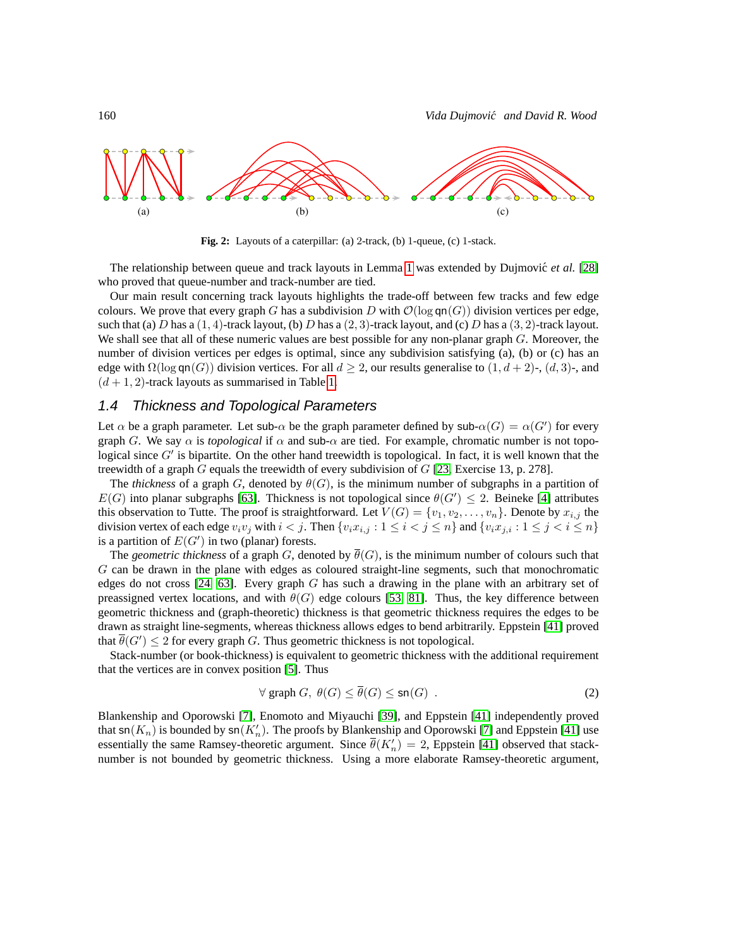

<span id="page-5-0"></span>**Fig. 2:** Layouts of a caterpillar: (a) 2-track, (b) 1-queue, (c) 1-stack.

The relationship between queue and track layouts in Lemma [1](#page-4-1) was extended by Dujmovic´ *et al.* [\[28\]](#page-41-3) who proved that queue-number and track-number are tied.

Our main result concerning track layouts highlights the trade-off between few tracks and few edge colours. We prove that every graph G has a subdivision D with  $\mathcal{O}(\log \mathsf{qn}(G))$  division vertices per edge, such that (a) D has a  $(1, 4)$ -track layout, (b) D has a  $(2, 3)$ -track layout, and (c) D has a  $(3, 2)$ -track layout. We shall see that all of these numeric values are best possible for any non-planar graph  $G$ . Moreover, the number of division vertices per edges is optimal, since any subdivision satisfying (a), (b) or (c) has an edge with  $\Omega(\log \mathsf{qn}(G))$  division vertices. For all  $d \geq 2$ , our results generalise to  $(1, d+2)$ -,  $(d, 3)$ -, and  $(d+1, 2)$ -track layouts as summarised in Table [1.](#page-4-0)

#### <span id="page-5-2"></span>1.4 Thickness and Topological Parameters

Let  $\alpha$  be a graph parameter. Let sub- $\alpha$  be the graph parameter defined by sub- $\alpha(G) = \alpha(G')$  for every graph G. We say  $\alpha$  is *topological* if  $\alpha$  and sub- $\alpha$  are tied. For example, chromatic number is not topological since  $G'$  is bipartite. On the other hand treewidth is topological. In fact, it is well known that the treewidth of a graph G equals the treewidth of every subdivision of  $G$  [\[23,](#page-41-4) Exercise 13, p. 278].

The *thickness* of a graph G, denoted by  $\theta(G)$ , is the minimum number of subgraphs in a partition of  $E(G)$  into planar subgraphs [\[63\]](#page-44-8). Thickness is not topological since  $\theta(G') \leq 2$ . Beineke [\[4\]](#page-40-2) attributes this observation to Tutte. The proof is straightforward. Let  $V(G) = \{v_1, v_2, \ldots, v_n\}$ . Denote by  $x_{i,j}$  the division vertex of each edge  $v_i v_j$  with  $i < j$ . Then  $\{v_i x_{i,j} : 1 \le i < j \le n\}$  and  $\{v_i x_{j,i} : 1 \le j < i \le n\}$ is a partition of  $E(G')$  in two (planar) forests.

The *geometric thickness* of a graph G, denoted by  $\theta(G)$ , is the minimum number of colours such that G can be drawn in the plane with edges as coloured straight-line segments, such that monochromatic edges do not cross  $[24, 63]$  $[24, 63]$ . Every graph G has such a drawing in the plane with an arbitrary set of preassigned vertex locations, and with  $\theta(G)$  edge colours [\[53,](#page-43-6) [81\]](#page-45-2). Thus, the key difference between geometric thickness and (graph-theoretic) thickness is that geometric thickness requires the edges to be drawn as straight line-segments, whereas thickness allows edges to bend arbitrarily. Eppstein [\[41\]](#page-42-7) proved that  $\overline{\theta}(G') \leq 2$  for every graph G. Thus geometric thickness is not topological.

Stack-number (or book-thickness) is equivalent to geometric thickness with the additional requirement that the vertices are in convex position [\[5\]](#page-40-3). Thus

<span id="page-5-1"></span>
$$
\forall \text{ graph } G, \ \theta(G) \le \overline{\theta}(G) \le \text{sn}(G) \ . \tag{2}
$$

Blankenship and Oporowski [\[7\]](#page-40-0), Enomoto and Miyauchi [\[39\]](#page-42-1), and Eppstein [\[41\]](#page-42-7) independently proved that  $sn(K_n)$  is bounded by  $sn(K'_n)$ . The proofs by Blankenship and Oporowski [\[7\]](#page-40-0) and Eppstein [\[41\]](#page-42-7) use essentially the same Ramsey-theoretic argument. Since  $\bar{\theta}(K'_n) = 2$ , Eppstein [\[41\]](#page-42-7) observed that stacknumber is not bounded by geometric thickness. Using a more elaborate Ramsey-theoretic argument,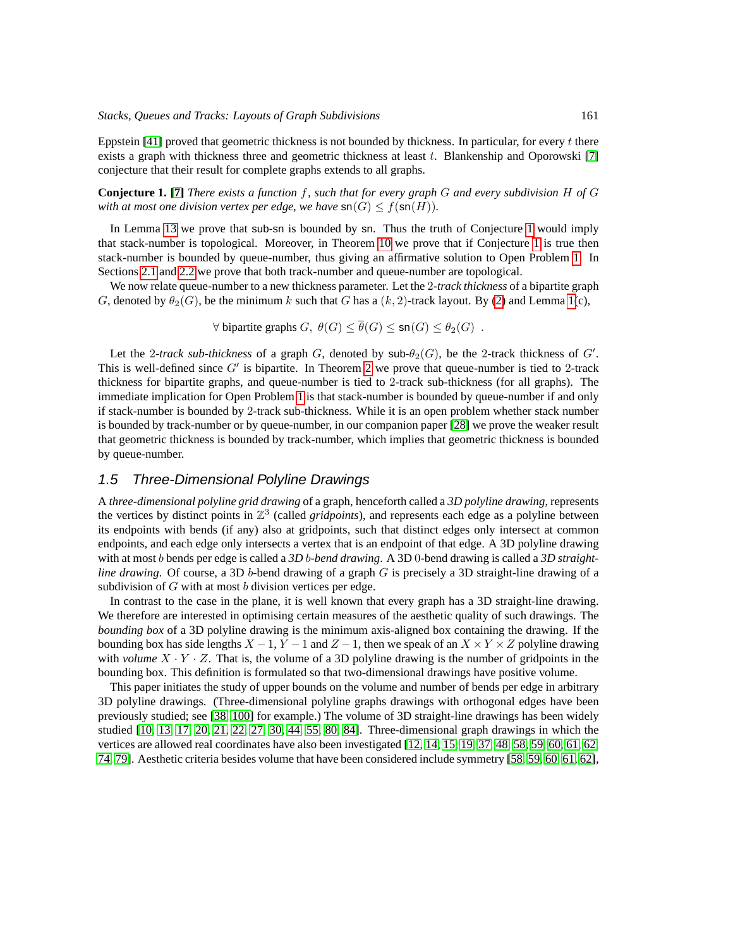Eppstein [\[41\]](#page-42-7) proved that geometric thickness is not bounded by thickness. In particular, for every t there exists a graph with thickness three and geometric thickness at least  $t$ . Blankenship and Oporowski [\[7\]](#page-40-0) conjecture that their result for complete graphs extends to all graphs.

<span id="page-6-0"></span>**Conjecture 1. [\[7\]](#page-40-0)** *There exists a function* f*, such that for every graph* G *and every subdivision* H *of* G *with at most one division vertex per edge, we have*  $\mathsf{sn}(G) \leq f(\mathsf{sn}(H)).$ 

In Lemma [13](#page-12-0) we prove that sub-sn is bounded by sn. Thus the truth of Conjecture [1](#page-6-0) would imply that stack-number is topological. Moreover, in Theorem [10](#page-27-1) we prove that if Conjecture [1](#page-6-0) is true then stack-number is bounded by queue-number, thus giving an affirmative solution to Open Problem [1.](#page-2-1) In Sections [2.1](#page-7-0) and [2.2](#page-11-0) we prove that both track-number and queue-number are topological.

We now relate queue-number to a new thickness parameter. Let the 2*-track thickness* of a bipartite graph G, denoted by  $\theta_2(G)$ , be the minimum k such that G has a  $(k, 2)$ -track layout. By [\(2\)](#page-5-1) and Lemma [1\(](#page-4-1)c),

 $\forall$  bipartite graphs  $G, \theta(G) \leq \overline{\theta}(G) \leq \text{sn}(G) \leq \theta_2(G)$ .

Let the 2-track sub-thickness of a graph G, denoted by sub- $\theta_2(G)$ , be the 2-track thickness of G'. This is well-defined since  $G'$  is bipartite. In Theorem [2](#page-8-0) we prove that queue-number is tied to 2-track thickness for bipartite graphs, and queue-number is tied to 2-track sub-thickness (for all graphs). The immediate implication for Open Problem [1](#page-2-1) is that stack-number is bounded by queue-number if and only if stack-number is bounded by 2-track sub-thickness. While it is an open problem whether stack number is bounded by track-number or by queue-number, in our companion paper [\[28\]](#page-41-3) we prove the weaker result that geometric thickness is bounded by track-number, which implies that geometric thickness is bounded by queue-number.

#### 1.5 Three-Dimensional Polyline Drawings

A *three-dimensional polyline grid drawing* of a graph, henceforth called a *3D polyline drawing*, represents the vertices by distinct points in  $\mathbb{Z}^3$  (called *gridpoints*), and represents each edge as a polyline between its endpoints with bends (if any) also at gridpoints, such that distinct edges only intersect at common endpoints, and each edge only intersects a vertex that is an endpoint of that edge. A 3D polyline drawing with at most b bends per edge is called a *3D* b*-bend drawing*. A 3D 0-bend drawing is called a *3D straightline drawing*. Of course, a 3D b-bend drawing of a graph G is precisely a 3D straight-line drawing of a subdivision of  $G$  with at most  $b$  division vertices per edge.

In contrast to the case in the plane, it is well known that every graph has a 3D straight-line drawing. We therefore are interested in optimising certain measures of the aesthetic quality of such drawings. The *bounding box* of a 3D polyline drawing is the minimum axis-aligned box containing the drawing. If the bounding box has side lengths  $X - 1$ ,  $Y - 1$  and  $Z - 1$ , then we speak of an  $X \times Y \times Z$  polyline drawing with *volume*  $X \cdot Y \cdot Z$ . That is, the volume of a 3D polyline drawing is the number of gridpoints in the bounding box. This definition is formulated so that two-dimensional drawings have positive volume.

This paper initiates the study of upper bounds on the volume and number of bends per edge in arbitrary 3D polyline drawings. (Three-dimensional polyline graphs drawings with orthogonal edges have been previously studied; see [\[38,](#page-42-8) [100\]](#page-46-1) for example.) The volume of 3D straight-line drawings has been widely studied [\[10,](#page-40-4) [13,](#page-40-5) [17,](#page-41-6) [20,](#page-41-7) [21,](#page-41-8) [22,](#page-41-9) [27,](#page-41-1) [30,](#page-42-9) [44,](#page-43-7) [55,](#page-43-8) [80,](#page-45-3) [84\]](#page-45-4). Three-dimensional graph drawings in which the vertices are allowed real coordinates have also been investigated [\[12,](#page-40-6) [14,](#page-41-10) [15,](#page-41-11) [19,](#page-41-12) [37,](#page-42-10) [48,](#page-43-9) [58,](#page-43-10) [59,](#page-43-11) [60,](#page-44-9) [61,](#page-44-10) [62,](#page-44-11) [74,](#page-44-12) [79\]](#page-45-5). Aesthetic criteria besides volume that have been considered include symmetry [\[58,](#page-43-10) [59,](#page-43-11) [60,](#page-44-9) [61,](#page-44-10) [62\]](#page-44-11),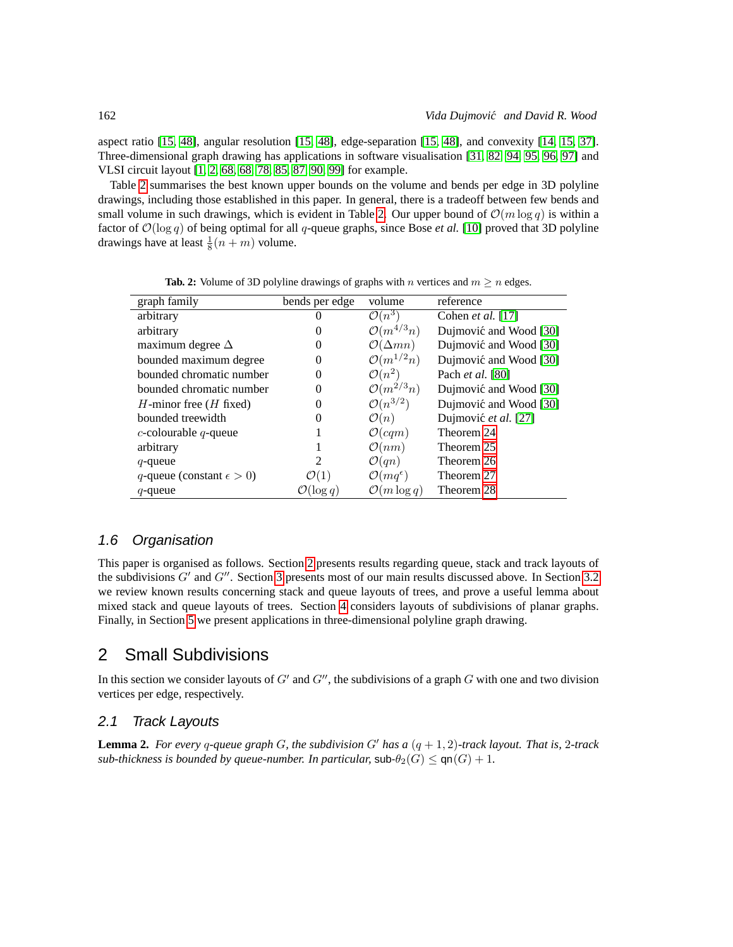aspect ratio [\[15,](#page-41-11) [48\]](#page-43-9), angular resolution [\[15,](#page-41-11) [48\]](#page-43-9), edge-separation [\[15,](#page-41-11) [48\]](#page-43-9), and convexity [\[14,](#page-41-10) [15,](#page-41-11) [37\]](#page-42-10). Three-dimensional graph drawing has applications in software visualisation [\[31,](#page-42-11) [82,](#page-45-6) [94,](#page-46-2) [95,](#page-46-3) [96,](#page-46-4) [97\]](#page-46-5) and VLSI circuit layout [\[1,](#page-40-7) [2,](#page-40-8) [68, 68,](#page-44-13) [78,](#page-45-7) [85,](#page-45-8) [87,](#page-45-9) [90,](#page-46-6) [99\]](#page-46-7) for example.

Table [2](#page-7-1) summarises the best known upper bounds on the volume and bends per edge in 3D polyline drawings, including those established in this paper. In general, there is a tradeoff between few bends and small volume in such drawings, which is evident in Table [2.](#page-7-1) Our upper bound of  $\mathcal{O}(m \log q)$  is within a factor of  $\mathcal{O}(\log q)$  of being optimal for all q-queue graphs, since Bose *et al.* [\[10\]](#page-40-4) proved that 3D polyline drawings have at least  $\frac{1}{8}(n+m)$  volume.

| graph family                       | bends per edge        | volume                       | reference              |
|------------------------------------|-----------------------|------------------------------|------------------------|
| arbitrary                          |                       | $\mathcal{O}(n^3)$           | Cohen et al. $[17]$    |
| arbitrary                          | 0                     | $\mathcal{O}(m^{4/3}n)$      | Dujmović and Wood [30] |
| maximum degree $\Delta$            | 0                     | $\mathcal{O}(\Delta mn)$     | Dujmović and Wood [30] |
| bounded maximum degree             | 0                     | $\mathcal{O}(m^{1/2}n)$      | Dujmović and Wood [30] |
| bounded chromatic number           | 0                     | $\mathcal{O}(n^2)$           | Pach et al. [80]       |
| bounded chromatic number           | 0                     | $\mathcal{O}(m^{2/3}n)$      | Dujmović and Wood [30] |
| $H$ -minor free ( $H$ fixed)       | 0                     | $\mathcal{O}(n^{3/2})$       | Dujmović and Wood [30] |
| bounded treewidth                  | 0                     | $\mathcal{O}(n)$             | Dujmović et al. [27]   |
| $c$ -colourable $q$ -queue         |                       | O(cqm)                       | Theorem 24             |
| arbitrary                          |                       | $\mathcal{O}(nm)$            | Theorem 25             |
| $q$ -queue                         | 2                     | $\mathcal{O}(qn)$            | Theorem 26             |
| q-queue (constant $\epsilon > 0$ ) | $\mathcal{O}(1)$      | $\mathcal{O}(mq^{\epsilon})$ | Theorem 27             |
| $q$ -queue                         | $\mathcal{O}(\log q)$ | $\mathcal{O}(m \log q)$      | Theorem 28             |

<span id="page-7-1"></span>**Tab. 2:** Volume of 3D polyline drawings of graphs with n vertices and  $m \ge n$  edges.

### 1.6 Organisation

This paper is organised as follows. Section [2](#page-7-2) presents results regarding queue, stack and track layouts of the subdivisions  $G'$  and  $G''$ . Section [3](#page-13-0) presents most of our main results discussed above. In Section [3.2](#page-14-2) we review known results concerning stack and queue layouts of trees, and prove a useful lemma about mixed stack and queue layouts of trees. Section [4](#page-33-1) considers layouts of subdivisions of planar graphs. Finally, in Section [5](#page-36-1) we present applications in three-dimensional polyline graph drawing.

### <span id="page-7-2"></span>2 Small Subdivisions

In this section we consider layouts of  $G'$  and  $G''$ , the subdivisions of a graph  $G$  with one and two division vertices per edge, respectively.

#### <span id="page-7-0"></span>2.1 Track Layouts

<span id="page-7-3"></span>**Lemma 2.** For every q-queue graph G, the subdivision G' has a  $(q + 1, 2)$ -track layout. That is, 2-track *sub-thickness is bounded by queue-number. In particular,*  $\mathsf{sub-}\theta_2(G) \leq \mathsf{qn}(G) + 1$ .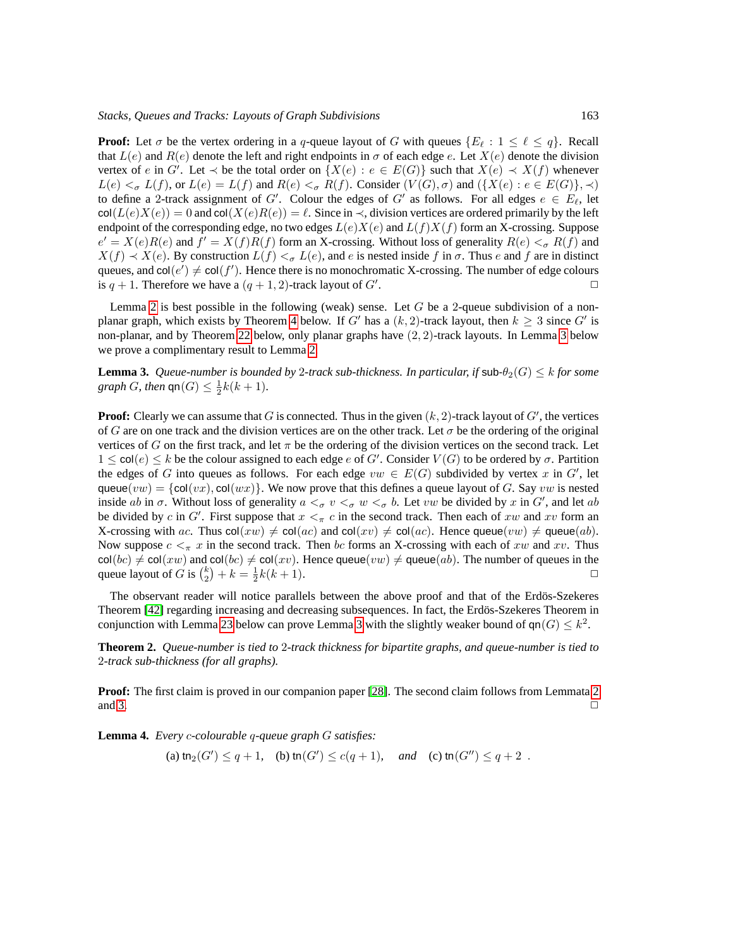**Proof:** Let  $\sigma$  be the vertex ordering in a q-queue layout of G with queues  $\{E_\ell : 1 \leq \ell \leq q\}$ . Recall that  $L(e)$  and  $R(e)$  denote the left and right endpoints in  $\sigma$  of each edge e. Let  $X(e)$  denote the division vertex of e in G'. Let  $\prec$  be the total order on  $\{X(e) : e \in E(G)\}$  such that  $X(e) \prec X(f)$  whenever  $L(e) <_{\sigma} L(f)$ , or  $L(e) = L(f)$  and  $R(e) <_{\sigma} R(f)$ . Consider  $(V(G), \sigma)$  and  $(\{X(e) : e \in E(G)\}\, \prec)$ to define a 2-track assignment of G'. Colour the edges of G' as follows. For all edges  $e \in E_{\ell}$ , let  $col(L(e)X(e)) = 0$  and  $col(X(e)R(e)) = \ell$ . Since in  $\prec$ , division vertices are ordered primarily by the left endpoint of the corresponding edge, no two edges  $L(e)X(e)$  and  $L(f)X(f)$  form an X-crossing. Suppose  $e' = X(e)R(e)$  and  $f' = X(f)R(f)$  form an X-crossing. Without loss of generality  $R(e) <_{\sigma} R(f)$  and  $X(f) \prec X(e)$ . By construction  $L(f) \prec_{\sigma} L(e)$ , and e is nested inside f in  $\sigma$ . Thus e and f are in distinct queues, and  $col(e') \neq col(f')$ . Hence there is no monochromatic X-crossing. The number of edge colours is  $q + 1$ . Therefore we have a  $(q + 1, 2)$ -track layout of G'. .  $\Box$ 

Lemma [2](#page-7-3) is best possible in the following (weak) sense. Let  $G$  be a 2-queue subdivision of a non-planar graph, which exists by Theorem [4](#page-22-0) below. If G' has a  $(k, 2)$ -track layout, then  $k \geq 3$  since G' is non-planar, and by Theorem [22](#page-35-2) below, only planar graphs have  $(2, 2)$ -track layouts. In Lemma [3](#page-8-1) below we prove a complimentary result to Lemma [2.](#page-7-3)

<span id="page-8-1"></span>**Lemma 3.** *Queue-number is bounded by 2-track sub-thickness. In particular, if*  $\text{sub-}\theta_2(G) \leq k$  *for some graph G*, *then*  $\mathsf{qn}(G) \leq \frac{1}{2}k(k+1)$ *.* 

**Proof:** Clearly we can assume that  $G$  is connected. Thus in the given  $(k, 2)$ -track layout of  $G'$ , the vertices of G are on one track and the division vertices are on the other track. Let  $\sigma$  be the ordering of the original vertices of G on the first track, and let  $\pi$  be the ordering of the division vertices on the second track. Let  $1 \leq \text{col}(e) \leq k$  be the colour assigned to each edge e of G'. Consider  $V(G)$  to be ordered by  $\sigma$ . Partition the edges of G into queues as follows. For each edge  $vw \in E(G)$  subdivided by vertex x in G', let queue(vw) = {col(vx), col(wx)}. We now prove that this defines a queue layout of G. Say vw is nested inside ab in  $\sigma$ . Without loss of generality  $a <_{\sigma} v <_{\sigma} w <_{\sigma} b$ . Let vw be divided by x in G', and let ab be divided by c in G'. First suppose that  $x <_{\pi} c$  in the second track. Then each of xw and xv form an X-crossing with ac. Thus  $col(xw) \neq col(ac)$  and  $col(xv) \neq col(ac)$ . Hence queue $(vw) \neq$  queue $(ab)$ . Now suppose  $c < \pi x$  in the second track. Then bc forms an X-crossing with each of xw and xv. Thus  $col(bc) \neq col(xw)$  and  $col(bc) \neq col(xv)$ . Hence queue $(vw) \neq$  queue $(ab)$ . The number of queues in the queue layout of G is  $\binom{k}{k} + k = \frac{1}{k}(k+1)$ . queue layout of G is  $\binom{k}{2} + k = \frac{1}{2}k(k+1)$ .

The observant reader will notice parallels between the above proof and that of the Erdös-Szekeres Theorem [\[42\]](#page-42-12) regarding increasing and decreasing subsequences. In fact, the Erdös-Szekeres Theorem in conjunction with Lemma [23](#page-19-0) below can prove Lemma [3](#page-8-1) with the slightly weaker bound of  $\mathsf{qn}(G) \leq k^2$ .

<span id="page-8-0"></span>**Theorem 2.** *Queue-number is tied to* 2*-track thickness for bipartite graphs, and queue-number is tied to* 2*-track sub-thickness (for all graphs).*

**Proof:** The first claim is proved in our companion paper [\[28\]](#page-41-3). The second claim follows from Lemmata [2](#page-7-3) and [3.](#page-8-1)  $\Box$ 

<span id="page-8-2"></span>**Lemma 4.** *Every* c*-colourable* q*-queue graph* G *satisfies:*

(a)  $\text{tn}_2(G') \le q+1$ , (b)  $\text{tn}(G') \le c(q+1)$ , and (c)  $\text{tn}(G'') \le q+2$ .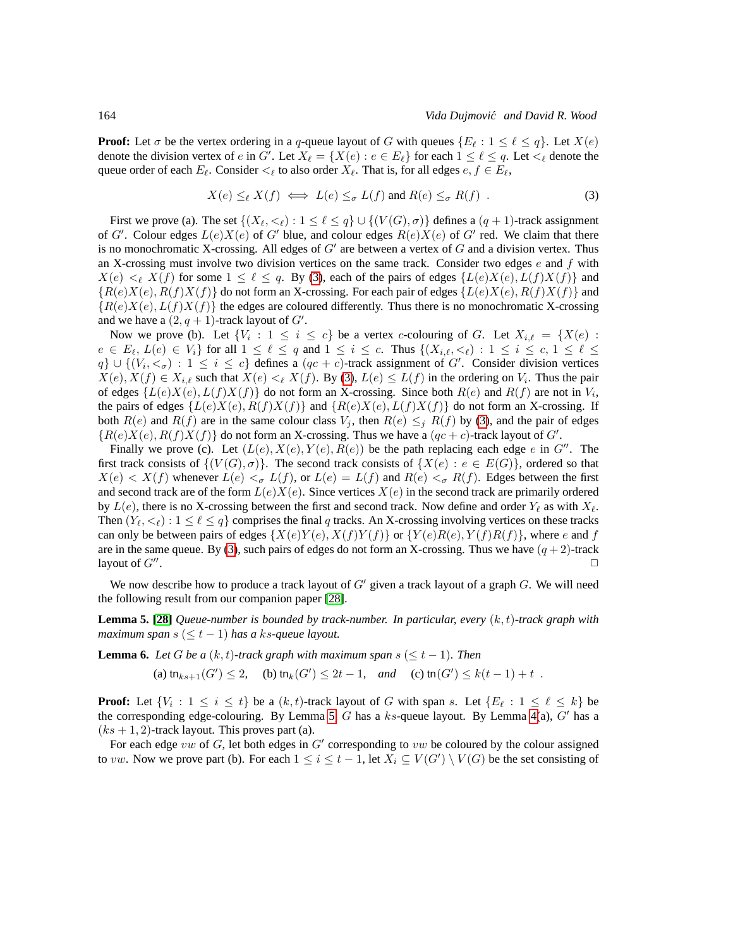**Proof:** Let  $\sigma$  be the vertex ordering in a q-queue layout of G with queues  $\{E_\ell : 1 \leq \ell \leq q\}$ . Let  $X(e)$ denote the division vertex of e in G'. Let  $X_{\ell} = \{X(e) : e \in E_{\ell}\}\$  for each  $1 \leq \ell \leq q$ . Let  $\lt_{\ell}$  denote the queue order of each  $E_\ell$ . Consider  $\lt_\ell$  to also order  $X_\ell$ . That is, for all edges  $e, f \in E_\ell$ ,

<span id="page-9-0"></span>
$$
X(e) \leq_{\ell} X(f) \iff L(e) \leq_{\sigma} L(f) \text{ and } R(e) \leq_{\sigma} R(f) . \tag{3}
$$

First we prove (a). The set  $\{(X_\ell, \langle \ell \rangle : 1 \leq \ell \leq q\} \cup \{(V(G), \sigma)\}\)$  defines a  $(q + 1)$ -track assignment of G'. Colour edges  $L(e)X(e)$  of G' blue, and colour edges  $R(e)X(e)$  of G' red. We claim that there is no monochromatic X-crossing. All edges of  $G'$  are between a vertex of  $G$  and a division vertex. Thus an X-crossing must involve two division vertices on the same track. Consider two edges  $e$  and  $f$  with  $X(e) \leq \ell X(f)$  for some  $1 \leq \ell \leq q$ . By [\(3\)](#page-9-0), each of the pairs of edges  $\{L(e)X(e), L(f)X(f)\}$  and  ${R(e)X(e), R(f)X(f)}$  do not form an X-crossing. For each pair of edges  ${L(e)X(e), R(f)X(f)}$  and  ${Re(z)X(e), L(f)X(f)}$  the edges are coloured differently. Thus there is no monochromatic X-crossing and we have a  $(2, q + 1)$ -track layout of  $G'$ .

Now we prove (b). Let  $\{V_i : 1 \le i \le c\}$  be a vertex c-colouring of G. Let  $X_{i,\ell} = \{X(e) :$  $e \in E_{\ell}, L(e) \in V_i$  for all  $1 \leq \ell \leq q$  and  $1 \leq i \leq c$ . Thus  $\{(X_{i,\ell}, \lt_{\ell}) : 1 \leq i \leq c, 1 \leq \ell \leq \ell\}$  $q\} \cup \{(V_i, <_\sigma): 1 \leq i \leq c\}$  defines a  $(qc + c)$ -track assignment of G'. Consider division vertices  $X(e), X(f) \in X_{i,\ell}$  such that  $X(e) \leq \ell X(f)$ . By [\(3\)](#page-9-0),  $L(e) \leq L(f)$  in the ordering on  $V_i$ . Thus the pair of edges  $\{L(e)X(e), L(f)X(f)\}\$  do not form an X-crossing. Since both  $R(e)$  and  $R(f)$  are not in  $V_i$ , the pairs of edges  $\{L(e)X(e), R(f)X(f)\}\$  and  $\{R(e)X(e), L(f)X(f)\}\$  do not form an X-crossing. If both  $R(e)$  and  $R(f)$  are in the same colour class  $V_i$ , then  $R(e) \leq i R(f)$  by [\(3\)](#page-9-0), and the pair of edges  ${R(e)X(e), R(f)X(f)}$  do not form an X-crossing. Thus we have a  $(qc + c)$ -track layout of G'.

Finally we prove (c). Let  $(L(e), X(e), Y(e), R(e))$  be the path replacing each edge e in G''. The first track consists of  $\{V(G), \sigma\}$ . The second track consists of  $\{X(e) : e \in E(G)\}$ , ordered so that  $X(e) < X(f)$  whenever  $L(e) <_{\sigma} L(f)$ , or  $L(e) = L(f)$  and  $R(e) <_{\sigma} R(f)$ . Edges between the first and second track are of the form  $L(e)X(e)$ . Since vertices  $X(e)$  in the second track are primarily ordered by  $L(e)$ , there is no X-crossing between the first and second track. Now define and order  $Y_{\ell}$  as with  $X_{\ell}$ . Then  $(Y_\ell, \langle \xi \rangle : 1 \leq \ell \leq q$  comprises the final q tracks. An X-crossing involving vertices on these tracks can only be between pairs of edges  $\{X(e)Y(e), X(f)Y(f)\}$  or  $\{Y(e)R(e), Y(f)R(f)\}$ , where e and f are in the same queue. By [\(3\)](#page-9-0), such pairs of edges do not form an X-crossing. Thus we have  $(q + 2)$ -track layout of  $G''$ . . ✷

We now describe how to produce a track layout of  $G'$  given a track layout of a graph  $G$ . We will need the following result from our companion paper [\[28\]](#page-41-3).

<span id="page-9-1"></span>**Lemma 5. [\[28\]](#page-41-3)** *Queue-number is bounded by track-number. In particular, every* (k, t)*-track graph with maximum span* s (≤ t − 1) *has a* ks*-queue layout.*

<span id="page-9-2"></span>**Lemma 6.** *Let* G *be a*  $(k, t)$ -track graph with maximum span  $s \leq t - 1$ *). Then* 

(a)  $\textrm{tn}_{ks+1}(G') \leq 2$ , (b)  $\textrm{tn}_k(G') \leq 2t - 1$ , and (c)  $\textrm{tn}(G') \leq k(t-1) + t$ .

**Proof:** Let  $\{V_i : 1 \leq i \leq t\}$  be a  $(k, t)$ -track layout of G with span s. Let  $\{E_\ell : 1 \leq \ell \leq k\}$  be the corresponding edge-colouring. By Lemma [5,](#page-9-1)  $G$  has a  $ks$ -queue layout. By Lemma [4\(](#page-8-2)a),  $G'$  has a  $(ks + 1, 2)$ -track layout. This proves part (a).

For each edge vw of  $G$ , let both edges in  $G'$  corresponding to vw be coloured by the colour assigned to vw. Now we prove part (b). For each  $1 \le i \le t-1$ , let  $X_i \subseteq V(G') \setminus V(G)$  be the set consisting of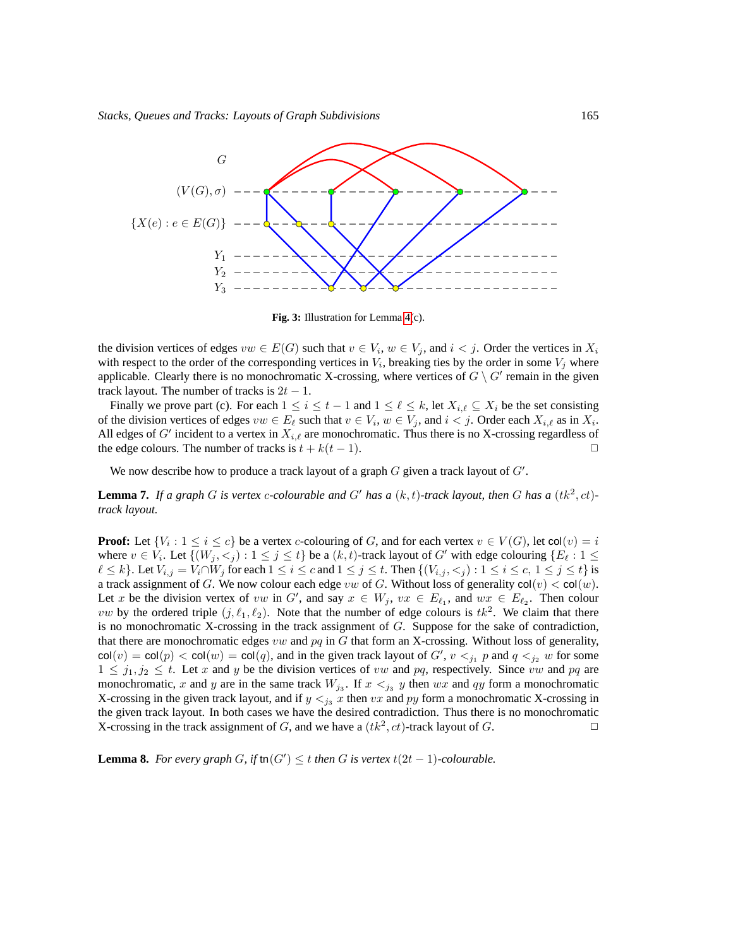

**Fig. 3:** Illustration for Lemma [4\(](#page-8-2)c).

the division vertices of edges  $vw \in E(G)$  such that  $v \in V_i$ ,  $w \in V_j$ , and  $i < j$ . Order the vertices in  $X_i$ with respect to the order of the corresponding vertices in  $V_i$ , breaking ties by the order in some  $V_j$  where applicable. Clearly there is no monochromatic X-crossing, where vertices of  $G \setminus G'$  remain in the given track layout. The number of tracks is  $2t - 1$ .

Finally we prove part (c). For each  $1 \le i \le t-1$  and  $1 \le \ell \le k$ , let  $X_{i,\ell} \subseteq X_i$  be the set consisting of the division vertices of edges  $vw \in E_\ell$  such that  $v \in V_i$ ,  $w \in V_j$ , and  $i < j$ . Order each  $X_{i,\ell}$  as in  $X_i$ . All edges of G' incident to a vertex in  $X_{i,\ell}$  are monochromatic. Thus there is no X-crossing regardless of the edge colours. The number of tracks is  $t + k(t - 1)$ .

We now describe how to produce a track layout of a graph  $G$  given a track layout of  $G'$ .

<span id="page-10-1"></span>**Lemma 7.** If a graph G is vertex c-colourable and G' has a  $(k, t)$ -track layout, then G has a  $(tk^2, ct)$ *track layout.*

**Proof:** Let  $\{V_i : 1 \le i \le c\}$  be a vertex *c*-colouring of *G*, and for each vertex  $v \in V(G)$ , let  $col(v) = i$ where  $v \in V_i$ . Let  $\{(W_j, \leq_j) : 1 \leq j \leq t\}$  be a  $(k, t)$ -track layout of  $G'$  with edge colouring  $\{E_\ell : 1 \leq t\}$  $\ell \leq k$ . Let  $V_{i,j} = V_i \cap W_j$  for each  $1 \leq i \leq c$  and  $1 \leq j \leq t$ . Then  $\{(V_{i,j}, \leq j): 1 \leq i \leq c, 1 \leq j \leq t\}$  is a track assignment of G. We now colour each edge vw of G. Without loss of generality  $col(v) < col(w)$ . Let x be the division vertex of vw in G', and say  $x \in W_j$ ,  $vx \in E_{\ell_1}$ , and  $wx \in E_{\ell_2}$ . Then colour *vw* by the ordered triple  $(j, \ell_1, \ell_2)$ . Note that the number of edge colours is  $tk^2$ . We claim that there is no monochromatic X-crossing in the track assignment of  $G$ . Suppose for the sake of contradiction, that there are monochromatic edges vw and  $pq$  in G that form an X-crossing. Without loss of generality,  $col(v) = col(p) < col(w) = col(q)$ , and in the given track layout of  $G'$ ,  $v <_{j_1} p$  and  $q <_{j_2} w$  for some  $1 \leq j_1, j_2 \leq t$ . Let x and y be the division vertices of vw and pq, respectively. Since vw and pq are monochromatic, x and y are in the same track  $W_{j_3}$ . If  $x <_{j_3} y$  then wx and qy form a monochromatic X-crossing in the given track layout, and if  $y \leq_{j_3} x$  then vx and py form a monochromatic X-crossing in the given track layout. In both cases we have the desired contradiction. Thus there is no monochromatic X-crossing in the track assignment of G, and we have a  $(tk^2, ct)$ -track layout of G.

<span id="page-10-0"></span>**Lemma 8.** *For every graph G*, *if*  $\text{tn}(G') \leq t$  *then G is vertex*  $t(2t - 1)$ *-colourable.*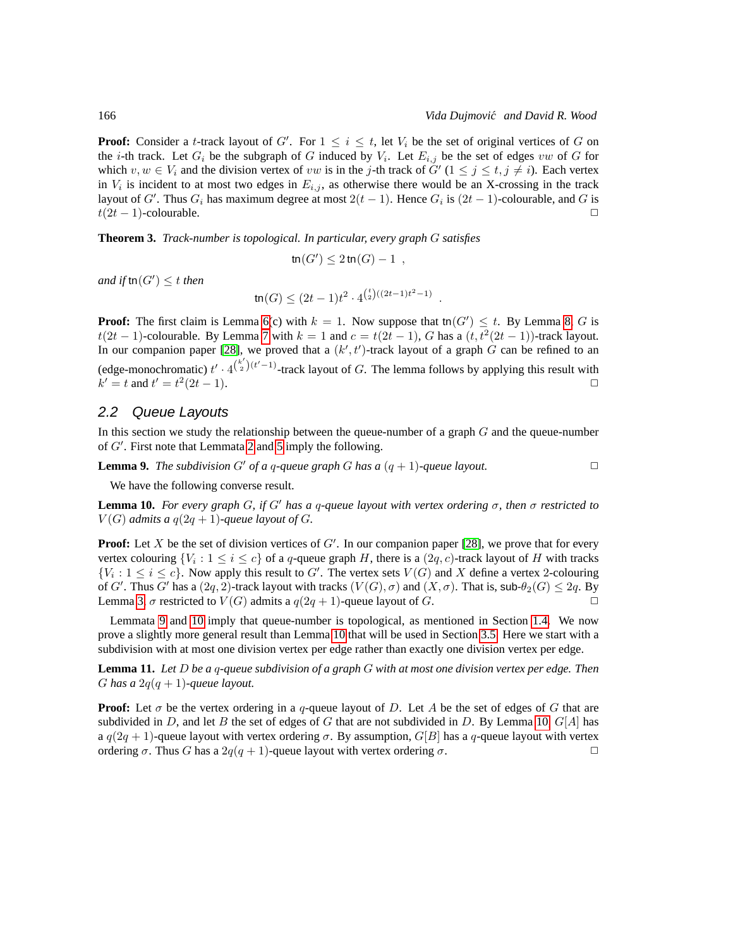**Proof:** Consider a t-track layout of G'. For  $1 \leq i \leq t$ , let  $V_i$  be the set of original vertices of G on the *i*-th track. Let  $G_i$  be the subgraph of G induced by  $V_i$ . Let  $E_{i,j}$  be the set of edges vw of G for which  $v, w \in V_i$  and the division vertex of  $vw$  is in the j-th track of  $G'(1 \leq j \leq t, j \neq i)$ . Each vertex in  $V_i$  is incident to at most two edges in  $E_{i,j}$ , as otherwise there would be an X-crossing in the track layout of G'. Thus  $G_i$  has maximum degree at most  $2(t-1)$ . Hence  $G_i$  is  $(2t-1)$ -colourable, and G is  $t(2t - 1)$ -colourable.

**Theorem 3.** *Track-number is topological. In particular, every graph* G *satisfies*

$$
\operatorname{tn}(G') \leq 2\operatorname{tn}(G)-1 \enspace,
$$

*and if*  $\text{tn}(G') \leq t$  *then* 

$$
\operatorname{tn}(G) \le (2t-1)t^2 \cdot 4^{\binom{t}{2}((2t-1)t^2-1)}.
$$

**Proof:** The first claim is Lemma [6\(](#page-9-2)c) with  $k = 1$ . Now suppose that tn $(G') \leq t$ . By Lemma [8,](#page-10-0) G is  $t(2t-1)$ -colourable. By Lemma [7](#page-10-1) with  $k = 1$  and  $c = t(2t-1)$ , G has a  $(t, t^2(2t-1))$ -track layout. In our companion paper [\[28\]](#page-41-3), we proved that a  $(k', t')$ -track layout of a graph G can be refined to an (edge-monochromatic)  $t' \cdot 4^{\binom{k'}{2}(t'-1)}$ -track layout of G. The lemma follows by applying this result with  $k' = t$  and  $t' = t^2$  $(2t-1).$ 

#### <span id="page-11-0"></span>2.2 Queue Layouts

In this section we study the relationship between the queue-number of a graph  $G$  and the queue-number of G′ . First note that Lemmata [2](#page-7-3) and [5](#page-9-1) imply the following.

<span id="page-11-1"></span>**Lemma 9.** *The subdivision* G' *of a q-queue graph* G *has a*  $(q + 1)$ *-queue layout.* 

We have the following converse result.

<span id="page-11-2"></span>**Lemma 10.** *For every graph* G*, if* G′ *has a* q*-queue layout with vertex ordering* σ*, then* σ *restricted to*  $V(G)$  *admits a*  $q(2q + 1)$ *-queue layout of G.* 

**Proof:** Let  $X$  be the set of division vertices of  $G'$ . In our companion paper [\[28\]](#page-41-3), we prove that for every vertex colouring  $\{V_i : 1 \le i \le c\}$  of a q-queue graph H, there is a  $(2q, c)$ -track layout of H with tracks  ${V_i : 1 \le i \le c}$ . Now apply this result to G'. The vertex sets  $V(G)$  and X define a vertex 2-colouring of G'. Thus G' has a  $(2q, 2)$ -track layout with tracks  $(V(G), \sigma)$  and  $(X, \sigma)$ . That is, sub- $\theta_2(G) \leq 2q$ . By Lemma [3,](#page-8-1)  $\sigma$  restricted to  $V(G)$  admits a  $q(2q + 1)$ -queue layout of  $G$ .

Lemmata [9](#page-11-1) and [10](#page-11-2) imply that queue-number is topological, as mentioned in Section [1.4.](#page-5-2) We now prove a slightly more general result than Lemma [10](#page-11-2) that will be used in Section [3.5.](#page-22-1) Here we start with a subdivision with at most one division vertex per edge rather than exactly one division vertex per edge.

<span id="page-11-3"></span>**Lemma 11.** *Let* D *be a* q*-queue subdivision of a graph* G *with at most one division vertex per edge. Then* G has a  $2q(q + 1)$ -queue layout.

**Proof:** Let  $\sigma$  be the vertex ordering in a q-queue layout of D. Let A be the set of edges of G that are subdivided in D, and let B the set of edges of G that are not subdivided in D. By Lemma [10,](#page-11-2)  $G[A]$  has a  $q(2q + 1)$ -queue layout with vertex ordering  $\sigma$ . By assumption,  $G[B]$  has a q-queue layout with vertex ordering  $\sigma$ . Thus G has a 2 $q(q + 1)$ -queue layout with vertex ordering  $\sigma$ .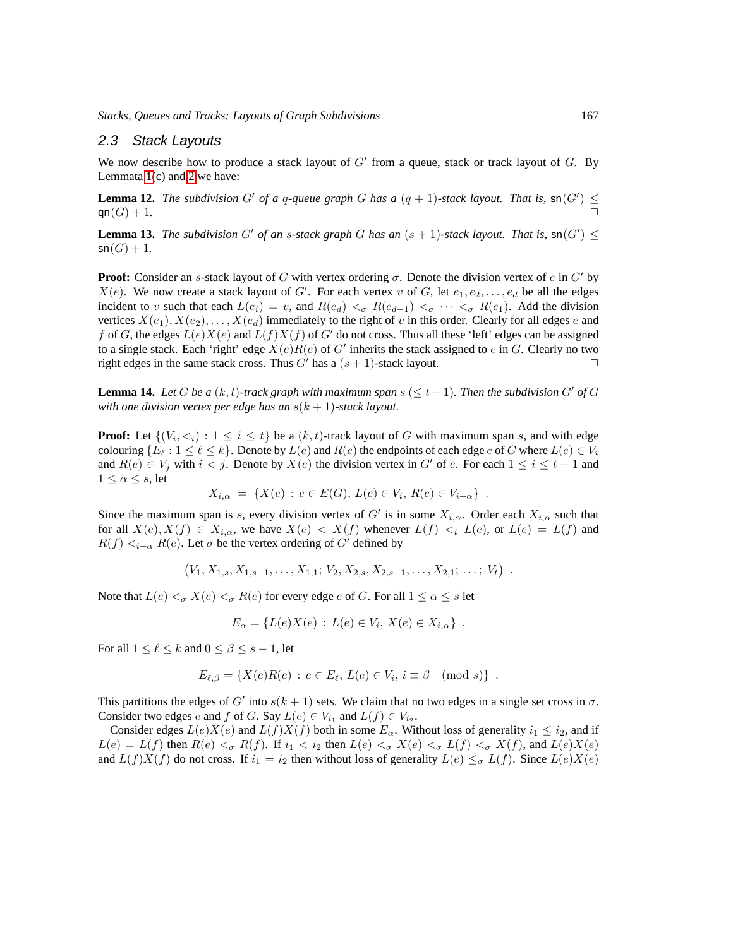#### 2.3 Stack Layouts

We now describe how to produce a stack layout of  $G'$  from a queue, stack or track layout of  $G$ . By Lemmata [1\(](#page-4-1)c) and [2](#page-7-3) we have:

**Lemma 12.** *The subdivision*  $G'$  *of a q-queue graph*  $G$  *has a*  $(q + 1)$ *-stack layout. That is,*  $\mathsf{sn}(G') \leq$  $\mathsf{qn}(G) + 1.$ 

<span id="page-12-0"></span>**Lemma 13.** *The subdivision*  $G'$  *of an s-stack graph*  $G$  *has an*  $(s + 1)$ *-stack layout. That is,*  $\mathsf{sn}(G') \leq$  $\mathsf{sn}(G) + 1.$ 

**Proof:** Consider an s-stack layout of G with vertex ordering  $\sigma$ . Denote the division vertex of e in G' by  $X(e)$ . We now create a stack layout of G'. For each vertex v of G, let  $e_1, e_2, \ldots, e_d$  be all the edges incident to v such that each  $L(e_i) = v$ , and  $R(e_d) < \sigma R(e_{d-1}) < \sigma \cdots < \sigma R(e_1)$ . Add the division vertices  $X(e_1), X(e_2), \ldots, X(e_d)$  immediately to the right of v in this order. Clearly for all edges e and f of G, the edges  $L(e)X(e)$  and  $L(f)X(f)$  of G' do not cross. Thus all these 'left' edges can be assigned to a single stack. Each 'right' edge  $X(e)R(e)$  of G' inherits the stack assigned to e in G. Clearly no two right edges in the same stack cross. Thus  $G'$  has a  $(s + 1)$ -stack layout.

**Lemma 14.** *Let* G *be a*  $(k, t)$ *-track graph with maximum span*  $s \leq t - 1$ *. Then the subdivision* G' *of* G *with one division vertex per edge has an*  $s(k + 1)$ -stack layout.

**Proof:** Let  $\{(V_i, \langle i \rangle : 1 \leq i \leq t\})$  be a  $(k, t)$ -track layout of G with maximum span s, and with edge colouring  $\{E_\ell : 1 \leq \ell \leq k\}$ . Denote by  $L(e)$  and  $R(e)$  the endpoints of each edge e of G where  $L(e) \in V_i$ and  $R(e) \in V_i$  with  $i < j$ . Denote by  $X(e)$  the division vertex in G' of e. For each  $1 \le i \le t - 1$  and  $1 \leq \alpha \leq s$ , let

$$
X_{i,\alpha} = \{ X(e) : e \in E(G), L(e) \in V_i, R(e) \in V_{i+\alpha} \} .
$$

Since the maximum span is s, every division vertex of G' is in some  $X_{i,\alpha}$ . Order each  $X_{i,\alpha}$  such that for all  $X(e), X(f) \in X_{i,\alpha}$ , we have  $X(e) < X(f)$  whenever  $L(f) < i L(e)$ , or  $L(e) = L(f)$  and  $R(f) <_{i+\alpha} R(e)$ . Let  $\sigma$  be the vertex ordering of  $G'$  defined by

$$
(V_1, X_{1,s}, X_{1,s-1}, \ldots, X_{1,1}; V_2, X_{2,s}, X_{2,s-1}, \ldots, X_{2,1}; \ldots; V_t) .
$$

Note that  $L(e) <_{\sigma} X(e) <_{\sigma} R(e)$  for every edge e of G. For all  $1 \leq \alpha \leq s$  let

$$
E_{\alpha} = \{ L(e)X(e) : L(e) \in V_i, X(e) \in X_{i,\alpha} \} .
$$

For all  $1 \leq \ell \leq k$  and  $0 \leq \beta \leq s - 1$ , let

$$
E_{\ell,\beta} = \{ X(e)R(e) : e \in E_{\ell}, L(e) \in V_i, i \equiv \beta \pmod{s} \} .
$$

This partitions the edges of G' into  $s(k + 1)$  sets. We claim that no two edges in a single set cross in  $\sigma$ . Consider two edges *e* and *f* of *G*. Say  $L(e) \in V_{i_1}$  and  $L(f) \in V_{i_2}$ .

Consider edges  $L(e)X(e)$  and  $L(f)X(f)$  both in some  $E_\alpha$ . Without loss of generality  $i_1 \leq i_2$ , and if  $L(e) = L(f)$  then  $R(e) <_{\sigma} R(f)$ . If  $i_1 < i_2$  then  $L(e) <_{\sigma} X(e) <_{\sigma} L(f) <_{\sigma} X(f)$ , and  $L(e)X(e)$ and  $L(f)X(f)$  do not cross. If  $i_1 = i_2$  then without loss of generality  $L(e) \leq_{\sigma} L(f)$ . Since  $L(e)X(e)$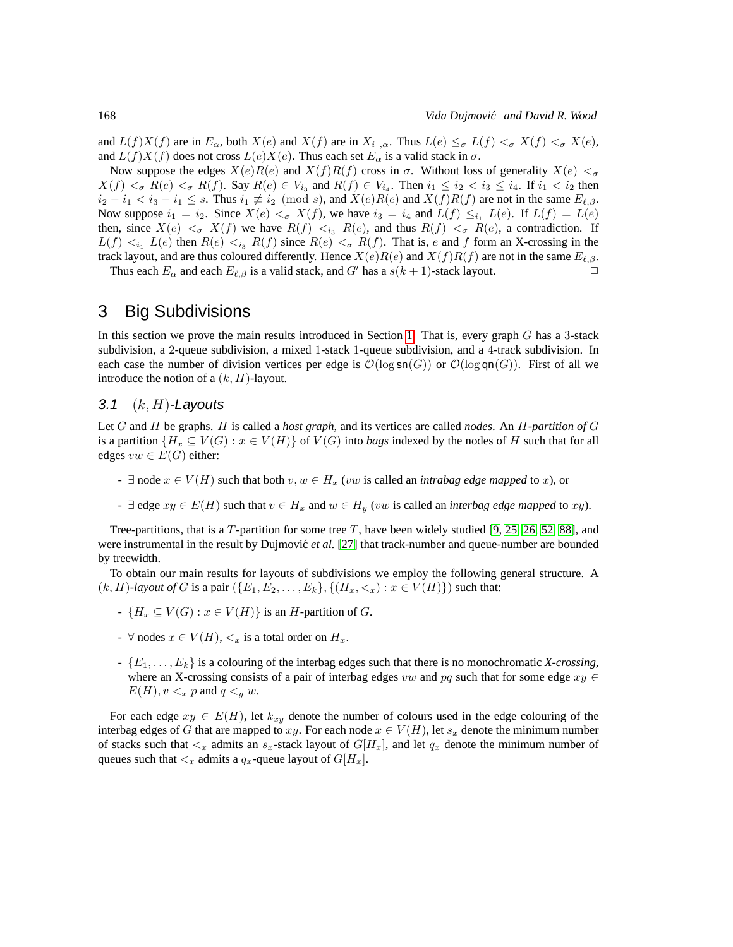and  $L(f)X(f)$  are in  $E_\alpha$ , both  $X(e)$  and  $X(f)$  are in  $X_{i_1,\alpha}$ . Thus  $L(e) \leq_{\sigma} L(f) <_{\sigma} X(f) <_{\sigma} X(e)$ , and  $L(f)X(f)$  does not cross  $L(e)X(e)$ . Thus each set  $E_\alpha$  is a valid stack in  $\sigma$ .

Now suppose the edges  $X(e)R(e)$  and  $X(f)R(f)$  cross in  $\sigma$ . Without loss of generality  $X(e) <_{\sigma}$  $X(f) <_{\sigma} R(e) <_{\sigma} R(f)$ . Say  $R(e) \in V_{i_3}$  and  $R(f) \in V_{i_4}$ . Then  $i_1 \leq i_2 < i_3 \leq i_4$ . If  $i_1 < i_2$  then  $i_2 - i_1 < i_3 - i_1 \leq s$ . Thus  $i_1 \neq i_2 \pmod{s}$ , and  $X(e)R(e)$  and  $X(f)R(f)$  are not in the same  $E_{\ell,\beta}$ . Now suppose  $i_1 = i_2$ . Since  $X(e) <_{\sigma} X(f)$ , we have  $i_3 = i_4$  and  $L(f) \leq_{i_1} L(e)$ . If  $L(f) = L(e)$ then, since  $X(e) <_{\sigma} X(f)$  we have  $R(f) <_{i3} R(e)$ , and thus  $R(f) <_{\sigma} R(e)$ , a contradiction. If  $L(f) <_{i_1} L(e)$  then  $R(e) <_{i_3} R(f)$  since  $R(e) <_{\sigma} R(f)$ . That is, e and f form an X-crossing in the track layout, and are thus coloured differently. Hence  $X(e)R(e)$  and  $X(f)R(f)$  are not in the same  $E_{\ell,\beta}$ .

Thus each  $E_{\alpha}$  and each  $E_{\ell,\beta}$  is a valid stack, and G' has a  $s(k+1)$ -stack layout.

### <span id="page-13-0"></span>3 Big Subdivisions

In this section we prove the main results introduced in Section [1.](#page-1-1) That is, every graph G has a 3-stack subdivision, a 2-queue subdivision, a mixed 1-stack 1-queue subdivision, and a 4-track subdivision. In each case the number of division vertices per edge is  $\mathcal{O}(\log \text{sn}(G))$  or  $\mathcal{O}(\log \text{gn}(G))$ . First of all we introduce the notion of a  $(k, H)$ -layout.

#### 3.1  $(k, H)$ -Layouts

Let G and H be graphs. H is called a *host graph*, and its vertices are called *nodes*. An H*-partition of* G is a partition  $\{H_x \subseteq V(G) : x \in V(H)\}$  of  $V(G)$  into *bags* indexed by the nodes of H such that for all edges  $vw \in E(G)$  either:

- $\exists$  node  $x \in V(H)$  such that both  $v, w \in H_x$  (*vw* is called an *intrabag edge mapped* to x), or
- $\exists$  edge  $xy \in E(H)$  such that  $v \in H_x$  and  $w \in H_y$  (*vw* is called an *interbag edge mapped* to xy).

Tree-partitions, that is a T-partition for some tree T, have been widely studied [\[9,](#page-40-9) [25,](#page-41-13) [26,](#page-41-14) [52,](#page-43-12) [88\]](#page-45-10), and were instrumental in the result by Dujmović *et al.* [\[27\]](#page-41-1) that track-number and queue-number are bounded by treewidth.

To obtain our main results for layouts of subdivisions we employ the following general structure. A  $(k, H)$ *-layout of* G is a pair  $({E_1, E_2, ..., E_k}, { (H_x, \lt_x) : x \in V(H) }$  such that:

- $-IH_x \subseteq V(G)$ :  $x \in V(H)$  is an H-partition of G.
- $\forall$  nodes  $x \in V(H)$ ,  $\lt_x$  is a total order on  $H_x$ .
- {E1, . . . , Ek} is a colouring of the interbag edges such that there is no monochromatic *X-crossing*, where an X-crossing consists of a pair of interbag edges vw and pq such that for some edge  $xy \in$  $E(H)$ ,  $v <_{x} p$  and  $q <_{y} w$ .

For each edge  $xy \in E(H)$ , let  $k_{xy}$  denote the number of colours used in the edge colouring of the interbag edges of G that are mapped to xy. For each node  $x \in V(H)$ , let  $s_x$  denote the minimum number of stacks such that  $\lt_x$  admits an  $s_x$ -stack layout of  $G[H_x]$ , and let  $q_x$  denote the minimum number of queues such that  $\lt_x$  admits a  $q_x$ -queue layout of  $G[H_x]$ .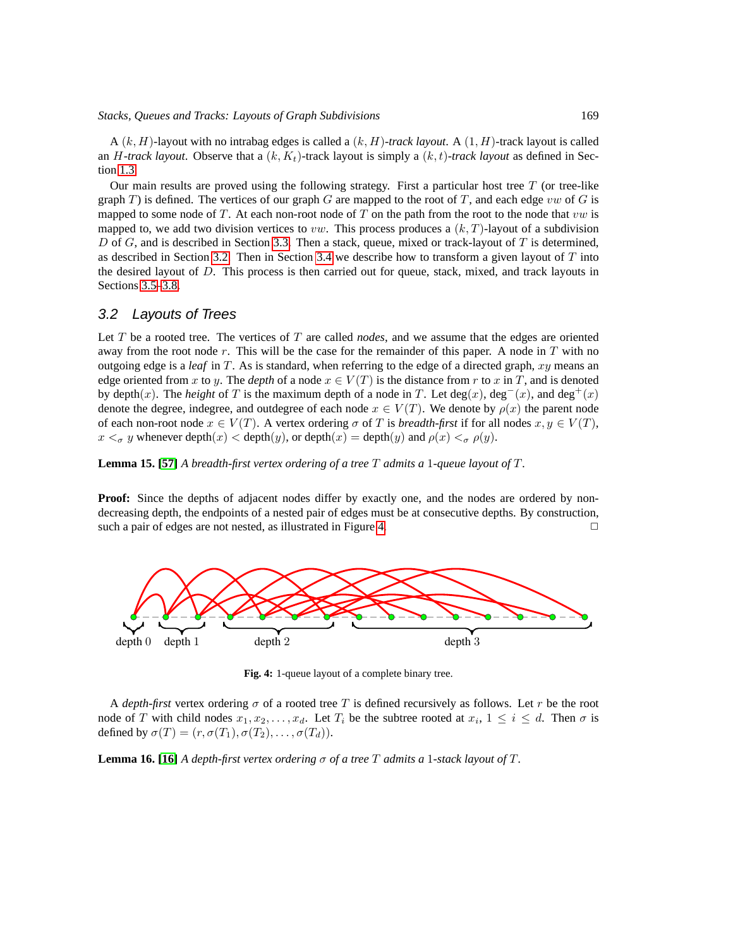#### *Stacks, Queues and Tracks: Layouts of Graph Subdivisions* 169

 $A(k, H)$ -layout with no intrabag edges is called a  $(k, H)$ -track layout. A  $(1, H)$ -track layout is called an H-track layout. Observe that a  $(k, K_t)$ -track layout is simply a  $(k, t)$ -track layout as defined in Section [1.3.](#page-4-2)

Our main results are proved using the following strategy. First a particular host tree  $T$  (or tree-like graph T) is defined. The vertices of our graph G are mapped to the root of T, and each edge vw of G is mapped to some node of T. At each non-root node of T on the path from the root to the node that  $vw$  is mapped to, we add two division vertices to *vw*. This process produces a  $(k, T)$ -layout of a subdivision D of G, and is described in Section [3.3.](#page-16-0) Then a stack, queue, mixed or track-layout of T is determined, as described in Section [3.2.](#page-14-2) Then in Section [3.4](#page-19-1) we describe how to transform a given layout of  $T$  into the desired layout of  $D$ . This process is then carried out for queue, stack, mixed, and track layouts in Sections [3.5–](#page-22-1)[3.8.](#page-29-0)

#### <span id="page-14-2"></span>3.2 Layouts of Trees

Let T be a rooted tree. The vertices of T are called *nodes*, and we assume that the edges are oriented away from the root node  $r$ . This will be the case for the remainder of this paper. A node in  $T$  with no outgoing edge is a *leaf* in T. As is standard, when referring to the edge of a directed graph, xy means an edge oriented from x to y. The *depth* of a node  $x \in V(T)$  is the distance from r to x in T, and is denoted by depth(x). The *height* of T is the maximum depth of a node in T. Let deg(x), deg<sup>-</sup>(x), and deg<sup>+</sup>(x) denote the degree, indegree, and outdegree of each node  $x \in V(T)$ . We denote by  $\rho(x)$  the parent node of each non-root node  $x \in V(T)$ . A vertex ordering  $\sigma$  of T is *breadth-first* if for all nodes  $x, y \in V(T)$ ,  $x <_{\sigma} y$  whenever depth $(x) <$  depth $(y)$ , or depth $(x) =$  depth $(y)$  and  $\rho(x) <_{\sigma} \rho(y)$ .

<span id="page-14-0"></span>**Lemma 15. [\[57\]](#page-43-13)** *A breadth-first vertex ordering of a tree* T *admits a* 1*-queue layout of* T*.*

**Proof:** Since the depths of adjacent nodes differ by exactly one, and the nodes are ordered by nondecreasing depth, the endpoints of a nested pair of edges must be at consecutive depths. By construction, such a pair of edges are not nested, as illustrated in Figure [4.](#page-14-3)  $\Box$ 



<span id="page-14-3"></span>**Fig. 4:** 1-queue layout of a complete binary tree.

A *depth-first* vertex ordering  $\sigma$  of a rooted tree T is defined recursively as follows. Let r be the root node of T with child nodes  $x_1, x_2, ..., x_d$ . Let  $T_i$  be the subtree rooted at  $x_i, 1 \le i \le d$ . Then  $\sigma$  is defined by  $\sigma(T) = (r, \sigma(T_1), \sigma(T_2), \ldots, \sigma(T_d)).$ 

<span id="page-14-1"></span>**Lemma 16.** [\[16\]](#page-41-0) A depth-first vertex ordering  $\sigma$  of a tree  $T$  admits a 1-stack layout of  $T$ .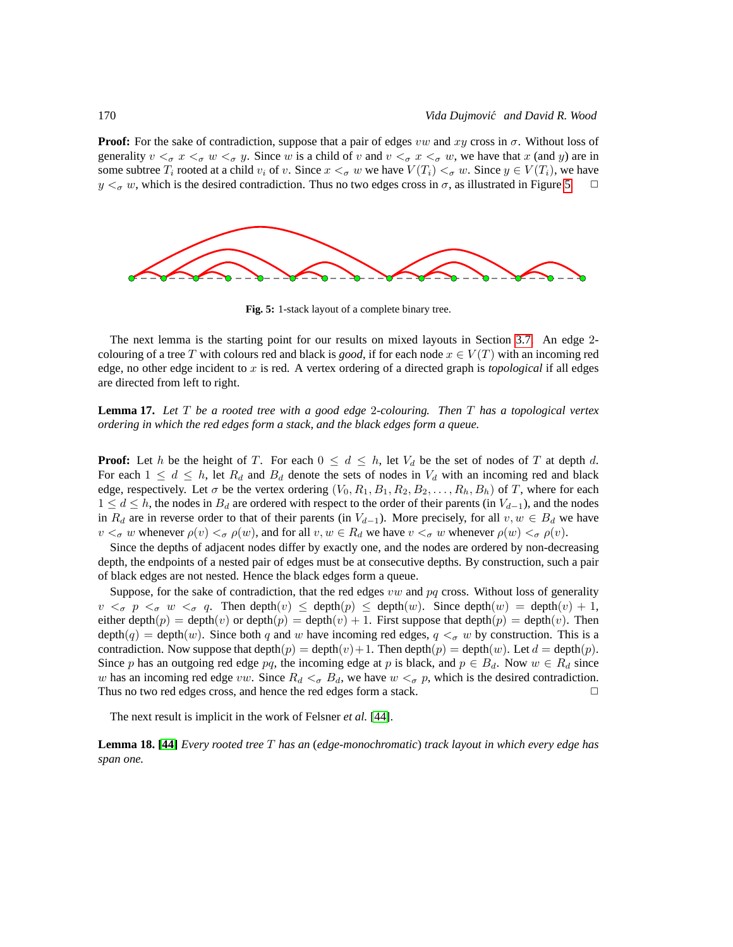**Proof:** For the sake of contradiction, suppose that a pair of edges vw and xy cross in  $\sigma$ . Without loss of generality  $v <_{\sigma} x <_{\sigma} w <_{\sigma} y$ . Since w is a child of v and  $v <_{\sigma} x <_{\sigma} w$ , we have that x (and y) are in some subtree  $T_i$  rooted at a child  $v_i$  of v. Since  $x <_{\sigma} w$  we have  $V(T_i) <_{\sigma} w$ . Since  $y \in V(T_i)$ , we have  $y <_{\sigma} w$ , which is the desired contradiction. Thus no two edges cross in  $\sigma$ , as illustrated in Figure 5.  $y <_{\sigma} w$ , which is the desired contradiction. Thus no two edges cross in  $\sigma$ , as illustrated in Figure [5.](#page-15-0)



<span id="page-15-0"></span>**Fig. 5:** 1-stack layout of a complete binary tree.

The next lemma is the starting point for our results on mixed layouts in Section [3.7.](#page-27-2) An edge 2 colouring of a tree T with colours red and black is *good*, if for each node  $x \in V(T)$  with an incoming red edge, no other edge incident to x is red. A vertex ordering of a directed graph is *topological* if all edges are directed from left to right.

<span id="page-15-1"></span>**Lemma 17.** *Let* T *be a rooted tree with a good edge* 2*-colouring. Then* T *has a topological vertex ordering in which the red edges form a stack, and the black edges form a queue.*

**Proof:** Let h be the height of T. For each  $0 \leq d \leq h$ , let  $V_d$  be the set of nodes of T at depth d. For each  $1 \leq d \leq h$ , let  $R_d$  and  $B_d$  denote the sets of nodes in  $V_d$  with an incoming red and black edge, respectively. Let  $\sigma$  be the vertex ordering  $(V_0, R_1, B_1, R_2, B_2, \ldots, R_h, B_h)$  of T, where for each  $1 \le d \le h$ , the nodes in  $B_d$  are ordered with respect to the order of their parents (in  $V_{d-1}$ ), and the nodes in  $R_d$  are in reverse order to that of their parents (in  $V_{d-1}$ ). More precisely, for all  $v, w \in B_d$  we have  $v <_{\sigma} w$  whenever  $\rho(v) <_{\sigma} \rho(w)$ , and for all  $v, w \in R_d$  we have  $v <_{\sigma} w$  whenever  $\rho(w) <_{\sigma} \rho(v)$ .

Since the depths of adjacent nodes differ by exactly one, and the nodes are ordered by non-decreasing depth, the endpoints of a nested pair of edges must be at consecutive depths. By construction, such a pair of black edges are not nested. Hence the black edges form a queue.

Suppose, for the sake of contradiction, that the red edges  $vw$  and  $pq$  cross. Without loss of generality  $v <_{\sigma} p <_{\sigma} w <_{\sigma} q$ . Then depth $(v) \leq$  depth $(p) \leq$  depth $(w)$ . Since depth $(w) =$  depth $(v) + 1$ , either depth $(p) = \text{depth}(v)$  or depth $(p) = \text{depth}(v) + 1$ . First suppose that  $\text{depth}(p) = \text{depth}(v)$ . Then  $depth(q) = depth(w)$ . Since both q and w have incoming red edges,  $q <_{\sigma} w$  by construction. This is a contradiction. Now suppose that depth $(p) = \text{depth}(v) + 1$ . Then depth $(p) = \text{depth}(w)$ . Let  $d = \text{depth}(p)$ . Since p has an outgoing red edge pq, the incoming edge at p is black, and  $p \in B_d$ . Now  $w \in R_d$  since w has an incoming red edge vw. Since  $R_d <_{\sigma} B_d$ , we have  $w <_{\sigma} p$ , which is the desired contradiction. Thus no two red edges cross, and hence the red edges form a stack.  $\Box$ 

<span id="page-15-2"></span>The next result is implicit in the work of Felsner *et al.* [\[44\]](#page-43-7).

**Lemma 18. [\[44\]](#page-43-7)** *Every rooted tree* T *has an* (*edge-monochromatic*) *track layout in which every edge has span one.*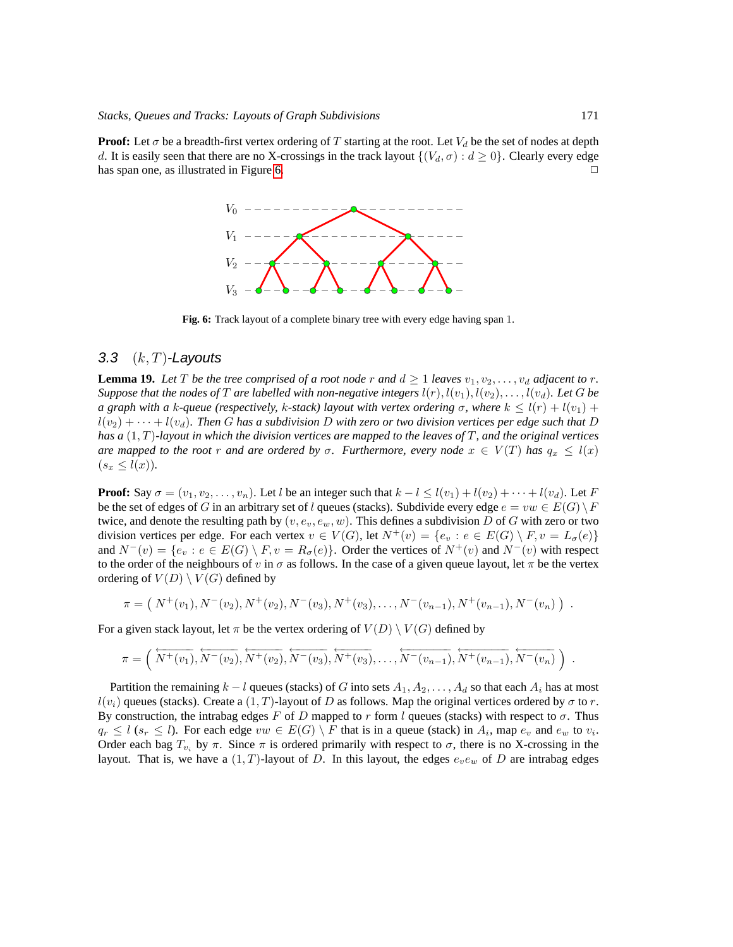**Proof:** Let  $\sigma$  be a breadth-first vertex ordering of T starting at the root. Let  $V_d$  be the set of nodes at depth d. It is easily seen that there are no X-crossings in the track layout  $\{(V_d, \sigma) : d \geq 0\}$ . Clearly every edge has span one, as illustrated in Figure [6.](#page-16-1)



<span id="page-16-1"></span>**Fig. 6:** Track layout of a complete binary tree with every edge having span 1.

#### <span id="page-16-0"></span>3.3  $(k, T)$ -Layouts

<span id="page-16-2"></span>**Lemma 19.** Let T be the tree comprised of a root node r and  $d \geq 1$  leaves  $v_1, v_2, \ldots, v_d$  adjacent to r. *Suppose that the nodes of* T are labelled with non-negative integers  $l(r)$ ,  $l(v_1)$ ,  $l(v_2)$ , ...,  $l(v_d)$ . Let G be *a graph with a k-queue (respectively, k-stack) layout with vertex ordering*  $\sigma$ *, where*  $k \leq l(r) + l(v_1) + l(v_2)$  $l(v_2) + \cdots + l(v_d)$ . Then G has a subdivision D with zero or two division vertices per edge such that D *has a* (1, T)*-layout in which the division vertices are mapped to the leaves of* T*, and the original vertices are mapped to the root* r *and are ordered by*  $\sigma$ . Furthermore, every node  $x \in V(T)$  has  $q_x \leq l(x)$  $(s_x \leq l(x)).$ 

**Proof:** Say  $\sigma = (v_1, v_2, \dots, v_n)$ . Let l be an integer such that  $k - l \leq l(v_1) + l(v_2) + \dots + l(v_d)$ . Let F be the set of edges of G in an arbitrary set of l queues (stacks). Subdivide every edge  $e = vw \in E(G) \backslash F$ twice, and denote the resulting path by  $(v, e_v, e_w, w)$ . This defines a subdivision D of G with zero or two division vertices per edge. For each vertex  $v \in V(G)$ , let  $N^+(v) = \{e_v : e \in E(G) \setminus F, v = L_{\sigma}(e)\}\$ and  $N^-(v) = \{e_v : e \in E(G) \setminus F, v = R_{\sigma}(e)\}\.$  Order the vertices of  $N^+(v)$  and  $N^-(v)$  with respect to the order of the neighbours of v in  $\sigma$  as follows. In the case of a given queue layout, let  $\pi$  be the vertex ordering of  $V(D) \setminus V(G)$  defined by

$$
\pi = (N^+(v_1), N^-(v_2), N^+(v_2), N^-(v_3), N^+(v_3), \dots, N^-(v_{n-1}), N^+(v_{n-1}), N^-(v_n))
$$

For a given stack layout, let  $\pi$  be the vertex ordering of  $V(D) \setminus V(G)$  defined by

$$
\pi = \left(\overleftarrow{N^+(v_1)}, \overleftarrow{N^-(v_2)}, \overleftarrow{N^+(v_2)}, \overleftarrow{N^-(v_3)}, \overleftarrow{N^+(v_3)}, \ldots, \overleftarrow{N^-(v_{n-1})}, \overleftarrow{N^+(v_{n-1})}, \overleftarrow{N^-(v_n)}\right)\right\}.
$$

Partition the remaining  $k - l$  queues (stacks) of G into sets  $A_1, A_2, \ldots, A_d$  so that each  $A_i$  has at most  $l(v_i)$  queues (stacks). Create a  $(1, T)$ -layout of D as follows. Map the original vertices ordered by  $\sigma$  to r. By construction, the intrabag edges F of D mapped to r form l queues (stacks) with respect to  $\sigma$ . Thus  $q_r \leq l$  ( $s_r \leq l$ ). For each edge  $vw \in E(G) \setminus F$  that is in a queue (stack) in  $A_i$ , map  $e_v$  and  $e_w$  to  $v_i$ . Order each bag  $T_{v_i}$  by  $\pi$ . Since  $\pi$  is ordered primarily with respect to  $\sigma$ , there is no X-crossing in the layout. That is, we have a  $(1, T)$ -layout of D. In this layout, the edges  $e_v e_w$  of D are intrabag edges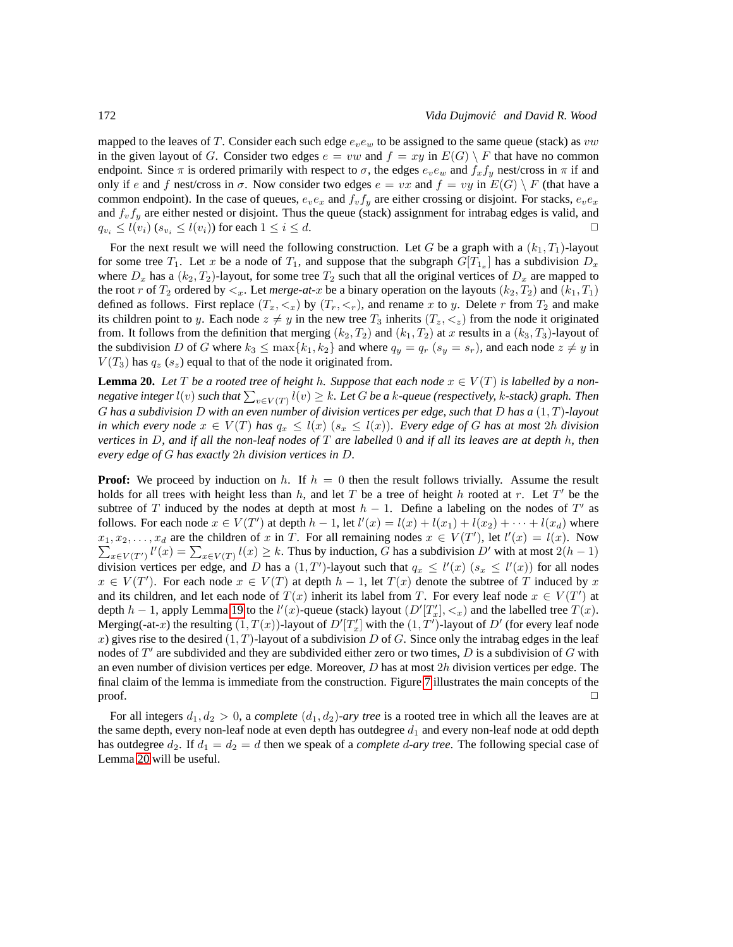mapped to the leaves of T. Consider each such edge  $e_{\nu}e_{\nu}$  to be assigned to the same queue (stack) as  $vw$ in the given layout of G. Consider two edges  $e = vw$  and  $f = xy$  in  $E(G) \setminus F$  that have no common endpoint. Since  $\pi$  is ordered primarily with respect to  $\sigma$ , the edges  $e_v e_w$  and  $f_x f_y$  nest/cross in  $\pi$  if and only if e and f nest/cross in  $\sigma$ . Now consider two edges  $e = vx$  and  $f = vy$  in  $E(G) \setminus F$  (that have a common endpoint). In the case of queues,  $e_v e_x$  and  $f_v f_y$  are either crossing or disjoint. For stacks,  $e_v e_x$ and  $f_v f_y$  are either nested or disjoint. Thus the queue (stack) assignment for intrabag edges is valid, and  $q_{v_i} \leq l(v_i)$  ( $s_{v_i} \leq l(v_i)$ ) for each  $1 \leq i \leq d$ .

For the next result we will need the following construction. Let G be a graph with a  $(k_1, T_1)$ -layout for some tree  $T_1$ . Let x be a node of  $T_1$ , and suppose that the subgraph  $G[T_{1_x}]$  has a subdivision  $D_x$ where  $D_x$  has a  $(k_2, T_2)$ -layout, for some tree  $T_2$  such that all the original vertices of  $D_x$  are mapped to the root r of  $T_2$  ordered by  $\lt_x$ . Let *merge-at-x* be a binary operation on the layouts  $(k_2, T_2)$  and  $(k_1, T_1)$ defined as follows. First replace  $(T_x, \langle x \rangle)$  by  $(T_r, \langle x \rangle)$ , and rename x to y. Delete r from  $T_2$  and make its children point to y. Each node  $z \neq y$  in the new tree  $T_3$  inherits  $(T_z, \langle z \rangle)$  from the node it originated from. It follows from the definition that merging  $(k_2, T_2)$  and  $(k_1, T_2)$  at x results in a  $(k_3, T_3)$ -layout of the subdivision D of G where  $k_3 \le \max\{k_1, k_2\}$  and where  $q_y = q_r$   $(s_y = s_r)$ , and each node  $z \ne y$  in  $V(T_3)$  has  $q_z$  (s<sub>z</sub>) equal to that of the node it originated from.

<span id="page-17-0"></span>**Lemma 20.** *Let* T be a rooted tree of height h. Suppose that each node  $x \in V(T)$  is labelled by a non $n$ egative integer  $l(v)$  such that  $\sum_{v\in V(T)} l(v) \geq k.$  Let  $G$  be a k-queue (respectively, k-stack) graph. Then G *has a subdivision* D *with an even number of division vertices per edge, such that* D *has a* (1, T)*-layout in which every node*  $x \in V(T)$  *has*  $q_x \leq l(x)$  ( $s_x \leq l(x)$ )*. Every edge of G has at most* 2*h division vertices in* D*, and if all the non-leaf nodes of* T *are labelled* 0 *and if all its leaves are at depth* h*, then every edge of* G *has exactly* 2h *division vertices in* D*.*

**Proof:** We proceed by induction on h. If  $h = 0$  then the result follows trivially. Assume the result holds for all trees with height less than  $h$ , and let  $T$  be a tree of height  $h$  rooted at  $r$ . Let  $T'$  be the subtree of T induced by the nodes at depth at most  $h - 1$ . Define a labeling on the nodes of T' as follows. For each node  $x \in V(T')$  at depth  $h-1$ , let  $l'(x) = l(x) + l(x_1) + l(x_2) + \cdots + l(x_d)$  where  $x_1, x_2, \ldots, x_d$  are the children of x in T. For all remaining nodes  $x \in V(T')$ , let  $l'(x) = l(x)$ . Now  $\sum_{x \in V(T')} l'(x) = \sum_{x \in V(T)} l(x) \ge k$ . Thus by induction, G has a subdivision D' with at most  $2(h-1)$ division vertices per edge, and D has a  $(1, T')$ -layout such that  $q_x \le l'(x)$   $(s_x \le l'(x))$  for all nodes  $x \in V(T')$ . For each node  $x \in V(T)$  at depth  $h - 1$ , let  $T(x)$  denote the subtree of T induced by x and its children, and let each node of  $T(x)$  inherit its label from T. For every leaf node  $x \in V(T')$  at depth  $h-1$ , apply Lemma [19](#page-16-2) to the  $l'(x)$ -queue (stack) layout  $(D'[T'_x], <_x)$  and the labelled tree  $T(x)$ . Merging(-at-x) the resulting  $(1, T(x))$ -layout of  $D'[T'_x]$  with the  $(1, T')$ -layout of  $D'$  (for every leaf node x) gives rise to the desired  $(1, T)$ -layout of a subdivision D of G. Since only the intrabag edges in the leaf nodes of  $T'$  are subdivided and they are subdivided either zero or two times,  $D$  is a subdivision of  $G$  with an even number of division vertices per edge. Moreover,  $D$  has at most  $2h$  division vertices per edge. The final claim of the lemma is immediate from the construction. Figure [7](#page-18-0) illustrates the main concepts of the  $\Box$ 

For all integers  $d_1, d_2 > 0$ , a *complete*  $(d_1, d_2)$ *-ary tree* is a rooted tree in which all the leaves are at the same depth, every non-leaf node at even depth has outdegree  $d_1$  and every non-leaf node at odd depth has outdegree  $d_2$ . If  $d_1 = d_2 = d$  then we speak of a *complete* d-ary tree. The following special case of Lemma [20](#page-17-0) will be useful.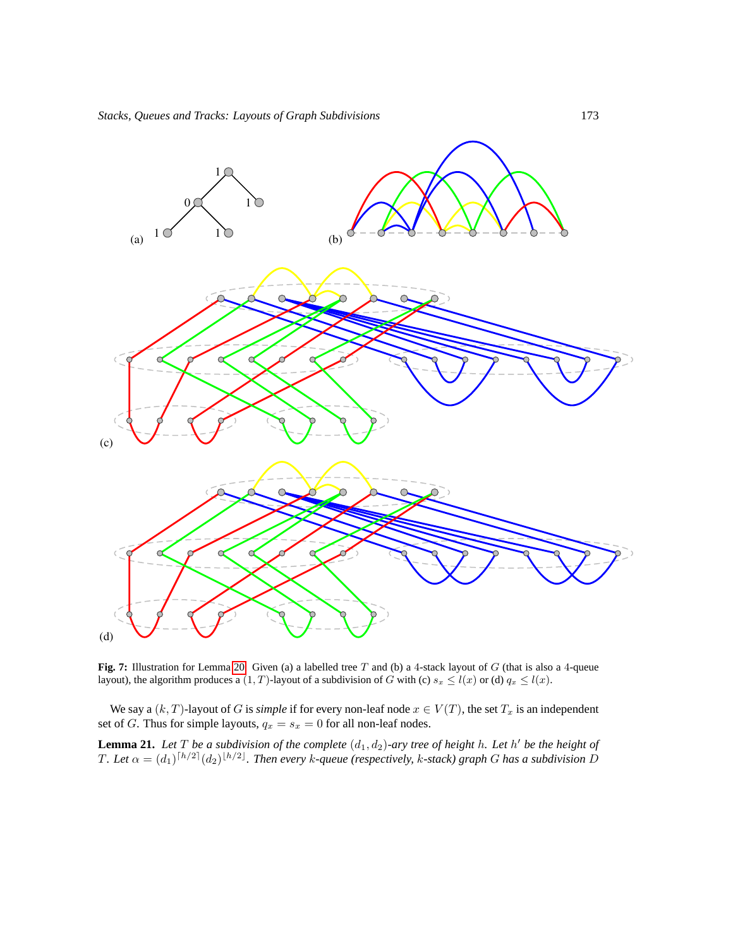

<span id="page-18-0"></span>**Fig. 7:** Illustration for Lemma [20.](#page-17-0) Given (a) a labelled tree T and (b) a 4-stack layout of G (that is also a 4-queue layout), the algorithm produces a  $(1, T)$ -layout of a subdivision of G with (c)  $s_x \le l(x)$  or (d)  $q_x \le l(x)$ .

We say a  $(k, T)$ -layout of G is *simple* if for every non-leaf node  $x \in V(T)$ , the set  $T_x$  is an independent set of G. Thus for simple layouts,  $q_x = s_x = 0$  for all non-leaf nodes.

<span id="page-18-1"></span>**Lemma 21.** Let T be a subdivision of the complete  $(d_1, d_2)$ -ary tree of height h. Let h' be the height of T. Let  $\alpha = (d_1)^{\lceil h/2 \rceil} (d_2)^{\lfloor h/2 \rfloor}$ . Then every k-queue (respectively, k-stack) graph G has a subdivision D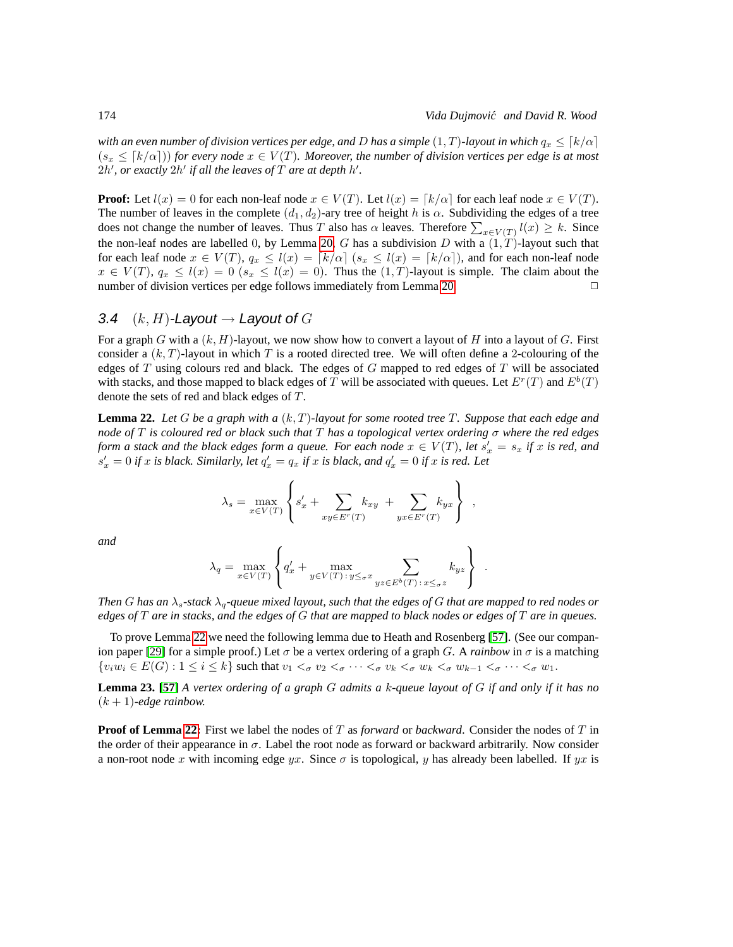*with an even number of division vertices per edge, and* D *has a simple*  $(1, T)$ *-layout in which*  $q_x \leq [k/\alpha]$  $(s_x \leq [k/\alpha])$  *for every node*  $x \in V(T)$ *. Moreover, the number of division vertices per edge is at most*  $2h'$ , or exactly  $2h'$  if all the leaves of  $T$  are at depth  $h'$ .

**Proof:** Let  $l(x) = 0$  for each non-leaf node  $x \in V(T)$ . Let  $l(x) = \lceil k/\alpha \rceil$  for each leaf node  $x \in V(T)$ . The number of leaves in the complete  $(d_1, d_2)$ -ary tree of height h is  $\alpha$ . Subdividing the edges of a tree does not change the number of leaves. Thus T also has  $\alpha$  leaves. Therefore  $\sum_{x \in V(T)} l(x) \geq k$ . Since the non-leaf nodes are labelled 0, by Lemma [20,](#page-17-0) G has a subdivision D with a  $(1, T)$ -layout such that for each leaf node  $x \in V(T)$ ,  $q_x \leq l(x) = \lceil k/\alpha \rceil$  ( $s_x \leq l(x) = \lceil k/\alpha \rceil$ ), and for each non-leaf node  $x \in V(T)$ ,  $q_x \le l(x) = 0$  ( $s_x \le l(x) = 0$ ). Thus the  $(1, T)$ -layout is simple. The claim about the number of division vertices per edge follows immediately from Lemma 20 number of division vertices per edge follows immediately from Lemma [20.](#page-17-0)

#### <span id="page-19-1"></span>3.4  $(k, H)$ -Layout  $\rightarrow$  Layout of G

For a graph G with a  $(k, H)$ -layout, we now show how to convert a layout of H into a layout of G. First consider a  $(k, T)$ -layout in which T is a rooted directed tree. We will often define a 2-colouring of the edges of  $T$  using colours red and black. The edges of  $G$  mapped to red edges of  $T$  will be associated with stacks, and those mapped to black edges of T will be associated with queues. Let  $E^r(T)$  and  $E^b(T)$ denote the sets of red and black edges of T.

<span id="page-19-2"></span>**Lemma 22.** *Let* G *be a graph with a* (k, T)*-layout for some rooted tree* T*. Suppose that each edge and node of* T *is coloured red or black such that* T *has a topological vertex ordering* σ *where the red edges form a stack and the black edges form a queue. For each node*  $x \in V(T)$ , let  $s'_x = s_x$  *if* x *is red, and*  $s'_x = 0$  *if* x *is black.* Similarly, let  $q'_x = q_x$  *if* x *is black, and*  $q'_x = 0$  *if* x *is red.* Let

$$
\lambda_s = \max_{x \in V(T)} \left\{ s'_x + \sum_{xy \in E^r(T)} k_{xy} + \sum_{yx \in E^r(T)} k_{yx} \right\} ,
$$

*and*

$$
\lambda_q = \max_{x \in V(T)} \left\{ q'_x + \max_{y \in V(T) : y \le \sigma^x} \sum_{yz \in E^b(T) : x \le \sigma^z} k_{yz} \right\} .
$$

*Then* G has an  $\lambda_s$ -stack  $\lambda_q$ -queue mixed layout, such that the edges of G that are mapped to red nodes or *edges of* T *are in stacks, and the edges of* G *that are mapped to black nodes or edges of* T *are in queues.*

To prove Lemma [22](#page-19-2) we need the following lemma due to Heath and Rosenberg [\[57\]](#page-43-13). (See our compan-ion paper [\[29\]](#page-42-0) for a simple proof.) Let  $\sigma$  be a vertex ordering of a graph G. A *rainbow* in  $\sigma$  is a matching  $\{v_iw_i \in E(G) : 1 \leq i \leq k\}$  such that  $v_1 <_{\sigma} v_2 <_{\sigma} \cdots <_{\sigma} v_k <_{\sigma} w_k <_{\sigma} w_{k-1} <_{\sigma} \cdots <_{\sigma} w_1$ .

<span id="page-19-0"></span>**Lemma 23. [\[57\]](#page-43-13)** *A vertex ordering of a graph* G *admits a* k*-queue layout of* G *if and only if it has no*  $(k + 1)$ -edge rainbow.

**Proof of Lemma [22:](#page-19-2)** First we label the nodes of T as *forward* or *backward*. Consider the nodes of T in the order of their appearance in  $\sigma$ . Label the root node as forward or backward arbitrarily. Now consider a non-root node x with incoming edge yx. Since  $\sigma$  is topological, y has already been labelled. If yx is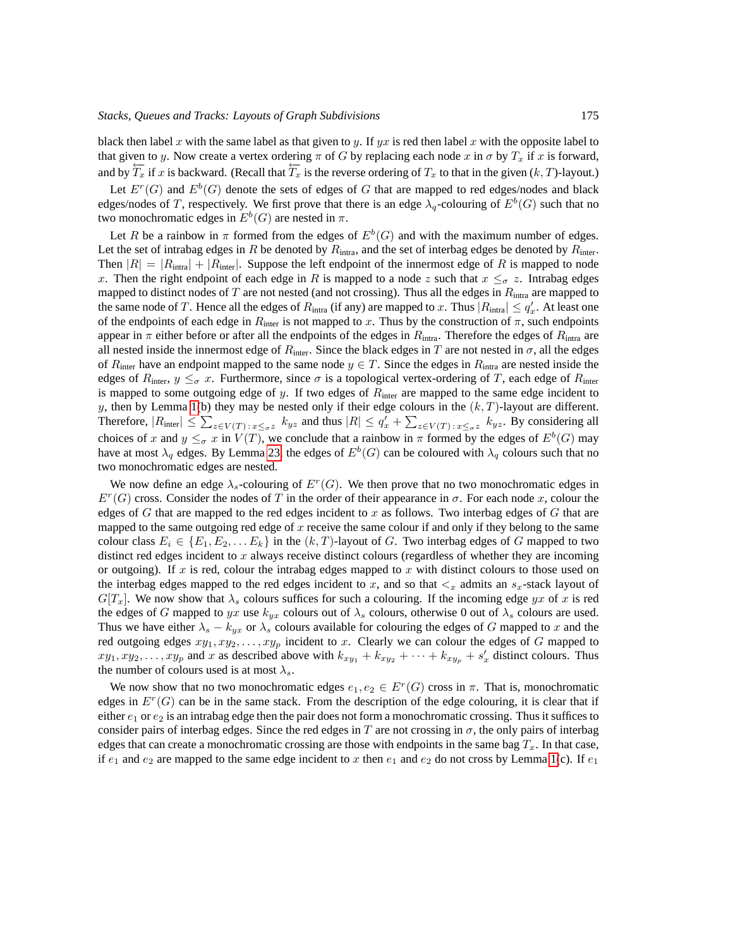black then label x with the same label as that given to y. If yx is red then label x with the opposite label to that given to y. Now create a vertex ordering  $\pi$  of G by replacing each node x in  $\sigma$  by  $T_x$  if x is forward, and by  $\overleftarrow{T}_x$  if x is backward. (Recall that  $\overleftarrow{T}_x$  is the reverse ordering of  $T_x$  to that in the given  $(k, T)$ -layout.)

Let  $E^r(G)$  and  $E^b(G)$  denote the sets of edges of G that are mapped to red edges/nodes and black edges/nodes of T, respectively. We first prove that there is an edge  $\lambda_q$ -colouring of  $E^b(G)$  such that no two monochromatic edges in  $E^b(G)$  are nested in  $\pi$ .

Let R be a rainbow in  $\pi$  formed from the edges of  $E^b(G)$  and with the maximum number of edges. Let the set of intrabag edges in R be denoted by  $R_{intra}$ , and the set of interbag edges be denoted by  $R_{inter}$ . Then  $|R| = |R_{\text{intra}}| + |R_{\text{inter}}|$ . Suppose the left endpoint of the innermost edge of R is mapped to node x. Then the right endpoint of each edge in R is mapped to a node z such that  $x \leq_{\sigma} z$ . Intrabag edges mapped to distinct nodes of T are not nested (and not crossing). Thus all the edges in  $R_{intra}$  are mapped to the same node of T. Hence all the edges of  $R_{intra}$  (if any) are mapped to x. Thus  $|R_{intra}| \le q'_x$ . At least one of the endpoints of each edge in  $R_{\text{inter}}$  is not mapped to x. Thus by the construction of  $\pi$ , such endpoints appear in  $\pi$  either before or after all the endpoints of the edges in  $R_{intra}$ . Therefore the edges of  $R_{intra}$  are all nested inside the innermost edge of  $R_{\text{inter}}$ . Since the black edges in T are not nested in  $\sigma$ , all the edges of  $R_{\text{inter}}$  have an endpoint mapped to the same node  $y \in T$ . Since the edges in  $R_{\text{intra}}$  are nested inside the edges of  $R_{\text{inter}}$ ,  $y \leq_{\sigma} x$ . Furthermore, since  $\sigma$  is a topological vertex-ordering of T, each edge of  $R_{\text{inter}}$ is mapped to some outgoing edge of y. If two edges of  $R_{inter}$  are mapped to the same edge incident to y, then by Lemma [1\(](#page-4-1)b) they may be nested only if their edge colours in the  $(k, T)$ -layout are different. Therefore,  $|R_{\text{inter}}| \leq \sum_{z \in V(T)} \sum_{x \leq \sigma z} k_{yz}$  and thus  $|R| \leq q'_x + \sum_{z \in V(T)} \sum_{x \leq \sigma z} k_{yz}$ . By considering all choices of x and  $y \leq_{\sigma} x$  in  $V(T)$ , we conclude that a rainbow in  $\pi$  formed by the edges of  $E^b(G)$  may have at most  $\lambda_q$  edges. By Lemma [23,](#page-19-0) the edges of  $E^b(G)$  can be coloured with  $\lambda_q$  colours such that no two monochromatic edges are nested.

We now define an edge  $\lambda_s$ -colouring of  $E^r(G)$ . We then prove that no two monochromatic edges in  $E^r(G)$  cross. Consider the nodes of T in the order of their appearance in  $\sigma$ . For each node x, colour the edges of  $G$  that are mapped to the red edges incident to  $x$  as follows. Two interbag edges of  $G$  that are mapped to the same outgoing red edge of  $x$  receive the same colour if and only if they belong to the same colour class  $E_i \in \{E_1, E_2, \ldots E_k\}$  in the  $(k, T)$ -layout of G. Two interbag edges of G mapped to two distinct red edges incident to  $x$  always receive distinct colours (regardless of whether they are incoming or outgoing). If  $x$  is red, colour the intrabag edges mapped to  $x$  with distinct colours to those used on the interbag edges mapped to the red edges incident to x, and so that  $\lt_x$  admits an  $s_x$ -stack layout of  $G[T_x]$ . We now show that  $\lambda_s$  colours suffices for such a colouring. If the incoming edge yx of x is red the edges of G mapped to yx use  $k_{yx}$  colours out of  $\lambda_s$  colours, otherwise 0 out of  $\lambda_s$  colours are used. Thus we have either  $\lambda_s - k_{yx}$  or  $\lambda_s$  colours available for colouring the edges of G mapped to x and the red outgoing edges  $xy_1, xy_2, \ldots, xy_p$  incident to x. Clearly we can colour the edges of G mapped to  $xy_1, xy_2, \ldots, xy_p$  and x as described above with  $k_{xy_1} + k_{xy_2} + \cdots + k_{xy_p} + s'_x$  distinct colours. Thus the number of colours used is at most  $\lambda_s$ .

We now show that no two monochromatic edges  $e_1, e_2 \in E^r(G)$  cross in  $\pi$ . That is, monochromatic edges in  $E^r(G)$  can be in the same stack. From the description of the edge colouring, it is clear that if either  $e_1$  or  $e_2$  is an intrabag edge then the pair does not form a monochromatic crossing. Thus it suffices to consider pairs of interbag edges. Since the red edges in T are not crossing in  $\sigma$ , the only pairs of interbag edges that can create a monochromatic crossing are those with endpoints in the same bag  $T_x$ . In that case, if  $e_1$  and  $e_2$  are mapped to the same edge incident to x then  $e_1$  and  $e_2$  do not cross by Lemma [1\(](#page-4-1)c). If  $e_1$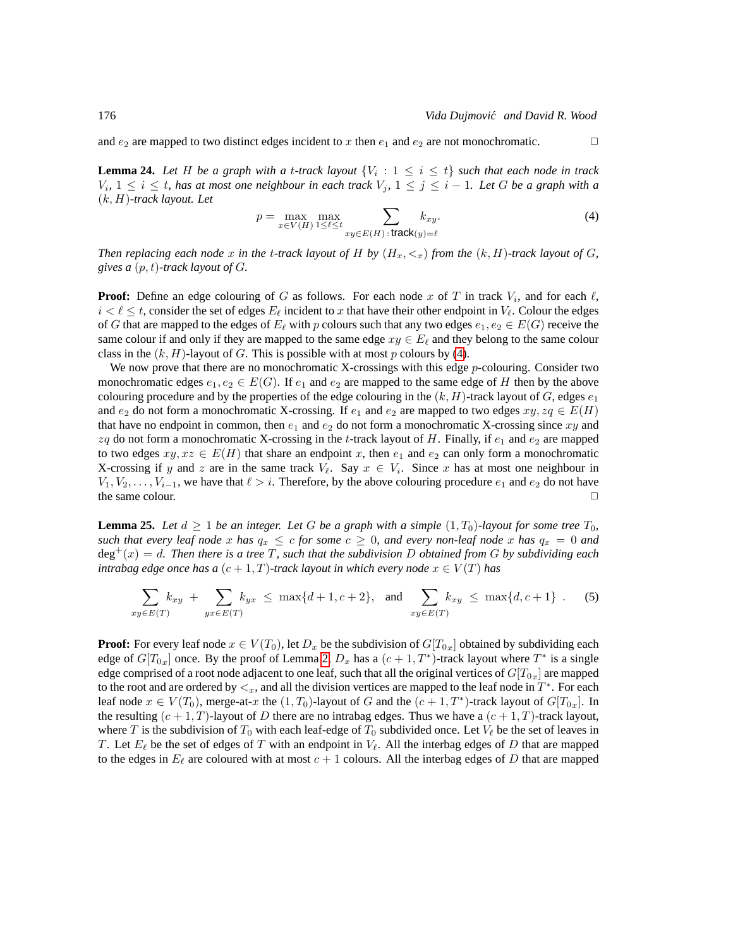<span id="page-21-3"></span>**Lemma 24.** Let H be a graph with a t-track layout  $\{V_i : 1 \leq i \leq t\}$  such that each node in track  $V_i$ ,  $1 \leq i \leq t$ , has at most one neighbour in each track  $V_j$ ,  $1 \leq j \leq i - 1$ . Let G be a graph with a (k, H)*-track layout. Let*

<span id="page-21-0"></span>
$$
p = \max_{x \in V(H)} \max_{1 \le \ell \le t} \sum_{xy \in E(H) \colon \mathbf{track}(y) = \ell} k_{xy}.\tag{4}
$$

*Then replacing each node* x *in the t-track layout of* H *by*  $(H_x, \langle x \rangle)$  *from the*  $(k, H)$ *-track layout of* G, *gives a* (p, t)*-track layout of* G*.*

**Proof:** Define an edge colouring of G as follows. For each node x of T in track  $V_i$ , and for each  $\ell$ ,  $i < \ell \leq t$ , consider the set of edges  $E_{\ell}$  incident to x that have their other endpoint in  $V_{\ell}$ . Colour the edges of G that are mapped to the edges of  $E_\ell$  with p colours such that any two edges  $e_1, e_2 \in E(G)$  receive the same colour if and only if they are mapped to the same edge  $xy \in E_\ell$  and they belong to the same colour class in the  $(k, H)$ -layout of G. This is possible with at most p colours by [\(4\)](#page-21-0).

We now prove that there are no monochromatic X-crossings with this edge p-colouring. Consider two monochromatic edges  $e_1, e_2 \in E(G)$ . If  $e_1$  and  $e_2$  are mapped to the same edge of H then by the above colouring procedure and by the properties of the edge colouring in the  $(k, H)$ -track layout of G, edges  $e_1$ and  $e_2$  do not form a monochromatic X-crossing. If  $e_1$  and  $e_2$  are mapped to two edges  $xy, zq \in E(H)$ that have no endpoint in common, then  $e_1$  and  $e_2$  do not form a monochromatic X-crossing since xy and  $zq$  do not form a monochromatic X-crossing in the t-track layout of H. Finally, if  $e_1$  and  $e_2$  are mapped to two edges  $xy, xz \in E(H)$  that share an endpoint x, then  $e_1$  and  $e_2$  can only form a monochromatic X-crossing if y and z are in the same track  $V_{\ell}$ . Say  $x \in V_i$ . Since x has at most one neighbour in  $V_1, V_2, \ldots, V_{i-1}$ , we have that  $\ell > i$ . Therefore, by the above colouring procedure  $e_1$  and  $e_2$  do not have the same colour.

<span id="page-21-2"></span>**Lemma 25.** Let  $d \geq 1$  be an integer. Let G be a graph with a simple  $(1, T_0)$ *-layout for some tree*  $T_0$ *, such that every leaf node* x *has*  $q_x \leq c$  *for some*  $c \geq 0$ *, and every non-leaf node* x *has*  $q_x = 0$  *and* deg<sup>+</sup>(x) = d*. Then there is a tree* T*, such that the subdivision* D *obtained from* G *by subdividing each intrabag edge once has a*  $(c + 1, T)$ -track layout in which every node  $x \in V(T)$  has

<span id="page-21-1"></span>
$$
\sum_{xy \in E(T)} k_{xy} + \sum_{yx \in E(T)} k_{yx} \le \max\{d+1, c+2\}, \text{ and } \sum_{xy \in E(T)} k_{xy} \le \max\{d, c+1\} . \tag{5}
$$

**Proof:** For every leaf node  $x \in V(T_0)$ , let  $D_x$  be the subdivision of  $G[T_0_x]$  obtained by subdividing each edge of  $G[T_{0x}]$  once. By the proof of Lemma [2,](#page-7-3)  $D_x$  has a  $(c+1, T^*)$ -track layout where  $T^*$  is a single edge comprised of a root node adjacent to one leaf, such that all the original vertices of  $G[T_{0x}]$  are mapped to the root and are ordered by  $\lt_x$ , and all the division vertices are mapped to the leaf node in  $T^*$ . For each leaf node  $x \in V(T_0)$ , merge-at-x the  $(1, T_0)$ -layout of G and the  $(c + 1, T^*)$ -track layout of  $G[T_{0x}]$ . In the resulting  $(c+1, T)$ -layout of D there are no intrabag edges. Thus we have a  $(c+1, T)$ -track layout, where T is the subdivision of  $T_0$  with each leaf-edge of  $T_0$  subdivided once. Let  $V_\ell$  be the set of leaves in T. Let  $E_\ell$  be the set of edges of T with an endpoint in  $V_\ell$ . All the interbag edges of D that are mapped to the edges in  $E_\ell$  are coloured with at most  $c + 1$  colours. All the interbag edges of D that are mapped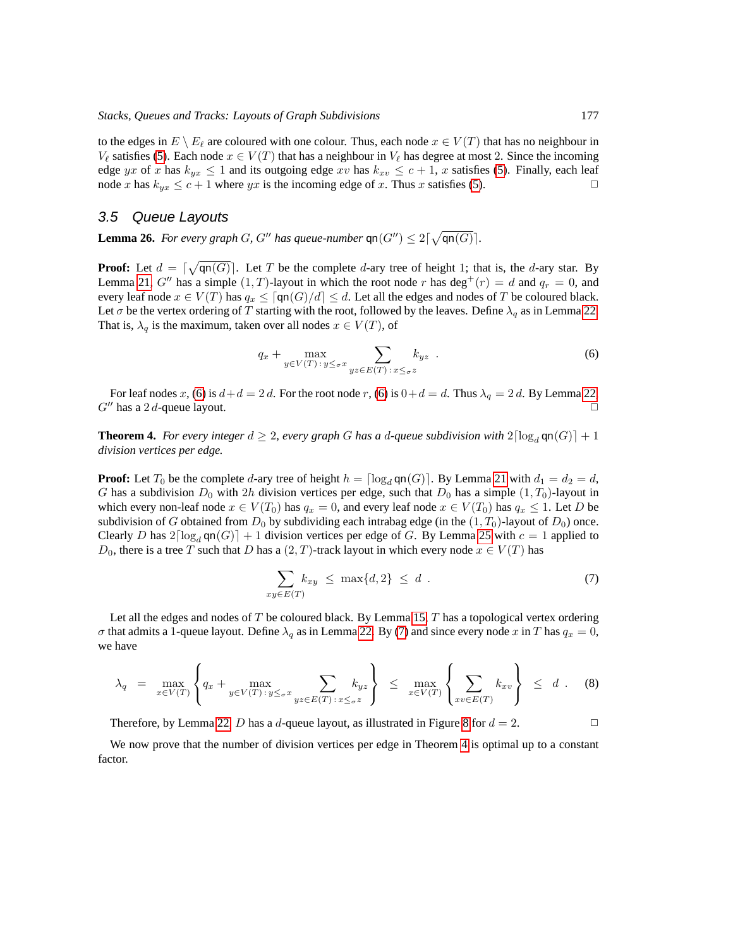to the edges in  $E \setminus E_\ell$  are coloured with one colour. Thus, each node  $x \in V(T)$  that has no neighbour in  $V_{\ell}$  satisfies [\(5\)](#page-21-1). Each node  $x \in V(T)$  that has a neighbour in  $V_{\ell}$  has degree at most 2. Since the incoming edge yx of x has  $k_{yx} \le 1$  and its outgoing edge xv has  $k_{xy} \le c + 1$ , x satisfies [\(5\)](#page-21-1). Finally, each leaf node x has  $k_{xx} \le c + 1$  where ux is the incoming edge of x. Thus x satisfies (5). node x has  $k_{yx} \leq c + 1$  where yx is the incoming edge of x. Thus x satisfies [\(5\)](#page-21-1).

#### <span id="page-22-1"></span>3.5 Queue Layouts

**Lemma 26.** For every graph G, G'' has queue-number  $\text{qn}(G'') \leq 2\lceil \sqrt{\text{qn}(G)} \rceil$ .

**Proof:** Let  $d = \lceil \sqrt{\text{qn}(G)} \rceil$ . Let T be the complete d-ary tree of height 1; that is, the d-ary star. By Lemma [21,](#page-18-1) G'' has a simple  $(1, T)$ -layout in which the root node r has deg<sup>+</sup> $(r) = d$  and  $q_r = 0$ , and every leaf node  $x \in V(T)$  has  $q_x \leq \lceil \mathsf{qn}(G)/d \rceil \leq d$ . Let all the edges and nodes of T be coloured black. Let  $\sigma$  be the vertex ordering of T starting with the root, followed by the leaves. Define  $\lambda_q$  as in Lemma [22.](#page-19-2) That is,  $\lambda_q$  is the maximum, taken over all nodes  $x \in V(T)$ , of

<span id="page-22-2"></span>
$$
q_x + \max_{y \in V(T) \,:\, y \leq_\sigma x} \sum_{yz \in E(T) \,:\, x \leq_\sigma z} k_{yz} \tag{6}
$$

For leaf nodes x, [\(6\)](#page-22-2) is  $d+d = 2d$ . For the root node r, (6) is  $0+d = d$ . Thus  $\lambda_q = 2d$ . By Lemma [22,](#page-19-2)  $G''$  has a 2 d-queue layout.

<span id="page-22-0"></span>**Theorem 4.** *For every integer*  $d \geq 2$ *, every graph* G *has a d-queue subdivision with*  $2\lceil \log_d \mathsf{qn}(G) \rceil + 1$ *division vertices per edge.*

**Proof:** Let  $T_0$  be the complete d-ary tree of height  $h = \lceil \log_d \text{qn}(G) \rceil$ . By Lemma [21](#page-18-1) with  $d_1 = d_2 = d$ , G has a subdivision  $D_0$  with 2h division vertices per edge, such that  $D_0$  has a simple  $(1, T_0)$ -layout in which every non-leaf node  $x \in V(T_0)$  has  $q_x = 0$ , and every leaf node  $x \in V(T_0)$  has  $q_x \leq 1$ . Let D be subdivision of G obtained from  $D_0$  by subdividing each intrabag edge (in the  $(1, T_0)$ -layout of  $D_0$ ) once. Clearly D has  $2\lceil \log_d \mathsf{qn}(G) \rceil + 1$  division vertices per edge of G. By Lemma [25](#page-21-2) with  $c = 1$  applied to  $D_0$ , there is a tree T such that D has a  $(2, T)$ -track layout in which every node  $x \in V(T)$  has

<span id="page-22-3"></span>
$$
\sum_{xy \in E(T)} k_{xy} \le \max\{d, 2\} \le d \tag{7}
$$

Let all the edges and nodes of  $T$  be coloured black. By Lemma [15,](#page-14-0)  $T$  has a topological vertex ordering  $\sigma$  that admits a 1-queue layout. Define  $\lambda_q$  as in Lemma [22.](#page-19-2) By [\(7\)](#page-22-3) and since every node x in T has  $q_x = 0$ , we have

$$
\lambda_q = \max_{x \in V(T)} \left\{ q_x + \max_{y \in V(T) : y \leq \sigma^x} \sum_{yz \in E(T) : x \leq \sigma^z} k_{yz} \right\} \leq \max_{x \in V(T)} \left\{ \sum_{xv \in E(T)} k_{xv} \right\} \leq d. \quad (8)
$$

Therefore, by Lemma [22,](#page-19-2) D has a d-queue layout, as illustrated in Figure [8](#page-23-1) for  $d = 2$ .

<span id="page-22-4"></span>We now prove that the number of division vertices per edge in Theorem [4](#page-22-0) is optimal up to a constant factor.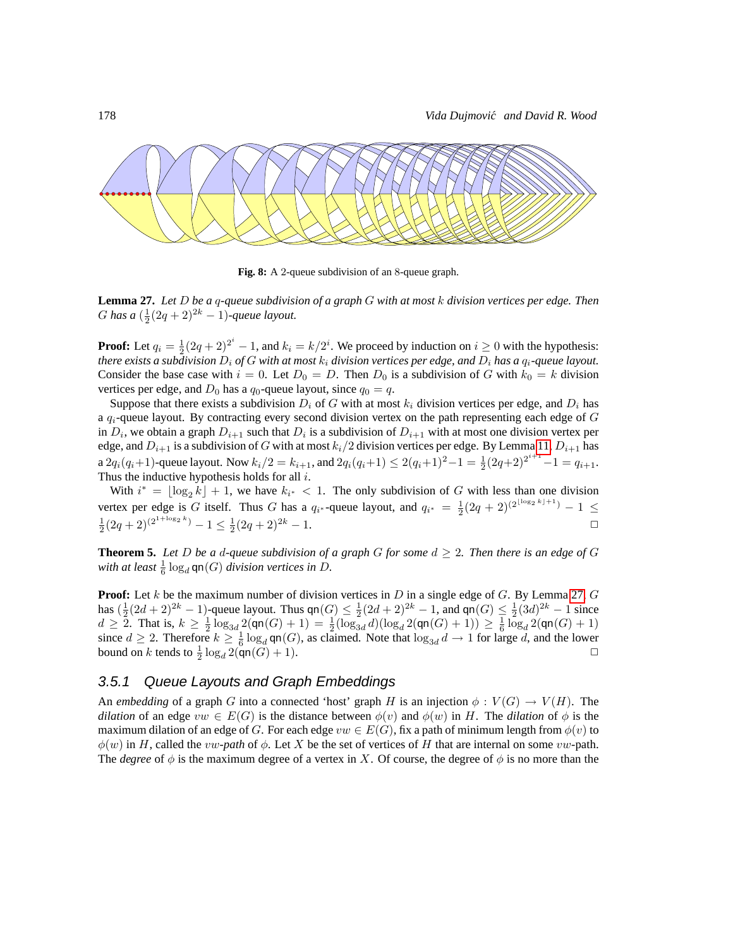

<span id="page-23-1"></span>**Fig. 8:** A 2-queue subdivision of an 8-queue graph.

**Lemma 27.** *Let* D *be a* q*-queue subdivision of a graph* G *with at most* k *division vertices per edge. Then* G has a  $(\frac{1}{2}(2q+2)^{2k}-1)$ -queue layout.

**Proof:** Let  $q_i = \frac{1}{2}(2q + 2)^{2^i} - 1$ , and  $k_i = k/2^i$ . We proceed by induction on  $i \ge 0$  with the hypothesis: *there exists a subdivision*  $D_i$  *of*  $G$  *with at most*  $k_i$  *division vertices per edge, and*  $D_i$  *has a*  $q_i$ *-queue layout.* Consider the base case with  $i = 0$ . Let  $D_0 = D$ . Then  $D_0$  is a subdivision of G with  $k_0 = k$  division vertices per edge, and  $D_0$  has a  $q_0$ -queue layout, since  $q_0 = q$ .

Suppose that there exists a subdivision  $D_i$  of G with at most  $k_i$  division vertices per edge, and  $D_i$  has a  $q_i$ -queue layout. By contracting every second division vertex on the path representing each edge of  $G$ in  $D_i$ , we obtain a graph  $D_{i+1}$  such that  $D_i$  is a subdivision of  $D_{i+1}$  with at most one division vertex per edge, and  $D_{i+1}$  is a subdivision of G with at most  $k_i/2$  division vertices per edge. By Lemma [11,](#page-11-3)  $D_{i+1}$  has a  $2q_i(q_i+1)$ -queue layout. Now  $k_i/2 = k_{i+1}$ , and  $2q_i(q_i+1) \leq 2(q_i+1)^2-1 = \frac{1}{2}(2q+2)^{2^{i+1}}-1 = q_{i+1}$ . Thus the inductive hypothesis holds for all  $i$ .

With  $i^* = \lfloor \log_2 k \rfloor + 1$ , we have  $k_{i^*} < 1$ . The only subdivision of G with less than one division vertex per edge is G itself. Thus G has a  $q_{i^*}$ -queue layout, and  $q_{i^*} = \frac{1}{2}(2q+2)^{(2^{\lfloor \log_2 k \rfloor + 1})} - 1 \le \frac{1}{2}(2q+2)^{(2^{1+\log_2 k})} - 1 \le \frac{1}{2}(2q+2)^{2k} - 1.$ 

<span id="page-23-0"></span>**Theorem 5.** Let D be a d-queue subdivision of a graph G for some  $d \geq 2$ . Then there is an edge of G with at least  $\frac{1}{6} \log_d \mathsf{qn}(G)$  division vertices in  $D$ .

**Proof:** Let k be the maximum number of division vertices in  $D$  in a single edge of  $G$ . By Lemma [27,](#page-22-4)  $G$ has  $(\frac{1}{2}(2d+2)^{2k}-1)$ -queue layout. Thus  $\varphi(n) \leq \frac{1}{2}(2d+2)^{2k}-1$ , and  $\varphi(n) \leq \frac{1}{2}(3d)^{2k}-1$  since  $d \geq 2$ . That is,  $k \geq \frac{1}{2} \log_{3d} 2(\text{qn}(G) + 1) = \frac{1}{2} (\log_{3d} d)(\log_d 2(\text{qn}(G) + 1)) \geq \frac{1}{6} \log_d 2(\text{qn}(G) + 1)$ since  $d \ge 2$ . Therefore  $k \ge \frac{1}{6} \log_d \text{qn}(G)$ , as claimed. Note that  $\log_{3d} d \to 1$  for large d, and the lower bound on  $k$  tends to  $\frac{1}{2}$  $\log_d 2(\mathsf{qn}(G) + 1).$ 

#### 3.5.1 Queue Layouts and Graph Embeddings

An *embedding* of a graph G into a connected 'host' graph H is an injection  $\phi : V(G) \to V(H)$ . The *dilation* of an edge  $vw \in E(G)$  is the distance between  $\phi(v)$  and  $\phi(w)$  in H. The *dilation* of  $\phi$  is the maximum dilation of an edge of G. For each edge  $vw \in E(G)$ , fix a path of minimum length from  $\phi(v)$  to  $\phi(w)$  in H, called the *vw-path* of  $\phi$ . Let X be the set of vertices of H that are internal on some *vw*-path. The *degree* of  $\phi$  is the maximum degree of a vertex in X. Of course, the degree of  $\phi$  is no more than the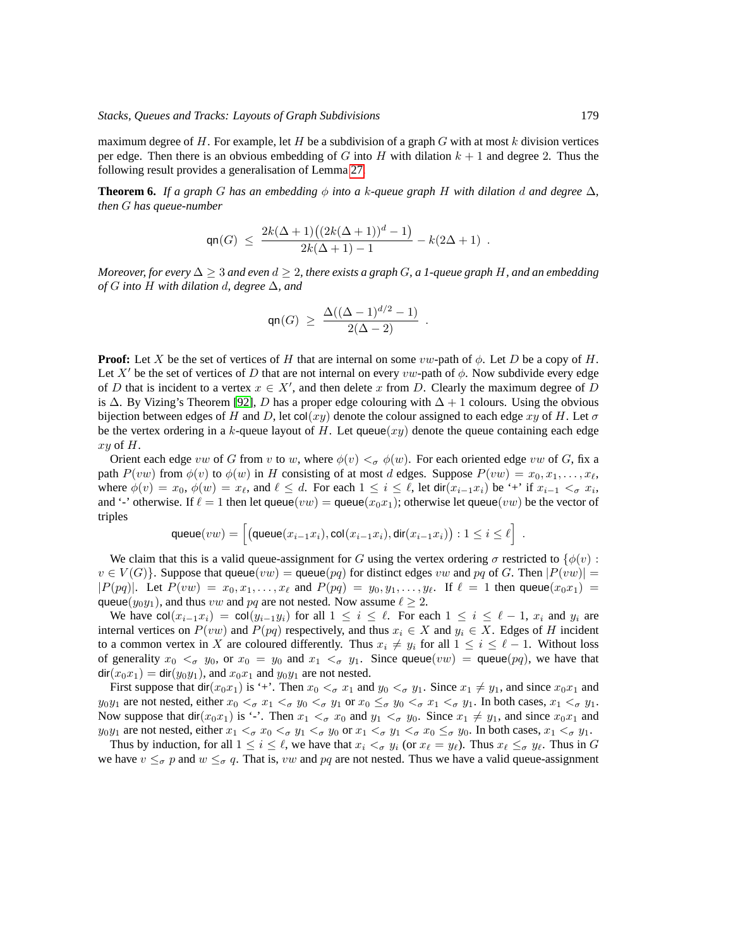maximum degree of H. For example, let H be a subdivision of a graph G with at most k division vertices per edge. Then there is an obvious embedding of G into H with dilation  $k + 1$  and degree 2. Thus the following result provides a generalisation of Lemma [27.](#page-22-4)

<span id="page-24-0"></span>**Theorem 6.** *If a graph* G *has an embedding*  $\phi$  *into a k-queue graph* H *with dilation* d *and degree*  $\Delta$ *, then* G *has queue-number*

$$
\operatorname{qn}(G) \ \leq \ \frac{2k(\Delta+1)\big((2k(\Delta+1))^d-1\big)}{2k(\Delta+1)-1} - k(2\Delta+1) \ .
$$

*Moreover, for every* ∆ ≥ 3 *and even* d ≥ 2*, there exists a graph* G*, a 1-queue graph* H*, and an embedding of* G *into* H *with dilation* d*, degree* ∆*, and*

$$
\mathsf{qn}(G) \ \geq \ \frac{\Delta((\Delta - 1)^{d/2} - 1)}{2(\Delta - 2)} \ \ .
$$

**Proof:** Let X be the set of vertices of H that are internal on some vw-path of  $\phi$ . Let D be a copy of H. Let X' be the set of vertices of D that are not internal on every vw-path of  $\phi$ . Now subdivide every edge of D that is incident to a vertex  $x \in X'$ , and then delete x from D. Clearly the maximum degree of D is  $\Delta$ . By Vizing's Theorem [\[92\]](#page-46-8), D has a proper edge colouring with  $\Delta + 1$  colours. Using the obvious bijection between edges of H and D, let col(xy) denote the colour assigned to each edge xy of H. Let  $\sigma$ be the vertex ordering in a k-queue layout of H. Let queue $(xy)$  denote the queue containing each edge  $xy$  of  $H$ .

Orient each edge vw of G from v to w, where  $\phi(v) <_{\sigma} \phi(w)$ . For each oriented edge vw of G, fix a path  $P(vw)$  from  $\phi(v)$  to  $\phi(w)$  in H consisting of at most d edges. Suppose  $P(vw) = x_0, x_1, \ldots, x_\ell$ , where  $\phi(v) = x_0$ ,  $\phi(w) = x_\ell$ , and  $\ell \le d$ . For each  $1 \le i \le \ell$ , let dir $(x_{i-1}x_i)$  be '+' if  $x_{i-1} < \sigma x_i$ , and '-' otherwise. If  $\ell = 1$  then let queue $(vw) = \text{queue}(x_0x_1)$ ; otherwise let queue $(vw)$  be the vector of triples

$$
\mathsf{queue}(vw) = \left[ \left( \mathsf{queue}(x_{i-1}x_i), \mathsf{col}(x_{i-1}x_i), \mathsf{dir}(x_{i-1}x_i) \right) : 1 \leq i \leq \ell \right] \ .
$$

We claim that this is a valid queue-assignment for G using the vertex ordering  $\sigma$  restricted to  $\{\phi(v):$  $v \in V(G)$ . Suppose that queue $(vw) =$  queue $(pq)$  for distinct edges vw and pq of G. Then  $|P(vw)| =$  $|P(pq)|$ . Let  $P(vw) = x_0, x_1, \ldots, x_\ell$  and  $P(pq) = y_0, y_1, \ldots, y_\ell$ . If  $\ell = 1$  then queue $(x_0x_1)$ queue( $y_0y_1$ ), and thus vw and pq are not nested. Now assume  $\ell \geq 2$ .

We have  $col(x_{i-1}x_i) = col(y_{i-1}y_i)$  for all  $1 \leq i \leq \ell$ . For each  $1 \leq i \leq \ell - 1$ ,  $x_i$  and  $y_i$  are internal vertices on  $P(vw)$  and  $P(pq)$  respectively, and thus  $x_i \in X$  and  $y_i \in X$ . Edges of H incident to a common vertex in X are coloured differently. Thus  $x_i \neq y_i$  for all  $1 \leq i \leq \ell - 1$ . Without loss of generality  $x_0 <_{\sigma} y_0$ , or  $x_0 = y_0$  and  $x_1 <_{\sigma} y_1$ . Since queue $(vw) = \text{queue}(pq)$ , we have that  $\text{dir}(x_0x_1) = \text{dir}(y_0y_1)$ , and  $x_0x_1$  and  $y_0y_1$  are not nested.

First suppose that  $\text{dir}(x_0x_1)$  is '+'. Then  $x_0 <_{\sigma} x_1$  and  $y_0 <_{\sigma} y_1$ . Since  $x_1 \neq y_1$ , and since  $x_0x_1$  and  $y_0y_1$  are not nested, either  $x_0 <_{\sigma} x_1 <_{\sigma} y_0 <_{\sigma} y_1$  or  $x_0 \le_{\sigma} y_0 <_{\sigma} x_1 <_{\sigma} y_1$ . In both cases,  $x_1 <_{\sigma} y_1$ . Now suppose that dir( $x_0x_1$ ) is '-'. Then  $x_1 <_{\sigma} x_0$  and  $y_1 <_{\sigma} y_0$ . Since  $x_1 \neq y_1$ , and since  $x_0x_1$  and  $y_0y_1$  are not nested, either  $x_1 <_{\sigma} x_0 <_{\sigma} y_1 <_{\sigma} y_0$  or  $x_1 <_{\sigma} y_1 <_{\sigma} x_0 \leq_{\sigma} y_0$ . In both cases,  $x_1 <_{\sigma} y_1$ .

Thus by induction, for all  $1 \leq i \leq \ell$ , we have that  $x_i <_{\sigma} y_i$  (or  $x_{\ell} = y_{\ell}$ ). Thus  $x_{\ell} \leq_{\sigma} y_{\ell}$ . Thus in G we have  $v \leq_{\sigma} p$  and  $w \leq_{\sigma} q$ . That is, vw and pq are not nested. Thus we have a valid queue-assignment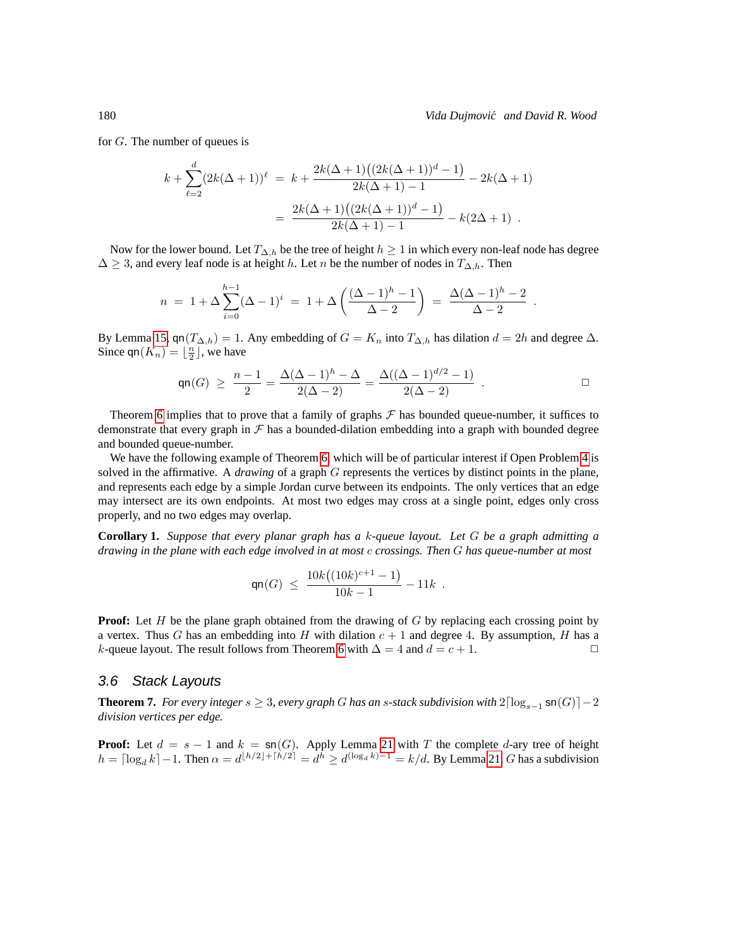for G. The number of queues is

$$
k + \sum_{\ell=2}^{d} (2k(\Delta+1))^{\ell} = k + \frac{2k(\Delta+1)((2k(\Delta+1))^d - 1)}{2k(\Delta+1) - 1} - 2k(\Delta+1)
$$

$$
= \frac{2k(\Delta+1)((2k(\Delta+1))^d - 1)}{2k(\Delta+1) - 1} - k(2\Delta+1) .
$$

Now for the lower bound. Let  $T_{\Delta,h}$  be the tree of height  $h \geq 1$  in which every non-leaf node has degree  $\Delta \geq 3$ , and every leaf node is at height h. Let n be the number of nodes in  $T_{\Delta,h}$ . Then

$$
n = 1 + \Delta \sum_{i=0}^{h-1} (\Delta - 1)^i = 1 + \Delta \left( \frac{(\Delta - 1)^h - 1}{\Delta - 2} \right) = \frac{\Delta (\Delta - 1)^h - 2}{\Delta - 2}.
$$

By Lemma [15,](#page-14-0) qn( $T_{\Delta,h}$ ) = 1. Any embedding of  $G = K_n$  into  $T_{\Delta,h}$  has dilation  $d = 2h$  and degree  $\Delta$ . Since  $\mathsf{qn}(K_n) = \lfloor \frac{n}{2} \rfloor$ , we have

$$
\mathsf{qn}(G) \ \geq \ \frac{n-1}{2} = \frac{\Delta(\Delta - 1)^h - \Delta}{2(\Delta - 2)} = \frac{\Delta((\Delta - 1)^{d/2} - 1)}{2(\Delta - 2)} \ .
$$

Theorem [6](#page-24-0) implies that to prove that a family of graphs  $\mathcal F$  has bounded queue-number, it suffices to demonstrate that every graph in  $\mathcal F$  has a bounded-dilation embedding into a graph with bounded degree and bounded queue-number.

We have the following example of Theorem [6,](#page-24-0) which will be of particular interest if Open Problem [4](#page-34-0) is solved in the affirmative. A *drawing* of a graph G represents the vertices by distinct points in the plane, and represents each edge by a simple Jordan curve between its endpoints. The only vertices that an edge may intersect are its own endpoints. At most two edges may cross at a single point, edges only cross properly, and no two edges may overlap.

**Corollary 1.** *Suppose that every planar graph has a* k*-queue layout. Let* G *be a graph admitting a drawing in the plane with each edge involved in at most* c *crossings. Then* G *has queue-number at most*

$$
\mathsf{qn}(G) \ \leq \ \frac{10k\big((10k)^{c+1}-1\big)}{10k-1} - 11k \ .
$$

**Proof:** Let H be the plane graph obtained from the drawing of G by replacing each crossing point by a vertex. Thus G has an embedding into H with dilation  $c + 1$  and degree 4. By assumption, H has a *k*-queue layout. The result follows from Theorem [6](#page-24-0) with  $\Delta = 4$  and  $d = c + 1$ .  $\Box$ 

#### 3.6 Stack Layouts

<span id="page-25-0"></span>**Theorem 7.** *For every integer*  $s \geq 3$ *, every graph* G *has an s*-stack subdivision with  $2\lceil \log_{s-1} \text{sn}(G) \rceil - 2$ *division vertices per edge.*

**Proof:** Let  $d = s - 1$  and  $k = \text{sn}(G)$ . Apply Lemma [21](#page-18-1) with T the complete d-ary tree of height  $h = \lceil \log_d k \rceil - 1$ . Then  $\alpha = d^{\lfloor h/2 \rfloor + \lceil h/2 \rceil} = d^h \geq d^{(\log_d k) - 1} = k/d$ . By Lemma [21,](#page-18-1) G has a subdivision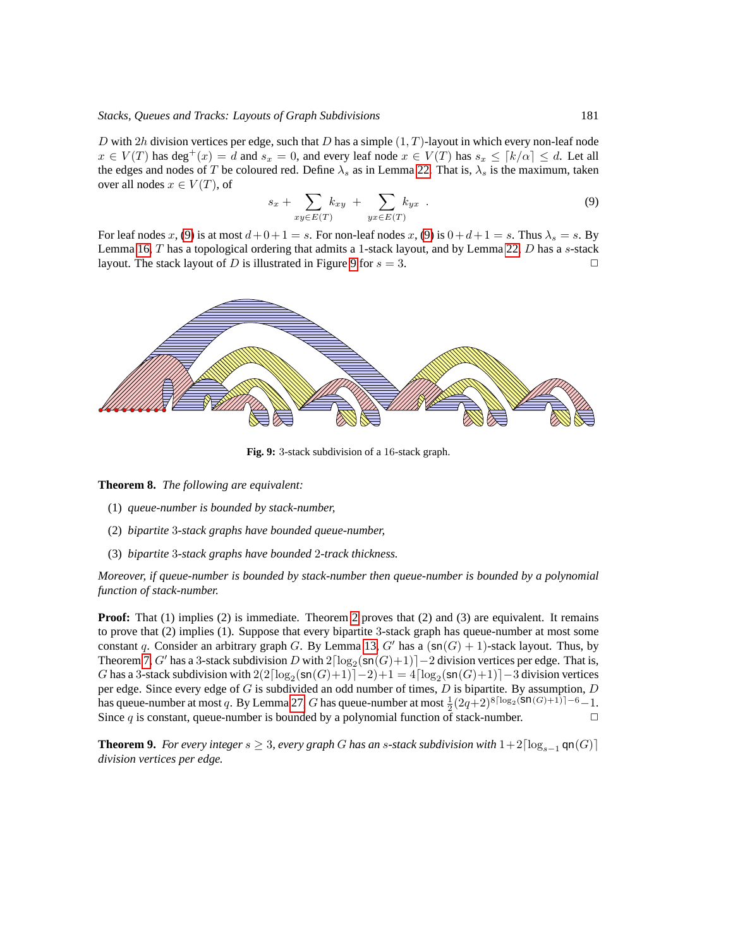D with 2h division vertices per edge, such that D has a simple  $(1, T)$ -layout in which every non-leaf node  $x \in V(T)$  has  $\deg^+(x) = d$  and  $s_x = 0$ , and every leaf node  $x \in V(T)$  has  $s_x \leq [k/\alpha] \leq d$ . Let all the edges and nodes of T be coloured red. Define  $\lambda_s$  as in Lemma [22.](#page-19-2) That is,  $\lambda_s$  is the maximum, taken over all nodes  $x \in V(T)$ , of

<span id="page-26-2"></span>
$$
s_x + \sum_{xy \in E(T)} k_{xy} + \sum_{yx \in E(T)} k_{yx} . \tag{9}
$$

For leaf nodes x, [\(9\)](#page-26-2) is at most  $d+0+1 = s$ . For non-leaf nodes x, [\(9\)](#page-26-2) is  $0+d+1 = s$ . Thus  $\lambda_s = s$ . By Lemma [16,](#page-14-1)  $T$  has a topological ordering that admits a 1-stack layout, and by Lemma [22,](#page-19-2)  $D$  has a  $s$ -stack layout. The stack layout of D is illustrated in Figure [9](#page-26-3) for  $s = 3$ .



<span id="page-26-3"></span>**Fig. 9:** 3-stack subdivision of a 16-stack graph.

<span id="page-26-0"></span>**Theorem 8.** *The following are equivalent:*

- (1) *queue-number is bounded by stack-number,*
- (2) *bipartite* 3*-stack graphs have bounded queue-number,*
- (3) *bipartite* 3*-stack graphs have bounded* 2*-track thickness.*

*Moreover, if queue-number is bounded by stack-number then queue-number is bounded by a polynomial function of stack-number.*

**Proof:** That (1) implies (2) is immediate. Theorem [2](#page-8-0) proves that (2) and (3) are equivalent. It remains to prove that (2) implies (1). Suppose that every bipartite 3-stack graph has queue-number at most some constant q. Consider an arbitrary graph G. By Lemma [13,](#page-12-0) G' has a  $(\text{sn}(G) + 1)$ -stack layout. Thus, by Theorem [7,](#page-25-0) G' has a 3-stack subdivision D with  $2\lceil \log_2(\text{sn}(G)+1) \rceil - 2$  division vertices per edge. That is, G has a 3-stack subdivision with  $2(2\lceil \log_2(\text{sn}(G)+1) \rceil-2)+1 = 4\lceil \log_2(\text{sn}(G)+1) \rceil-3$  division vertices per edge. Since every edge of  $G$  is subdivided an odd number of times,  $D$  is bipartite. By assumption,  $D$ has queue-number at most q. By Lemma [27,](#page-22-4) G has queue-number at most  $\frac{1}{2}(2q+2)^{8\lceil \log_2(\mathsf{Sn}(G)+1) \rceil-6}-1$ . Since  $q$  is constant, queue-number is bounded by a polynomial function of stack-number.

<span id="page-26-1"></span>**Theorem 9.** *For every integer*  $s \geq 3$ *, every graph G has an s*-stack subdivision with  $1+2\lceil \log_{s-1} \mathsf{q} \mathsf{n}(G) \rceil$ *division vertices per edge.*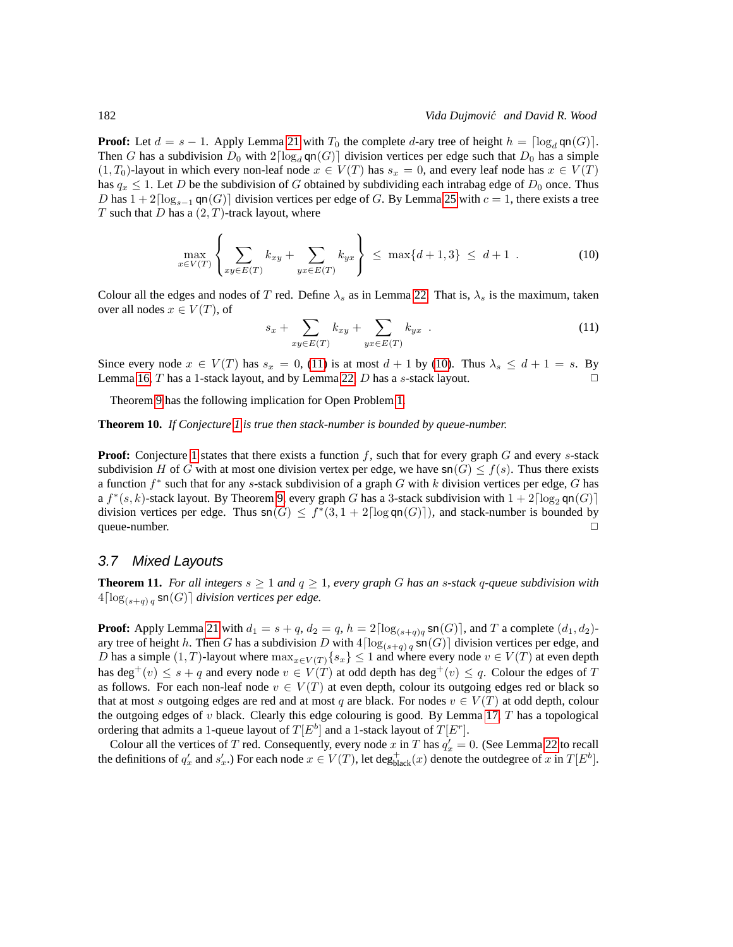**Proof:** Let  $d = s - 1$ . Apply Lemma [21](#page-18-1) with  $T_0$  the complete d-ary tree of height  $h = \lceil \log_d \mathsf{q} \mathsf{n}(G) \rceil$ . Then G has a subdivision  $D_0$  with  $2\lceil \log_d \mathsf{qn}(G) \rceil$  division vertices per edge such that  $D_0$  has a simple  $(1, T_0)$ -layout in which every non-leaf node  $x \in V(T)$  has  $s_x = 0$ , and every leaf node has  $x \in V(T)$ has  $q_x \leq 1$ . Let D be the subdivision of G obtained by subdividing each intrabag edge of  $D_0$  once. Thus D has  $1 + 2\lceil \log_{s-1} \text{qn}(G) \rceil$  division vertices per edge of G. By Lemma [25](#page-21-2) with  $c = 1$ , there exists a tree T such that D has a  $(2, T)$ -track layout, where

$$
\max_{x \in V(T)} \left\{ \sum_{xy \in E(T)} k_{xy} + \sum_{yx \in E(T)} k_{yx} \right\} \le \max\{d+1, 3\} \le d+1 \quad . \tag{10}
$$

Colour all the edges and nodes of T red. Define  $\lambda_s$  as in Lemma [22.](#page-19-2) That is,  $\lambda_s$  is the maximum, taken over all nodes  $x \in V(T)$ , of

<span id="page-27-4"></span><span id="page-27-3"></span>
$$
s_x + \sum_{xy \in E(T)} k_{xy} + \sum_{yx \in E(T)} k_{yx} \tag{11}
$$

Since every node  $x \in V(T)$  has  $s_x = 0$ , [\(11\)](#page-27-3) is at most  $d + 1$  by [\(10\)](#page-27-4). Thus  $\lambda_s \leq d + 1 = s$ . By Lemma [16,](#page-14-1)  $T$  has a 1-stack layout, and by Lemma [22,](#page-19-2)  $D$  has a  $s$ -stack layout.

Theorem [9](#page-26-1) has the following implication for Open Problem [1.](#page-2-1)

<span id="page-27-1"></span>**Theorem 10.** *If Conjecture [1](#page-6-0) is true then stack-number is bounded by queue-number.*

**Proof:** Conjecture [1](#page-6-0) states that there exists a function  $f$ , such that for every graph  $G$  and every  $s$ -stack subdivision H of G with at most one division vertex per edge, we have  $sn(G) \leq f(s)$ . Thus there exists a function  $f^*$  such that for any s-stack subdivision of a graph G with k division vertices per edge, G has a  $f^*(s, k)$ -stack layout. By Theorem [9,](#page-26-1) every graph G has a 3-stack subdivision with  $1 + 2\lceil \log_2 \text{qn}(G) \rceil$ division vertices per edge. Thus  $sn(G) \le f^*(3, 1 + 2\lceil logqn(G) \rceil)$ , and stack-number is bounded by  $q$ ueue-number.  $\Box$ 

#### <span id="page-27-2"></span>3.7 Mixed Layouts

<span id="page-27-0"></span>**Theorem 11.** *For all integers*  $s \geq 1$  *and*  $q \geq 1$ *, every graph* G *has an s-stack q-queue subdivision with*  $4\lceil\log_{(s+q)}$ <sub>g</sub>  $\mathsf{sn}(G)\rceil$  *division vertices per edge.* 

**Proof:** Apply Lemma [21](#page-18-1) with  $d_1 = s + q$ ,  $d_2 = q$ ,  $h = 2\lceil \log_{(s+q)q} \operatorname{sn}(G) \rceil$ , and T a complete  $(d_1, d_2)$ ary tree of height h. Then G has a subdivision D with  $4\lceil \log_{(s+q)} q \operatorname{sn}(G) \rceil$  division vertices per edge, and D has a simple  $(1, T)$ -layout where  $\max_{x \in V(T)} \{s_x\} \leq 1$  and where every node  $v \in V(T)$  at even depth has deg<sup>+</sup>(v)  $\leq$  s + q and every node  $v \in V(T)$  at odd depth has deg<sup>+</sup>(v)  $\leq$  q. Colour the edges of T as follows. For each non-leaf node  $v \in V(T)$  at even depth, colour its outgoing edges red or black so that at most s outgoing edges are red and at most q are black. For nodes  $v \in V(T)$  at odd depth, colour the outgoing edges of  $v$  black. Clearly this edge colouring is good. By Lemma [17,](#page-15-1)  $T$  has a topological ordering that admits a 1-queue layout of  $T[E^b]$  and a 1-stack layout of  $T[E^r]$ .

Colour all the vertices of T red. Consequently, every node x in T has  $q'_x = 0$ . (See Lemma [22](#page-19-2) to recall the definitions of  $q'_x$  and  $s'_x$ .) For each node  $x \in V(T)$ , let  $\text{deg}^+_{\text{black}}(x)$  denote the outdegree of x in  $T[E^b]$ .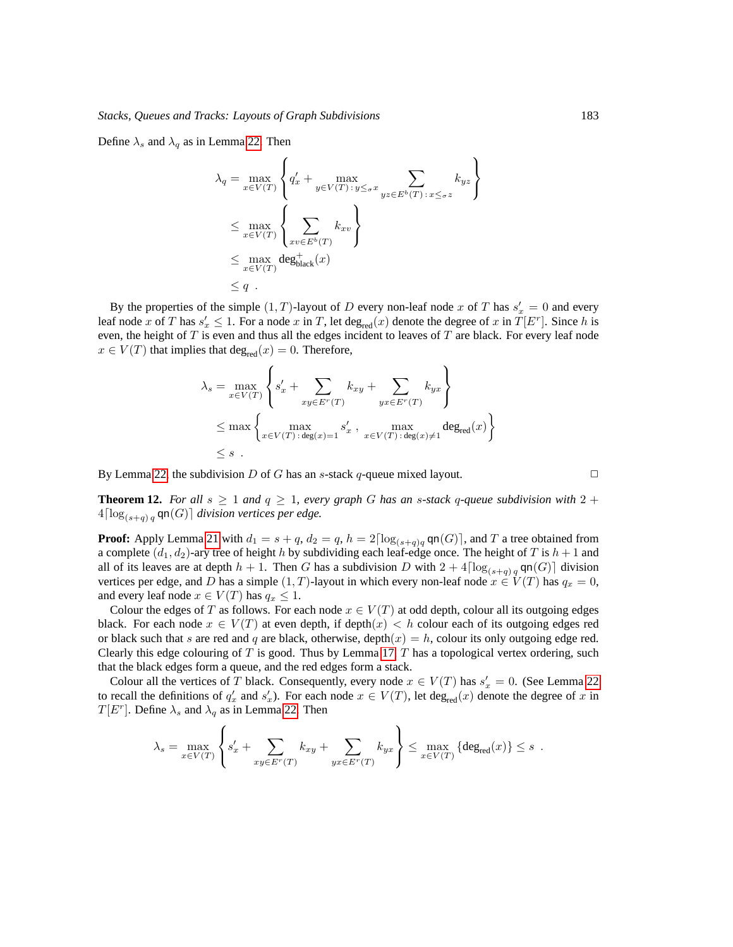Define  $\lambda_s$  and  $\lambda_q$  as in Lemma [22.](#page-19-2) Then

$$
\lambda_q = \max_{x \in V(T)} \left\{ q'_x + \max_{y \in V(T) : y \leq_\sigma x} \sum_{yz \in E^b(T) : x \leq_\sigma z} k_{yz} \right\}
$$
  
\n
$$
\leq \max_{x \in V(T)} \left\{ \sum_{xv \in E^b(T)} k_{xv} \right\}
$$
  
\n
$$
\leq \max_{x \in V(T)} \deg_{\text{black}}^+(x)
$$
  
\n
$$
\leq q.
$$

By the properties of the simple  $(1, T)$ -layout of D every non-leaf node x of T has  $s'_x = 0$  and every leaf node x of T has  $s'_x \leq 1$ . For a node x in T, let  $\deg_{\text{red}}(x)$  denote the degree of x in  $T[E^r]$ . Since h is even, the height of  $T$  is even and thus all the edges incident to leaves of  $T$  are black. For every leaf node  $x \in V(T)$  that implies that  $\deg_{\text{red}}(x) = 0$ . Therefore,

$$
\lambda_s = \max_{x \in V(T)} \left\{ s'_x + \sum_{xy \in E^r(T)} k_{xy} + \sum_{yx \in E^r(T)} k_{yx} \right\}
$$
  
\n
$$
\leq \max \left\{ \max_{x \in V(T) : \deg(x) = 1} s'_x, \max_{x \in V(T) : \deg(x) \neq 1} \deg_{\text{red}}(x) \right\}
$$
  
\n
$$
\leq s.
$$

By Lemma [22,](#page-19-2) the subdivision D of G has an s-stack q-queue mixed layout.  $\square$ 

<span id="page-28-0"></span>**Theorem 12.** *For all*  $s \geq 1$  *and*  $q \geq 1$ *, every graph* G *has an s*-stack q-queue subdivision with  $2 +$  $4\lceil \log_{(s+a)q} \mathsf{qn}(G) \rceil$  division vertices per edge.

**Proof:** Apply Lemma [21](#page-18-1) with  $d_1 = s + q$ ,  $d_2 = q$ ,  $h = 2\lceil \log_{(s+q)q} \text{qn}(G) \rceil$ , and T a tree obtained from a complete  $(d_1, d_2)$ -ary tree of height h by subdividing each leaf-edge once. The height of T is  $h + 1$  and all of its leaves are at depth  $h + 1$ . Then G has a subdivision D with  $2 + 4\lceil \log_{(s+q)} q \operatorname{cn}(G) \rceil$  division vertices per edge, and D has a simple  $(1, T)$ -layout in which every non-leaf node  $x \in V(T)$  has  $q_x = 0$ , and every leaf node  $x \in V(T)$  has  $q_x \leq 1$ .

Colour the edges of T as follows. For each node  $x \in V(T)$  at odd depth, colour all its outgoing edges black. For each node  $x \in V(T)$  at even depth, if depth $(x) < h$  colour each of its outgoing edges red or black such that s are red and q are black, otherwise, depth $(x) = h$ , colour its only outgoing edge red. Clearly this edge colouring of T is good. Thus by Lemma [17,](#page-15-1) T has a topological vertex ordering, such that the black edges form a queue, and the red edges form a stack.

Colour all the vertices of T black. Consequently, every node  $x \in V(T)$  has  $s'_x = 0$ . (See Lemma [22](#page-19-2)) to recall the definitions of  $q'_x$  and  $s'_x$ ). For each node  $x \in V(T)$ , let deg<sub>red</sub> $(x)$  denote the degree of x in  $T[E^r]$ . Define  $\lambda_s$  and  $\lambda_q$  as in Lemma [22.](#page-19-2) Then

$$
\lambda_s = \max_{x \in V(T)} \left\{ s'_x + \sum_{xy \in E^r(T)} k_{xy} + \sum_{yx \in E^r(T)} k_{yx} \right\} \le \max_{x \in V(T)} \left\{ \deg_{\text{red}}(x) \right\} \le s.
$$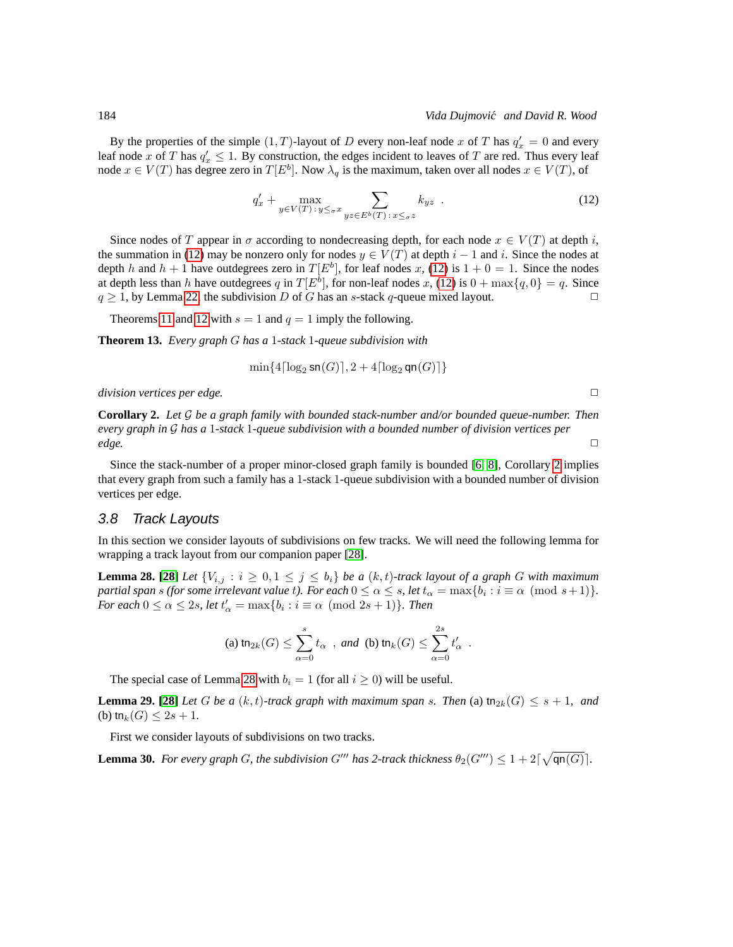By the properties of the simple  $(1, T)$ -layout of D every non-leaf node x of T has  $q'_x = 0$  and every leaf node x of T has  $q'_x \leq 1$ . By construction, the edges incident to leaves of T are red. Thus every leaf node  $x \in V(T)$  has degree zero in  $T[E^b]$ . Now  $\lambda_q$  is the maximum, taken over all nodes  $x \in V(T)$ , of

$$
q'_x + \max_{y \in V(T) \,:\, y \leq_\sigma x} \sum_{yz \in E^b(T) \,:\, x \leq_\sigma z} k_{yz} \tag{12}
$$

Since nodes of T appear in  $\sigma$  according to nondecreasing depth, for each node  $x \in V(T)$  at depth i, the summation in [\(12\)](#page-29-1) may be nonzero only for nodes  $y \in V(T)$  at depth  $i - 1$  and i. Since the nodes at depth h and  $h + 1$  have outdegrees zero in  $T[E^b]$ , for leaf nodes x, [\(12\)](#page-29-1) is  $1 + 0 = 1$ . Since the nodes at depth less than h have outdegrees q in  $T[E^b]$ , for non-leaf nodes x, [\(12\)](#page-29-1) is  $0 + \max\{q, 0\} = q$ . Since  $q \ge 1$ , by Lemma [22,](#page-19-2) the subdivision D of G has an s-stack q-queue mixed layout.

Theorems [11](#page-27-0) and [12](#page-28-0) with  $s = 1$  and  $q = 1$  imply the following.

<span id="page-29-5"></span>**Theorem 13.** *Every graph* G *has a* 1*-stack* 1*-queue subdivision with*

$$
\min\{4\lceil\log_2\mathsf{sn}(G)\rceil, 2+4\lceil\log_2\mathsf{qn}(G)\rceil\}
$$

*division vertices per edge.*  $□$ 

<span id="page-29-2"></span>**Corollary 2.** *Let* G *be a graph family with bounded stack-number and/or bounded queue-number. Then every graph in* G *has a* 1*-stack* 1*-queue subdivision with a bounded number of division vertices per edge.* □

Since the stack-number of a proper minor-closed graph family is bounded [\[6,](#page-40-10) [8\]](#page-40-11), Corollary [2](#page-29-2) implies that every graph from such a family has a 1-stack 1-queue subdivision with a bounded number of division vertices per edge.

#### <span id="page-29-0"></span>3.8 Track Layouts

In this section we consider layouts of subdivisions on few tracks. We will need the following lemma for wrapping a track layout from our companion paper [\[28\]](#page-41-3).

<span id="page-29-3"></span>**Lemma 28.** [\[28\]](#page-41-3) Let  $\{V_{i,j} : i \geq 0, 1 \leq j \leq b_i\}$  be a  $(k, t)$ -track layout of a graph G with maximum *partial span s (for some irrelevant value t). For each*  $0 \le \alpha \le s$ , *let*  $t_{\alpha} = \max\{b_i : i \equiv \alpha \pmod{s+1}\}.$ *For each*  $0 \le \alpha \le 2s$ *, let*  $t'_\alpha = \max\{b_i : i \equiv \alpha \pmod{2s+1}\}$ *. Then* 

(a) 
$$
\operatorname{tn}_{2k}(G) \le \sum_{\alpha=0}^{s} t_{\alpha}
$$
, and (b)  $\operatorname{tn}_k(G) \le \sum_{\alpha=0}^{2s} t'_{\alpha}$ .

The special case of Lemma [28](#page-29-3) with  $b_i = 1$  (for all  $i \ge 0$ ) will be useful.

<span id="page-29-4"></span>**Lemma 29.** [\[28\]](#page-41-3) *Let* G *be a*  $(k, t)$ -track graph with maximum span s. Then (a)  $\text{tn}_{2k}(G) \leq s + 1$ , and (b) tn<sub>k</sub> $(G) \leq 2s + 1$ .

First we consider layouts of subdivisions on two tracks.

**Lemma 30.** For every graph G, the subdivision G''' has 2-track thickness  $\theta_2(G''') \leq 1 + 2\lceil \sqrt{\varphi(n(G)} \rceil$ .

<span id="page-29-1"></span>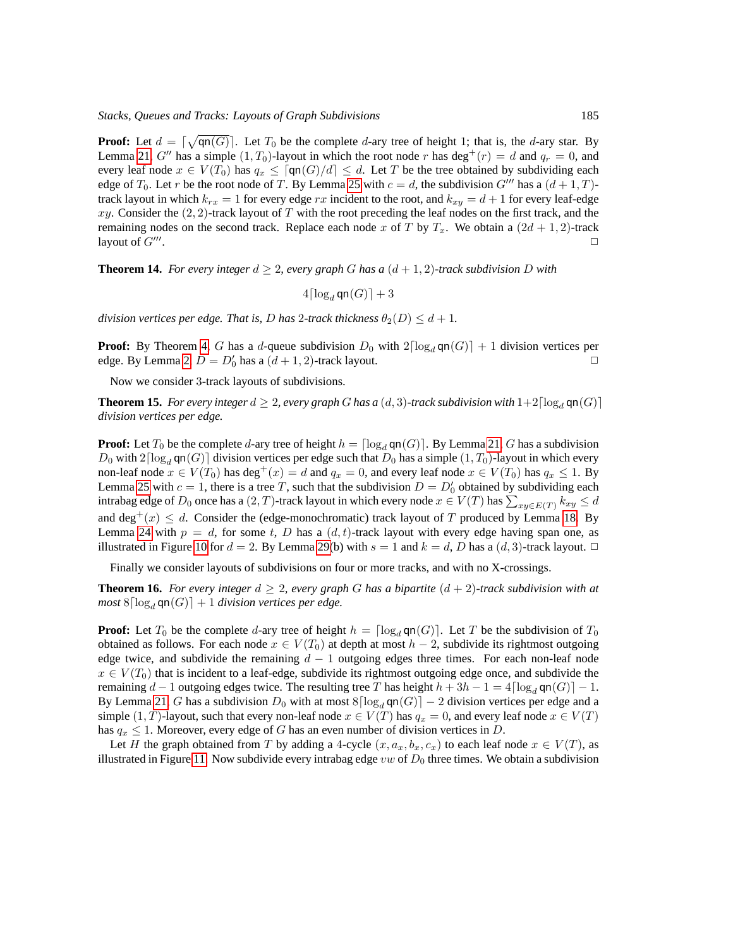**Proof:** Let  $d = \lceil \sqrt{\text{qn}(G)} \rceil$ . Let  $T_0$  be the complete d-ary tree of height 1; that is, the d-ary star. By Lemma [21,](#page-18-1) G'' has a simple  $(1, T_0)$ -layout in which the root node r has deg<sup>+</sup>(r) = d and  $q_r = 0$ , and every leaf node  $x \in V(T_0)$  has  $q_x \leq \lceil \mathsf{qn}(G)/d \rceil \leq d$ . Let T be the tree obtained by subdividing each edge of  $T_0$ . Let r be the root node of T. By Lemma [25](#page-21-2) with  $c = d$ , the subdivision G''' has a  $(d+1, T)$ track layout in which  $k_{rx} = 1$  for every edge rx incident to the root, and  $k_{xy} = d + 1$  for every leaf-edge xy. Consider the  $(2, 2)$ -track layout of T with the root preceding the leaf nodes on the first track, and the remaining nodes on the second track. Replace each node x of T by  $T_x$ . We obtain a  $(2d + 1, 2)$ -track layout of  $G'''$ . . And the contract of the contract of the contract of the contract of the contract of the contract of the contract of the contract of the contract of the contract of the contract of the contract of the contract of the con

<span id="page-30-0"></span>**Theorem 14.** *For every integer*  $d \geq 2$ *, every graph G has a*  $(d + 1, 2)$ *-track subdivision D with* 

 $4\lceil \log_d \mathsf{qn}(G) \rceil + 3$ 

*division vertices per edge. That is, D has 2-track thickness*  $\theta_2(D) \leq d+1$ .

**Proof:** By Theorem [4,](#page-22-0) G has a d-queue subdivision  $D_0$  with  $2\lceil \log_d \text{qn}(G) \rceil + 1$  division vertices per edge. By Lemma 2,  $D = D'_b$  has a  $(d+1, 2)$ -track layout edge. By Lemma [2,](#page-7-3)  $D = D'_0$  has a  $(d+1, 2)$ -track layout.

Now we consider 3-track layouts of subdivisions.

<span id="page-30-1"></span>**Theorem 15.** *For every integer*  $d \geq 2$ *, every graph* G *has a* (d, 3)*-track subdivision with*  $1+2\lceil \log_d \mathsf{qn}(G) \rceil$ *division vertices per edge.*

**Proof:** Let  $T_0$  be the complete d-ary tree of height  $h = \lceil \log_d \text{qn}(G) \rceil$ . By Lemma [21,](#page-18-1) G has a subdivision  $D_0$  with  $2\lceil \log_d \mathsf{qn}(G) \rceil$  division vertices per edge such that  $D_0$  has a simple  $(1, T_0)$ -layout in which every non-leaf node  $x \in V(T_0)$  has  $\deg^+(x) = d$  and  $q_x = 0$ , and every leaf node  $x \in V(T_0)$  has  $q_x \leq 1$ . By Lemma [25](#page-21-2) with  $c = 1$ , there is a tree T, such that the subdivision  $D = D'_0$  obtained by subdividing each intrabag edge of  $D_0$  once has a  $(2,T)$ -track layout in which every node  $x\in V(T)$  has  $\sum_{xy\in E(T)}k_{xy}\leq d$ and deg<sup>+</sup>(x)  $\leq d$ . Consider the (edge-monochromatic) track layout of T produced by Lemma [18.](#page-15-2) By Lemma [24](#page-21-3) with  $p = d$ , for some t, D has a  $(d, t)$ -track layout with every edge having span one, as illustrated in Figure [10](#page-31-0) for  $d = 2$ . By Lemma [29\(](#page-29-4)b) with  $s = 1$  and  $k = d$ , D has a  $(d, 3)$ -track layout.  $\Box$ 

Finally we consider layouts of subdivisions on four or more tracks, and with no X-crossings.

<span id="page-30-2"></span>**Theorem 16.** *For every integer*  $d \geq 2$ *, every graph* G *has a bipartite*  $(d + 2)$ *-track subdivision with at most*  $8\lceil \log_d \mathsf{qn}(G) \rceil + 1$  *division vertices per edge.* 

**Proof:** Let  $T_0$  be the complete d-ary tree of height  $h = \lceil \log_d \mathsf{qn}(G) \rceil$ . Let T be the subdivision of  $T_0$ obtained as follows. For each node  $x \in V(T_0)$  at depth at most  $h - 2$ , subdivide its rightmost outgoing edge twice, and subdivide the remaining  $d - 1$  outgoing edges three times. For each non-leaf node  $x \in V(T_0)$  that is incident to a leaf-edge, subdivide its rightmost outgoing edge once, and subdivide the remaining  $d-1$  outgoing edges twice. The resulting tree T has height  $h+3h-1=4\lceil \log_d \mathsf{qn}(G) \rceil-1$ . By Lemma [21,](#page-18-1) G has a subdivision  $D_0$  with at most  $8\lceil \log_d \text{qn}(G) \rceil - 2$  division vertices per edge and a simple  $(1, T)$ -layout, such that every non-leaf node  $x \in V(T)$  has  $q_x = 0$ , and every leaf node  $x \in V(T)$ has  $q_x \leq 1$ . Moreover, every edge of G has an even number of division vertices in D.

Let H the graph obtained from T by adding a 4-cycle  $(x, a_x, b_x, c_x)$  to each leaf node  $x \in V(T)$ , as illustrated in Figure [11.](#page-32-1) Now subdivide every intrabag edge  $vw$  of  $D_0$  three times. We obtain a subdivision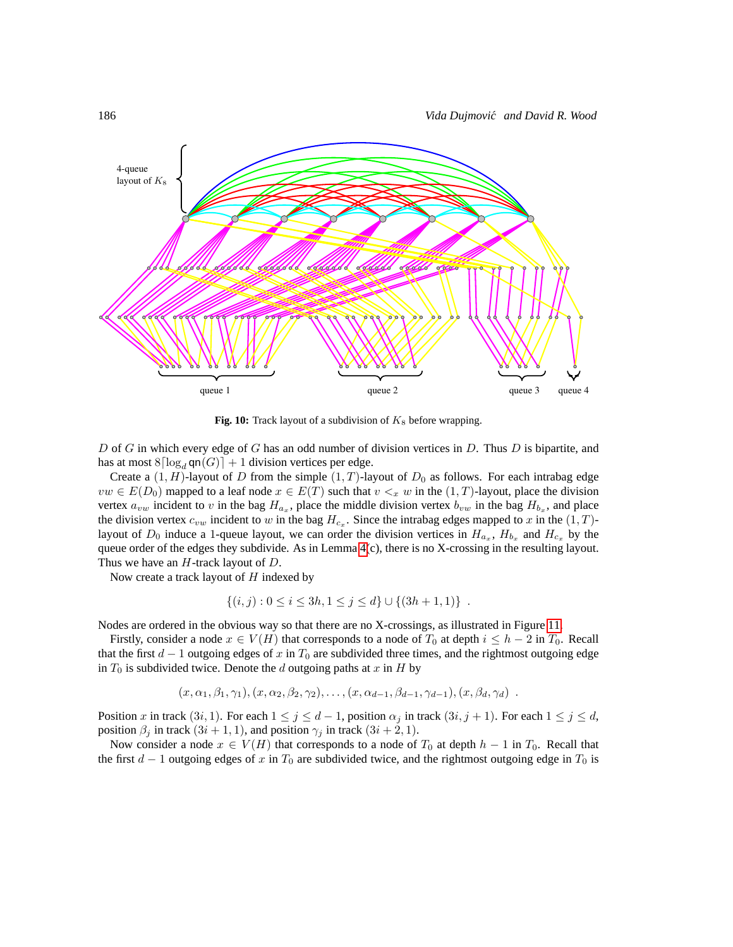

<span id="page-31-0"></span>Fig. 10: Track layout of a subdivision of  $K_8$  before wrapping.

D of G in which every edge of G has an odd number of division vertices in  $D$ . Thus  $D$  is bipartite, and has at most  $8\lceil \log_d \text{qn}(G) \rceil + 1$  division vertices per edge.

Create a  $(1, H)$ -layout of D from the simple  $(1, T)$ -layout of  $D_0$  as follows. For each intrabag edge  $vw \in E(D_0)$  mapped to a leaf node  $x \in E(T)$  such that  $v \leq x w$  in the  $(1, T)$ -layout, place the division vertex  $a_{vw}$  incident to v in the bag  $H_{a_x}$ , place the middle division vertex  $b_{vw}$  in the bag  $H_{b_x}$ , and place the division vertex  $c_{vw}$  incident to w in the bag  $H_{c_x}$ . Since the intrabag edges mapped to x in the  $(1, T)$ layout of  $D_0$  induce a 1-queue layout, we can order the division vertices in  $H_{a_x}$ ,  $H_{b_x}$  and  $H_{c_x}$  by the queue order of the edges they subdivide. As in Lemma [4\(](#page-8-2)c), there is no X-crossing in the resulting layout. Thus we have an  $H$ -track layout of  $D$ .

Now create a track layout of  $H$  indexed by

$$
\{(i,j): 0 \le i \le 3h, 1 \le j \le d\} \cup \{(3h+1,1)\} .
$$

Nodes are ordered in the obvious way so that there are no X-crossings, as illustrated in Figure [11.](#page-32-1)

Firstly, consider a node  $x \in V(H)$  that corresponds to a node of  $T_0$  at depth  $i \leq h-2$  in  $T_0$ . Recall that the first  $d-1$  outgoing edges of x in  $T_0$  are subdivided three times, and the rightmost outgoing edge in  $T_0$  is subdivided twice. Denote the d outgoing paths at x in H by

$$
(x, \alpha_1, \beta_1, \gamma_1), (x, \alpha_2, \beta_2, \gamma_2), \ldots, (x, \alpha_{d-1}, \beta_{d-1}, \gamma_{d-1}), (x, \beta_d, \gamma_d) \; .
$$

Position x in track  $(3i, 1)$ . For each  $1 \le j \le d-1$ , position  $\alpha_j$  in track  $(3i, j + 1)$ . For each  $1 \le j \le d$ , position  $\beta_i$  in track  $(3i + 1, 1)$ , and position  $\gamma_i$  in track  $(3i + 2, 1)$ .

Now consider a node  $x \in V(H)$  that corresponds to a node of  $T_0$  at depth  $h-1$  in  $T_0$ . Recall that the first  $d-1$  outgoing edges of x in  $T_0$  are subdivided twice, and the rightmost outgoing edge in  $T_0$  is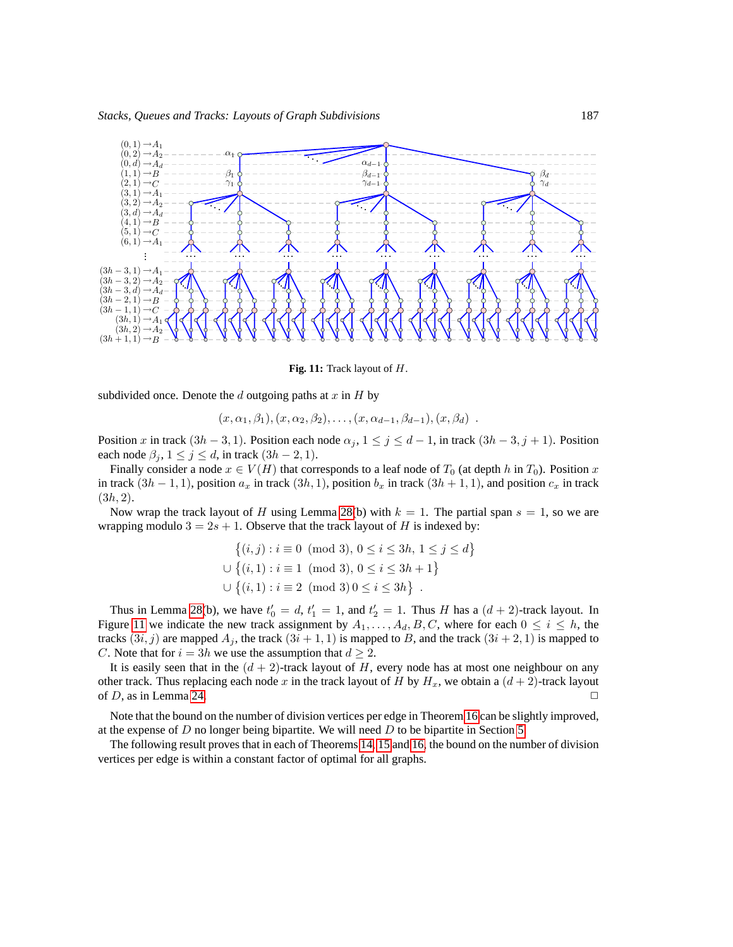

<span id="page-32-1"></span>**Fig. 11:** Track layout of H.

subdivided once. Denote the  $d$  outgoing paths at  $x$  in  $H$  by

$$
(x, \alpha_1, \beta_1), (x, \alpha_2, \beta_2), \ldots, (x, \alpha_{d-1}, \beta_{d-1}), (x, \beta_d)
$$
.

Position x in track  $(3h-3,1)$ . Position each node  $\alpha_j$ ,  $1 \leq j \leq d-1$ , in track  $(3h-3, j+1)$ . Position each node  $\beta_j$ ,  $1 \leq j \leq d$ , in track  $(3h - 2, 1)$ .

Finally consider a node  $x \in V(H)$  that corresponds to a leaf node of  $T_0$  (at depth h in  $T_0$ ). Position x in track  $(3h - 1, 1)$ , position  $a_x$  in track  $(3h, 1)$ , position  $b_x$  in track  $(3h + 1, 1)$ , and position  $c_x$  in track  $(3h, 2).$ 

Now wrap the track layout of H using Lemma [28\(](#page-29-3)b) with  $k = 1$ . The partial span  $s = 1$ , so we are wrapping modulo  $3 = 2s + 1$ . Observe that the track layout of H is indexed by:

$$
\{(i, j) : i \equiv 0 \pmod{3}, 0 \le i \le 3h, 1 \le j \le d\}
$$
  

$$
\cup \{(i, 1) : i \equiv 1 \pmod{3}, 0 \le i \le 3h + 1\}
$$
  

$$
\cup \{(i, 1) : i \equiv 2 \pmod{3}, 0 \le i \le 3h\}.
$$

Thus in Lemma [28\(](#page-29-3)b), we have  $t'_0 = d$ ,  $t'_1 = 1$ , and  $t'_2 = 1$ . Thus H has a  $(d + 2)$ -track layout. In Figure [11](#page-32-1) we indicate the new track assignment by  $A_1, \ldots, A_d, B, C$ , where for each  $0 \le i \le h$ , the tracks  $(3i, j)$  are mapped  $A_j$ , the track  $(3i + 1, 1)$  is mapped to B, and the track  $(3i + 2, 1)$  is mapped to C. Note that for  $i = 3h$  we use the assumption that  $d \geq 2$ .

It is easily seen that in the  $(d + 2)$ -track layout of H, every node has at most one neighbour on any other track. Thus replacing each node x in the track layout of H by  $H_x$ , we obtain a  $(d+2)$ -track layout of D, as in Lemma [24.](#page-21-3)  $\Box$ 

Note that the bound on the number of division vertices per edge in Theorem [16](#page-30-2) can be slightly improved, at the expense of  $D$  no longer being bipartite. We will need  $D$  to be bipartite in Section [5.](#page-36-1)

<span id="page-32-0"></span>The following result proves that in each of Theorems [14,](#page-30-0) [15](#page-30-1) and [16,](#page-30-2) the bound on the number of division vertices per edge is within a constant factor of optimal for all graphs.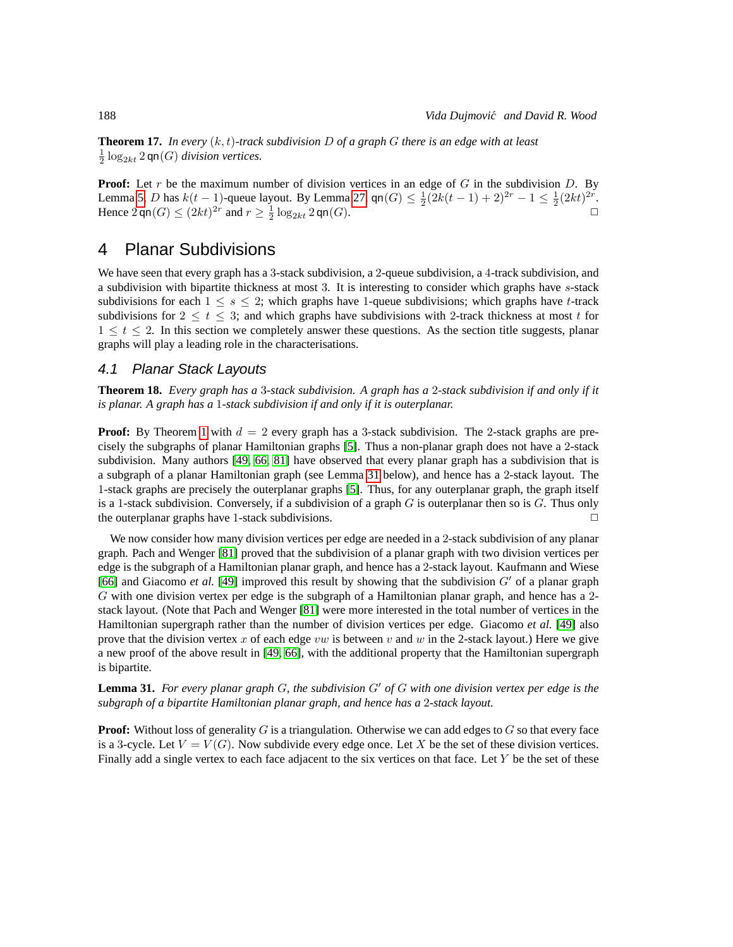**Theorem 17.** *In every* (k, t)*-track subdivision* D *of a graph* G *there is an edge with at least*  $\frac{1}{2} \log_{2kt} 2$  qn $(G)$  *division vertices.* 

**Proof:** Let r be the maximum number of division vertices in an edge of G in the subdivision D. By Lemma [5,](#page-9-1) D has  $k(t-1)$ -queue layout. By Lemma [27,](#page-22-4)  $\text{qn}(G) \leq \frac{1}{2}(2k(t-1)+2)^{2r} - 1 \leq \frac{1}{2}(2kt)^{2r}$ . Hence  $2 \operatorname{qn}(G) \leq (2kt)^{2r}$  and  $r \geq \frac{1}{2} \log_{2kt} 2 \operatorname{qn}(G)$ .

### <span id="page-33-1"></span>4 Planar Subdivisions

We have seen that every graph has a 3-stack subdivision, a 2-queue subdivision, a 4-track subdivision, and a subdivision with bipartite thickness at most 3. It is interesting to consider which graphs have s-stack subdivisions for each  $1 \leq s \leq 2$ ; which graphs have 1-queue subdivisions; which graphs have t-track subdivisions for  $2 \le t \le 3$ ; and which graphs have subdivisions with 2-track thickness at most t for  $1 \le t \le 2$ . In this section we completely answer these questions. As the section title suggests, planar graphs will play a leading role in the characterisations.

#### 4.1 Planar Stack Layouts

**Theorem 18.** *Every graph has a* 3*-stack subdivision. A graph has a* 2*-stack subdivision if and only if it is planar. A graph has a* 1*-stack subdivision if and only if it is outerplanar.*

**Proof:** By Theorem [1](#page-2-2) with  $d = 2$  every graph has a 3-stack subdivision. The 2-stack graphs are precisely the subgraphs of planar Hamiltonian graphs [\[5\]](#page-40-3). Thus a non-planar graph does not have a 2-stack subdivision. Many authors [\[49,](#page-43-5) [66,](#page-44-7) [81\]](#page-45-2) have observed that every planar graph has a subdivision that is a subgraph of a planar Hamiltonian graph (see Lemma [31](#page-33-0) below), and hence has a 2-stack layout. The 1-stack graphs are precisely the outerplanar graphs [\[5\]](#page-40-3). Thus, for any outerplanar graph, the graph itself is a 1-stack subdivision. Conversely, if a subdivision of a graph  $G$  is outerplanar then so is  $G$ . Thus only the outerplanar graphs have 1-stack subdivisions.

We now consider how many division vertices per edge are needed in a 2-stack subdivision of any planar graph. Pach and Wenger [\[81\]](#page-45-2) proved that the subdivision of a planar graph with two division vertices per edge is the subgraph of a Hamiltonian planar graph, and hence has a 2-stack layout. Kaufmann and Wiese [\[66\]](#page-44-7) and Giacomo *et al.* [\[49\]](#page-43-5) improved this result by showing that the subdivision G′ of a planar graph G with one division vertex per edge is the subgraph of a Hamiltonian planar graph, and hence has a 2 stack layout. (Note that Pach and Wenger [\[81\]](#page-45-2) were more interested in the total number of vertices in the Hamiltonian supergraph rather than the number of division vertices per edge. Giacomo *et al.* [\[49\]](#page-43-5) also prove that the division vertex x of each edge vw is between v and w in the 2-stack layout.) Here we give a new proof of the above result in [\[49,](#page-43-5) [66\]](#page-44-7), with the additional property that the Hamiltonian supergraph is bipartite.

<span id="page-33-0"></span>**Lemma 31.** *For every planar graph* G*, the subdivision* G′ *of* G *with one division vertex per edge is the subgraph of a bipartite Hamiltonian planar graph, and hence has a* 2*-stack layout.*

**Proof:** Without loss of generality  $G$  is a triangulation. Otherwise we can add edges to  $G$  so that every face is a 3-cycle. Let  $V = V(G)$ . Now subdivide every edge once. Let X be the set of these division vertices. Finally add a single vertex to each face adjacent to the six vertices on that face. Let  $Y$  be the set of these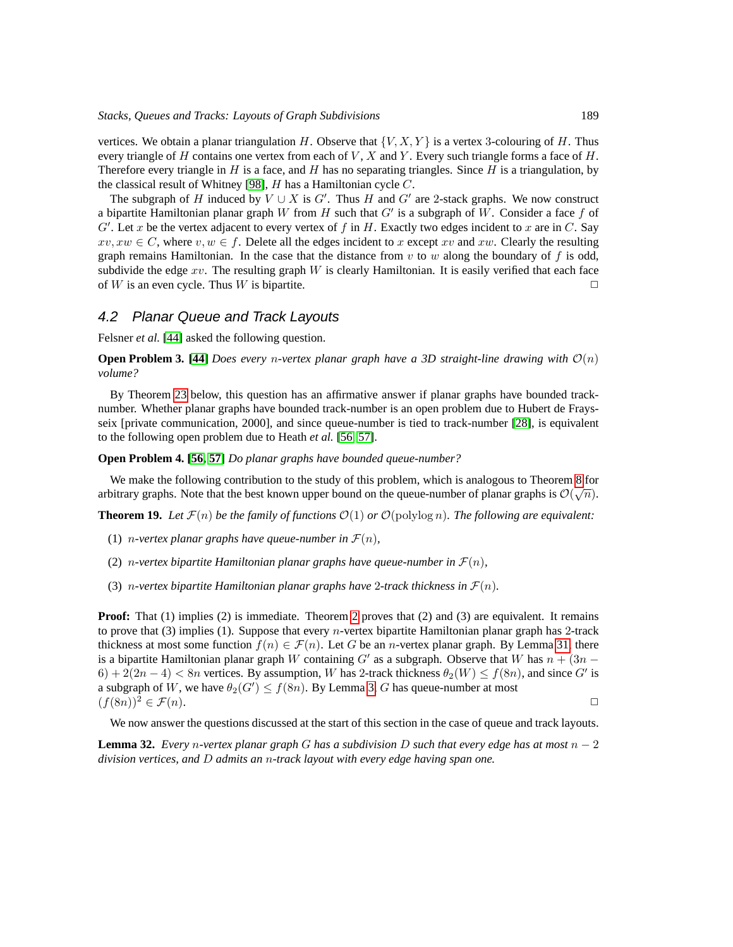vertices. We obtain a planar triangulation H. Observe that  $\{V, X, Y\}$  is a vertex 3-colouring of H. Thus every triangle of H contains one vertex from each of  $V$ ,  $X$  and  $Y$ . Every such triangle forms a face of  $H$ . Therefore every triangle in H is a face, and H has no separating triangles. Since H is a triangulation, by the classical result of Whitney [\[98\]](#page-46-9),  $H$  has a Hamiltonian cycle  $C$ .

The subgraph of H induced by  $V \cup X$  is  $G'$ . Thus H and  $G'$  are 2-stack graphs. We now construct a bipartite Hamiltonian planar graph W from H such that  $G'$  is a subgraph of W. Consider a face f of  $G'$ . Let x be the vertex adjacent to every vertex of f in H. Exactly two edges incident to x are in C. Say  $xv, xw \in C$ , where  $v, w \in f$ . Delete all the edges incident to x except xv and xw. Clearly the resulting graph remains Hamiltonian. In the case that the distance from  $v$  to  $w$  along the boundary of f is odd, subdivide the edge  $xv$ . The resulting graph W is clearly Hamiltonian. It is easily verified that each face of W is an even cycle. Thus W is bipartite.  $\Box$ 

#### 4.2 Planar Queue and Track Layouts

Felsner *et al.* [\[44\]](#page-43-7) asked the following question.

**Open Problem 3. [\[44\]](#page-43-7)** *Does every n-vertex planar graph have a 3D straight-line drawing with*  $\mathcal{O}(n)$ *volume?*

By Theorem [23](#page-36-2) below, this question has an affirmative answer if planar graphs have bounded tracknumber. Whether planar graphs have bounded track-number is an open problem due to Hubert de Fraysseix [private communication, 2000], and since queue-number is tied to track-number [\[28\]](#page-41-3), is equivalent to the following open problem due to Heath *et al.* [\[56,](#page-43-1) [57\]](#page-43-13).

<span id="page-34-0"></span>**Open Problem 4. [\[56,](#page-43-1) [57\]](#page-43-13)** *Do planar graphs have bounded queue-number?*

We make the following contribution to the study of this problem, which is analogous to Theorem [8](#page-26-0) for arbitrary graphs. Note that the best known upper bound on the queue-number of planar graphs is  $\mathcal{O}(\sqrt{n})$ .

**Theorem 19.** Let  $\mathcal{F}(n)$  be the family of functions  $\mathcal{O}(1)$  or  $\mathcal{O}(\text{polylog } n)$ . The following are equivalent:

- (1) *n*-vertex planar graphs have queue-number in  $\mathcal{F}(n)$ ,
- (2) *n*-vertex bipartite Hamiltonian planar graphs have queue-number in  $\mathcal{F}(n)$ ,
- (3) *n*-vertex bipartite Hamiltonian planar graphs have 2-track thickness in  $\mathcal{F}(n)$ .

**Proof:** That (1) implies (2) is immediate. Theorem [2](#page-8-0) proves that (2) and (3) are equivalent. It remains to prove that (3) implies (1). Suppose that every n-vertex bipartite Hamiltonian planar graph has 2-track thickness at most some function  $f(n) \in \mathcal{F}(n)$ . Let G be an *n*-vertex planar graph. By Lemma [31,](#page-33-0) there is a bipartite Hamiltonian planar graph W containing G' as a subgraph. Observe that W has  $n + (3n - 1)$  $6) + 2(2n - 4) < 8n$  vertices. By assumption, W has 2-track thickness  $\theta_2(W) \le f(8n)$ , and since G' is a subgraph of W, we have  $\theta_2(G') \le f(8n)$ . By Lemma [3,](#page-8-1) G has queue-number at most  $(f(8n))^2 \in \mathcal{F}(n).$ 

We now answer the questions discussed at the start of this section in the case of queue and track layouts.

<span id="page-34-1"></span>**Lemma 32.** *Every* n*-vertex planar graph* G *has a subdivision* D *such that every edge has at most* n − 2 *division vertices, and* D *admits an* n*-track layout with every edge having span one.*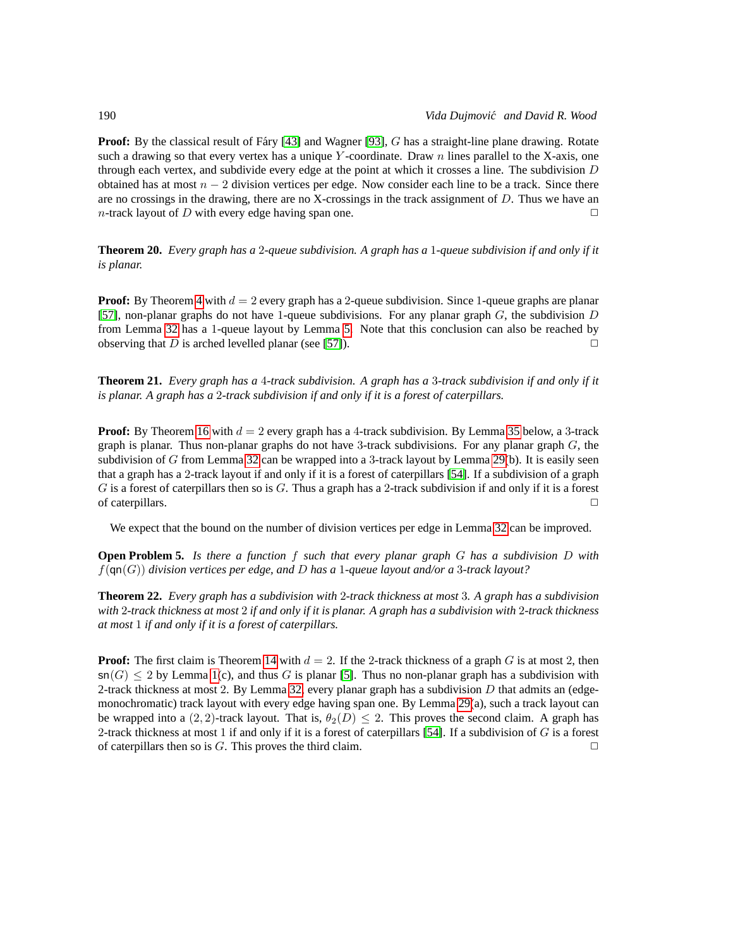**Proof:** By the classical result of Fáry [\[43\]](#page-42-13) and Wagner [\[93\]](#page-46-10), G has a straight-line plane drawing. Rotate such a drawing so that every vertex has a unique Y-coordinate. Draw  $n$  lines parallel to the X-axis, one through each vertex, and subdivide every edge at the point at which it crosses a line. The subdivision  $D$ obtained has at most  $n - 2$  division vertices per edge. Now consider each line to be a track. Since there are no crossings in the drawing, there are no X-crossings in the track assignment of  $D$ . Thus we have an n-track layout of D with every edge having span one.  $\Box$ 

<span id="page-35-0"></span>**Theorem 20.** *Every graph has a* 2*-queue subdivision. A graph has a* 1*-queue subdivision if and only if it is planar.*

**Proof:** By Theorem [4](#page-22-0) with  $d = 2$  every graph has a 2-queue subdivision. Since 1-queue graphs are planar [\[57\]](#page-43-13), non-planar graphs do not have 1-queue subdivisions. For any planar graph  $G$ , the subdivision  $D$ from Lemma [32](#page-34-1) has a 1-queue layout by Lemma [5.](#page-9-1) Note that this conclusion can also be reached by observing that D is arched levelled planar (see [\[57\]](#page-43-13)).  $\Box$ 

<span id="page-35-1"></span>**Theorem 21.** *Every graph has a* 4*-track subdivision. A graph has a* 3*-track subdivision if and only if it is planar. A graph has a* 2*-track subdivision if and only if it is a forest of caterpillars.*

**Proof:** By Theorem [16](#page-30-2) with  $d = 2$  every graph has a 4-track subdivision. By Lemma [35](#page-37-1) below, a 3-track graph is planar. Thus non-planar graphs do not have 3-track subdivisions. For any planar graph  $G$ , the subdivision of G from Lemma [32](#page-34-1) can be wrapped into a 3-track layout by Lemma [29\(](#page-29-4)b). It is easily seen that a graph has a 2-track layout if and only if it is a forest of caterpillars [\[54\]](#page-43-14). If a subdivision of a graph G is a forest of caterpillars then so is G. Thus a graph has a 2-track subdivision if and only if it is a forest of caterpillars.  $\Box$ 

We expect that the bound on the number of division vertices per edge in Lemma [32](#page-34-1) can be improved.

**Open Problem 5.** *Is there a function* f *such that every planar graph* G *has a subdivision* D *with* f(qn(G)) *division vertices per edge, and* D *has a* 1*-queue layout and/or a* 3*-track layout?*

<span id="page-35-2"></span>**Theorem 22.** *Every graph has a subdivision with* 2*-track thickness at most* 3*. A graph has a subdivision with* 2*-track thickness at most* 2 *if and only if it is planar. A graph has a subdivision with* 2*-track thickness at most* 1 *if and only if it is a forest of caterpillars.*

**Proof:** The first claim is Theorem [14](#page-30-0) with  $d = 2$ . If the 2-track thickness of a graph G is at most 2, then  $\mathsf{sn}(G) \leq 2$  by Lemma [1\(](#page-4-1)c), and thus G is planar [\[5\]](#page-40-3). Thus no non-planar graph has a subdivision with 2-track thickness at most 2. By Lemma [32,](#page-34-1) every planar graph has a subdivision  $D$  that admits an (edgemonochromatic) track layout with every edge having span one. By Lemma [29\(](#page-29-4)a), such a track layout can be wrapped into a (2, 2)-track layout. That is,  $\theta_2(D) \le 2$ . This proves the second claim. A graph has 2-track thickness at most 1 if and only if it is a forest of caterpillars [\[54\]](#page-43-14). If a subdivision of  $G$  is a forest of caterpillars then so is G. This proves the third claim.  $\Box$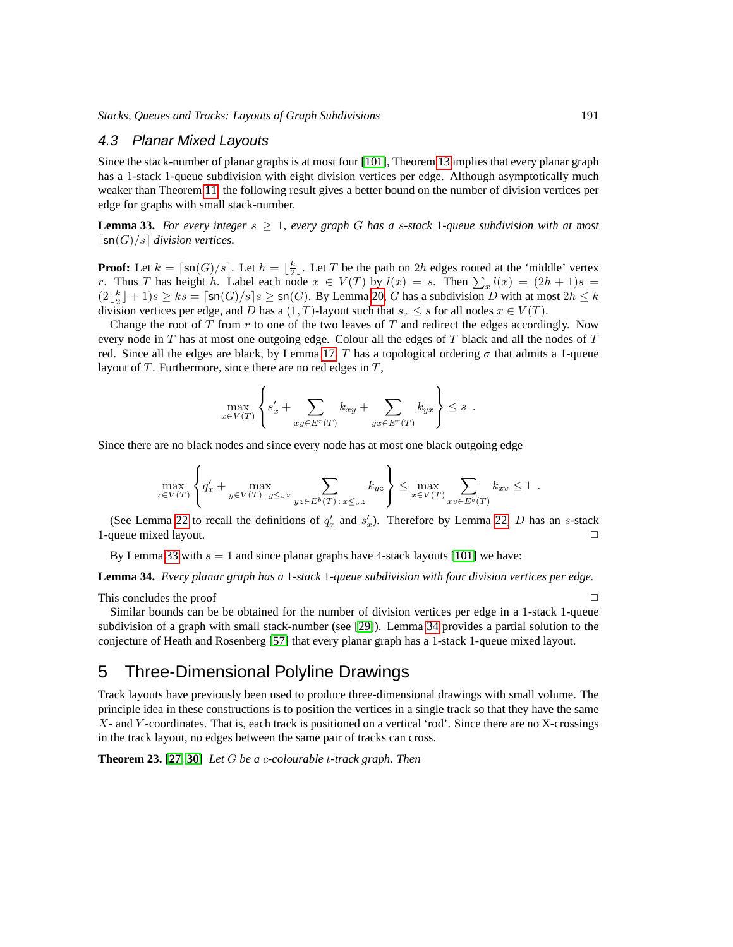#### 4.3 Planar Mixed Layouts

Since the stack-number of planar graphs is at most four [\[101\]](#page-46-11), Theorem [13](#page-29-5) implies that every planar graph has a 1-stack 1-queue subdivision with eight division vertices per edge. Although asymptotically much weaker than Theorem [11,](#page-27-0) the following result gives a better bound on the number of division vertices per edge for graphs with small stack-number.

<span id="page-36-3"></span>**Lemma 33.** For every integer  $s \geq 1$ , every graph G has a s-stack 1-queue subdivision with at most  $\lceil \text{sn}(G)/s \rceil$  division vertices.

**Proof:** Let  $k = \lceil \text{sn}(G)/s \rceil$ . Let  $h = \lfloor \frac{k}{2} \rfloor$ . Let T be the path on 2h edges rooted at the 'middle' vertex r. Thus T has height h. Label each node  $x \in V(T)$  by  $l(x) = s$ . Then  $\sum_{x} l(x) = (2h + 1)s$  $(2\lfloor \frac{k}{2} \rfloor + 1)s \ge ks = \lceil \mathsf{sn}(G)/s \rceil s \ge \mathsf{sn}(G)$ . By Lemma [20,](#page-17-0) G has a subdivision D with at most  $2h \le k$ division vertices per edge, and D has a  $(1, T)$ -layout such that  $s_x \leq s$  for all nodes  $x \in V(T)$ .

Change the root of  $T$  from  $r$  to one of the two leaves of  $T$  and redirect the edges accordingly. Now every node in  $T$  has at most one outgoing edge. Colour all the edges of  $T$  black and all the nodes of  $T$ red. Since all the edges are black, by Lemma [17,](#page-15-1) T has a topological ordering  $\sigma$  that admits a 1-queue layout of  $T$ . Furthermore, since there are no red edges in  $T$ ,

$$
\max_{x \in V(T)} \left\{ s'_x + \sum_{xy \in E^r(T)} k_{xy} + \sum_{yx \in E^r(T)} k_{yx} \right\} \leq s.
$$

 $\lambda$ 

Since there are no black nodes and since every node has at most one black outgoing edge

$$
\max_{x \in V(T)} \left\{ q'_x + \max_{y \in V(T) : y \leq \sigma x} \sum_{yz \in E^b(T) : x \leq \sigma z} k_{yz} \right\} \leq \max_{x \in V(T)} \sum_{xv \in E^b(T)} k_{xv} \leq 1.
$$

(See Lemma [22](#page-19-2) to recall the definitions of  $q'_x$  and  $s'_x$ ). Therefore by Lemma [22,](#page-19-2) D has an s-stack 1-queue mixed layout.  $\Box$ 

By Lemma [33](#page-36-3) with  $s = 1$  and since planar graphs have 4-stack layouts [\[101\]](#page-46-11) we have:

<span id="page-36-0"></span>**Lemma 34.** *Every planar graph has a* 1*-stack* 1*-queue subdivision with four division vertices per edge.*

This concludes the proof  $\Box$ 

Similar bounds can be be obtained for the number of division vertices per edge in a 1-stack 1-queue subdivision of a graph with small stack-number (see [\[29\]](#page-42-0)). Lemma [34](#page-36-0) provides a partial solution to the conjecture of Heath and Rosenberg [\[57\]](#page-43-13) that every planar graph has a 1-stack 1-queue mixed layout.

### <span id="page-36-1"></span>5 Three-Dimensional Polyline Drawings

Track layouts have previously been used to produce three-dimensional drawings with small volume. The principle idea in these constructions is to position the vertices in a single track so that they have the same X- and Y -coordinates. That is, each track is positioned on a vertical 'rod'. Since there are no X-crossings in the track layout, no edges between the same pair of tracks can cross.

<span id="page-36-2"></span>**Theorem 23. [\[27,](#page-41-1) [30\]](#page-42-9)** *Let* G *be a* c*-colourable* t*-track graph. Then*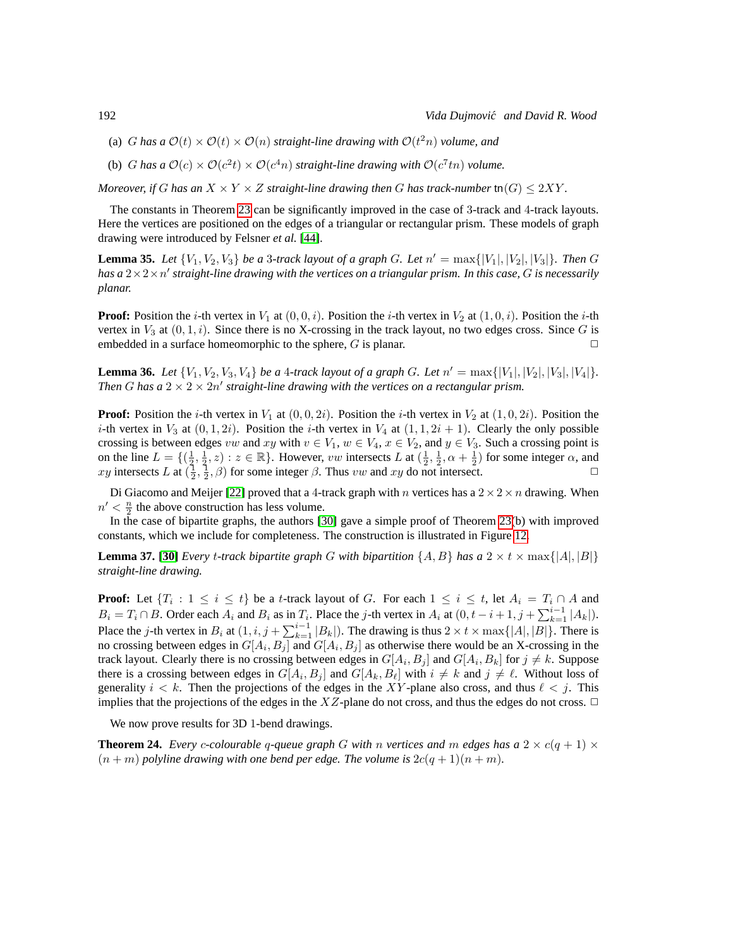- (a)  $G$  *has a*  $\mathcal{O}(t) \times \mathcal{O}(t) \times \mathcal{O}(n)$  *straight-line drawing with*  $\mathcal{O}(t^2n)$  *volume, and*
- (b) *G* has a  $\mathcal{O}(c) \times \mathcal{O}(c^2 t) \times \mathcal{O}(c^4 n)$  straight-line drawing with  $\mathcal{O}(c^7 t n)$  volume.

*Moreover, if* G has an  $X \times Y \times Z$  straight-line drawing then G has track-number tn $(G) \leq 2XY$ .

The constants in Theorem [23](#page-36-2) can be significantly improved in the case of 3-track and 4-track layouts. Here the vertices are positioned on the edges of a triangular or rectangular prism. These models of graph drawing were introduced by Felsner *et al.* [\[44\]](#page-43-7).

<span id="page-37-1"></span>**Lemma 35.** *Let*  $\{V_1, V_2, V_3\}$  *be a* 3*-track layout of a graph G. Let*  $n' = \max\{|V_1|, |V_2|, |V_3|\}$ *. Then G has a* 2×2×n ′ *straight-line drawing with the vertices on a triangular prism. In this case,* G *is necessarily planar.*

**Proof:** Position the *i*-th vertex in  $V_1$  at  $(0, 0, i)$ . Position the *i*-th vertex in  $V_2$  at  $(1, 0, i)$ . Position the *i*-th vertex in  $V_3$  at  $(0, 1, i)$ . Since there is no X-crossing in the track layout, no two edges cross. Since G is embedded in a surface homeomorphic to the sphere,  $G$  is planar.

<span id="page-37-3"></span>**Lemma 36.** *Let*  $\{V_1, V_2, V_3, V_4\}$  *be a 4-track layout of a graph G. Let*  $n' = \max\{|V_1|, |V_2|, |V_3|, |V_4|\}.$ Then G has a  $2 \times 2 \times 2n'$  straight-line drawing with the vertices on a rectangular prism.

**Proof:** Position the *i*-th vertex in  $V_1$  at  $(0, 0, 2i)$ . Position the *i*-th vertex in  $V_2$  at  $(1, 0, 2i)$ . Position the *i*-th vertex in  $V_3$  at  $(0, 1, 2i)$ . Position the *i*-th vertex in  $V_4$  at  $(1, 1, 2i + 1)$ . Clearly the only possible crossing is between edges vw and xy with  $v \in V_1$ ,  $w \in V_4$ ,  $x \in V_2$ , and  $y \in V_3$ . Such a crossing point is on the line  $L = \{(\frac{1}{2}, \frac{1}{2}, z) : z \in \mathbb{R}\}.$  However, vw intersects L at  $(\frac{1}{2}, \frac{1}{2}, \alpha + \frac{1}{2})$  for some integer  $\alpha$ , and xy intersects L at  $(\frac{1}{2}, \frac{1}{2}, \beta)$  for some integer  $\beta$ . Thus vw and xy do not intersect.

Di Giacomo and Meijer [\[22\]](#page-41-9) proved that a 4-track graph with n vertices has a  $2 \times 2 \times n$  drawing. When  $n' < \frac{n}{2}$  the above construction has less volume.

In the case of bipartite graphs, the authors [\[30\]](#page-42-9) gave a simple proof of Theorem [23\(](#page-36-2)b) with improved constants, which we include for completeness. The construction is illustrated in Figure [12.](#page-38-2)

<span id="page-37-2"></span>**Lemma 37.** [\[30\]](#page-42-9) *Every t-track bipartite graph* G *with bipartition*  $\{A, B\}$  *has a* 2  $\times$  t  $\times$  max $\{|A|, |B|\}$ *straight-line drawing.*

**Proof:** Let  $\{T_i : 1 \leq i \leq t\}$  be a t-track layout of G. For each  $1 \leq i \leq t$ , let  $A_i = T_i \cap A$  and  $B_i = T_i \cap B$ . Order each  $A_i$  and  $B_i$  as in  $T_i$ . Place the j-th vertex in  $A_i$  at  $(0, t - i + 1, j + \sum_{k=1}^{i-1} |A_k|)$ . Place the j-th vertex in  $B_i$  at  $(1, i, j + \sum_{k=1}^{i-1} |B_k|)$ . The drawing is thus  $2 \times t \times \max\{|A|, |B|\}$ . There is no crossing between edges in  $G[A_i, B_j]$  and  $G[A_i, B_j]$  as otherwise there would be an X-crossing in the track layout. Clearly there is no crossing between edges in  $G[A_i, B_j]$  and  $G[A_i, B_k]$  for  $j \neq k$ . Suppose there is a crossing between edges in  $G[A_i, B_j]$  and  $G[A_k, B_\ell]$  with  $i \neq k$  and  $j \neq \ell$ . Without loss of generality  $i < k$ . Then the projections of the edges in the XY-plane also cross, and thus  $\ell < j$ . This implies that the projections of the edges in the  $XZ$ -plane do not cross, and thus the edges do not cross.  $\Box$ 

We now prove results for 3D 1-bend drawings.

<span id="page-37-0"></span>**Theorem 24.** *Every c-colourable q-queue graph* G *with* n *vertices and* m *edges has a*  $2 \times c(q + 1) \times$  $(n + m)$  *polyline drawing with one bend per edge. The volume is*  $2c(q + 1)(n + m)$ *.*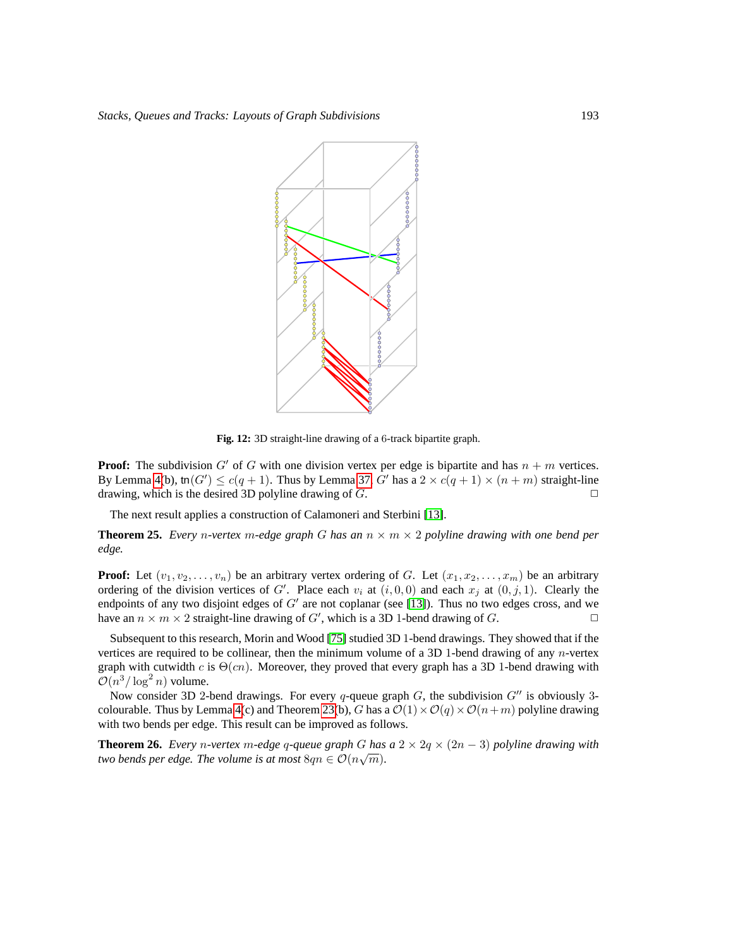

<span id="page-38-2"></span>**Fig. 12:** 3D straight-line drawing of a 6-track bipartite graph.

**Proof:** The subdivision G' of G with one division vertex per edge is bipartite and has  $n + m$  vertices. By Lemma [4\(](#page-8-2)b), tn $(G') \le c(q+1)$ . Thus by Lemma [37,](#page-37-2) G' has a  $2 \times c(q+1) \times (n+m)$  straight-line drawing, which is the desired 3D polyline drawing of  $G$ .

The next result applies a construction of Calamoneri and Sterbini [\[13\]](#page-40-5).

<span id="page-38-0"></span>**Theorem 25.** *Every n*-vertex *m*-edge graph G has an  $n \times m \times 2$  polyline drawing with one bend per *edge.*

**Proof:** Let  $(v_1, v_2, \ldots, v_n)$  be an arbitrary vertex ordering of G. Let  $(x_1, x_2, \ldots, x_m)$  be an arbitrary ordering of the division vertices of G'. Place each  $v_i$  at  $(i, 0, 0)$  and each  $x_j$  at  $(0, j, 1)$ . Clearly the endpoints of any two disjoint edges of  $G'$  are not coplanar (see [\[13\]](#page-40-5)). Thus no two edges cross, and we have an  $n \times m \times 2$  straight-line drawing of G', which is a 3D 1-bend drawing of G.

Subsequent to this research, Morin and Wood [\[75\]](#page-44-14) studied 3D 1-bend drawings. They showed that if the vertices are required to be collinear, then the minimum volume of a 3D 1-bend drawing of any n-vertex graph with cutwidth c is  $\Theta(cn)$ . Moreover, they proved that every graph has a 3D 1-bend drawing with  $\mathcal{O}(n^3/\log^2 n)$  volume.

Now consider 3D 2-bend drawings. For every q-queue graph G, the subdivision  $G''$  is obviously 3-colourable. Thus by Lemma [4\(](#page-8-2)c) and Theorem [23\(](#page-36-2)b), G has a  $\mathcal{O}(1)\times\mathcal{O}(q)\times\mathcal{O}(n+m)$  polyline drawing with two bends per edge. This result can be improved as follows.

<span id="page-38-1"></span>**Theorem 26.** *Every n*-vertex m-edge q-queue graph G has a  $2 \times 2q \times (2n - 3)$  polyline drawing with *two bends per edge. The volume is at most*  $8qn \in \mathcal{O}(n\sqrt{m})$ *.*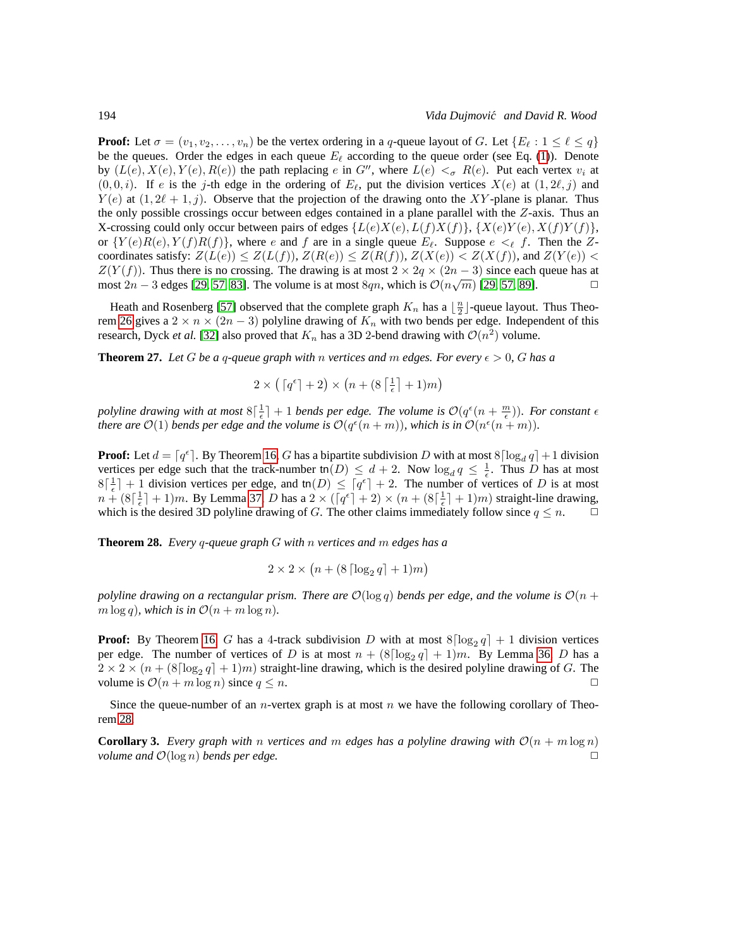**Proof:** Let  $\sigma = (v_1, v_2, \dots, v_n)$  be the vertex ordering in a q-queue layout of G. Let  $\{E_\ell : 1 \leq \ell \leq q\}$ be the queues. Order the edges in each queue  $E_{\ell}$  according to the queue order (see Eq. [\(1\)](#page-1-0)). Denote by  $(L(e), X(e), Y(e), R(e))$  the path replacing e in G'', where  $L(e) <_{\sigma} R(e)$ . Put each vertex  $v_i$  at  $(0, 0, i)$ . If e is the j-th edge in the ordering of  $E_{\ell}$ , put the division vertices  $X(e)$  at  $(1, 2\ell, j)$  and  $Y(e)$  at  $(1, 2\ell + 1, j)$ . Observe that the projection of the drawing onto the XY-plane is planar. Thus the only possible crossings occur between edges contained in a plane parallel with the  $Z$ -axis. Thus an X-crossing could only occur between pairs of edges  $\{L(e)X(e), L(f)X(f)\}, \{X(e)Y(e), X(f)Y(f)\},$ or  ${Y(e)R(e), Y(f)R(f)}$ , where e and f are in a single queue  $E_{\ell}$ . Suppose  $e \leq_{\ell} f$ . Then the Zcoordinates satisfy:  $Z(L(e)) \leq Z(L(f))$ ,  $Z(R(e)) \leq Z(R(f))$ ,  $Z(X(e)) < Z(X(f))$ , and  $Z(Y(e)) <$  $Z(Y(f))$ . Thus there is no crossing. The drawing is at most  $2 \times 2q \times (2n-3)$  since each queue has at most  $2n-3$  edges [29, 57, 83]. The volume is at most  $8an$ , which is  $\mathcal{O}(n\sqrt{m})$  [29, 57, 89]. most 2*n* − 3 edges [\[29,](#page-42-0) [57,](#page-43-13) [83\]](#page-45-11). The volume is at most 8qn, which is  $\mathcal{O}(n\sqrt{m})$  [\[29,](#page-42-0) 57, [89\]](#page-45-12).  $\Box$ 

Heath and Rosenberg [\[57\]](#page-43-13) observed that the complete graph  $K_n$  has a  $\lfloor \frac{n}{2} \rfloor$ -queue layout. Thus Theo-rem [26](#page-38-1) gives a  $2 \times n \times (2n-3)$  polyline drawing of  $K_n$  with two bends per edge. Independent of this research, Dyck *et al.* [\[32\]](#page-42-14) also proved that  $K_n$  has a 3D 2-bend drawing with  $\mathcal{O}(n^2)$  volume.

<span id="page-39-0"></span>**Theorem 27.** Let G be a q-queue graph with n vertices and m edges. For every  $\epsilon > 0$ , G has a

$$
2 \times \left(\lceil q^\epsilon \rceil + 2\right) \times \left(n + (8\left\lceil\frac{1}{\epsilon}\right\rceil + 1)m\right)
$$

polyline drawing with at most  $8\left[\frac{1}{\epsilon}\right]+1$  bends per edge. The volume is  $\mathcal{O}(q^{\epsilon}(n+\frac{m}{\epsilon}))$ . For constant  $\epsilon$ *there are*  $\mathcal{O}(1)$  *bends per edge and the volume is*  $\mathcal{O}(q^{\epsilon}(n+m))$ *, which is in*  $\mathcal{O}(n^{\epsilon}(n+m))$ *.* 

**Proof:** Let  $d = \lceil q^{\epsilon} \rceil$ . By Theorem [16,](#page-30-2) G has a bipartite subdivision D with at most  $8 \lceil \log_d q \rceil + 1$  division vertices per edge such that the track-number  $\text{tn}(D) \leq d + 2$ . Now  $\log_d q \leq \frac{1}{\epsilon}$ . Thus D has at most  $8\lceil \frac{1}{\epsilon} \rceil + 1$  division vertices per edge, and tn(D)  $\leq \lceil q^{\epsilon} \rceil + 2$ . The number of vertices of D is at most  $n + (8\lceil \frac{1}{\epsilon} \rceil + 1)m$ . By Lemma [37,](#page-37-2) D has a  $2 \times (\lceil q^{\epsilon} \rceil + 2) \times (n + (8\lceil \frac{1}{\epsilon} \rceil + 1)m)$  straight-line drawing, which is the desired 3D polyline drawing of G. The other claims immediately follow since  $q \leq n$ .  $\Box$ 

<span id="page-39-1"></span>**Theorem 28.** *Every* q*-queue graph* G *with* n *vertices and* m *edges has a*

$$
2 \times 2 \times \left( n + (8 \lceil \log_2 q \rceil + 1)m \right)
$$

*polyline drawing on a rectangular prism. There are*  $\mathcal{O}(\log q)$  *bends per edge, and the volume is*  $\mathcal{O}(n +$  $m \log q$ *), which is in*  $\mathcal{O}(n + m \log n)$ *.* 

**Proof:** By Theorem [16,](#page-30-2) G has a 4-track subdivision D with at most  $8\left[\log_2 q\right] + 1$  division vertices per edge. The number of vertices of D is at most  $n + (8\lceil \log_2 q \rceil + 1)m$ . By Lemma [36,](#page-37-3) D has a  $2 \times 2 \times (n + (8 \log_2 q) + 1)m)$  straight-line drawing, which is the desired polyline drawing of G. The volume is  $\mathcal{O}(n + m \log n)$  since  $q \leq n$ .

Since the queue-number of an *n*-vertex graph is at most *n* we have the following corollary of Theorem [28.](#page-39-1)

**Corollary 3.** *Every graph with* n *vertices and* m *edges has a polyline drawing with*  $\mathcal{O}(n + m \log n)$  *volume and*  $\mathcal{O}(\log n)$  *bends ner edge. volume and*  $\mathcal{O}(\log n)$  *bends per edge.*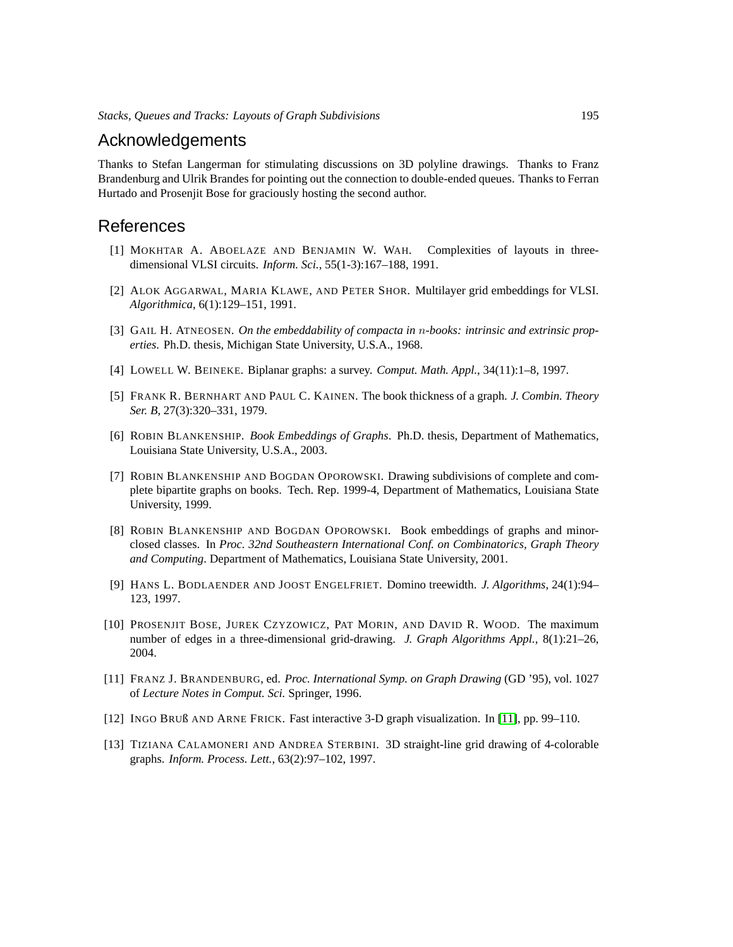### Acknowledgements

Thanks to Stefan Langerman for stimulating discussions on 3D polyline drawings. Thanks to Franz Brandenburg and Ulrik Brandes for pointing out the connection to double-ended queues. Thanks to Ferran Hurtado and Prosenjit Bose for graciously hosting the second author.

### References

- <span id="page-40-7"></span>[1] MOKHTAR A. ABOELAZE AND BENJAMIN W. WAH. Complexities of layouts in threedimensional VLSI circuits. *Inform. Sci.*, 55(1-3):167–188, 1991.
- <span id="page-40-8"></span>[2] ALOK AGGARWAL, MARIA KLAWE, AND PETER SHOR. Multilayer grid embeddings for VLSI. *Algorithmica*, 6(1):129–151, 1991.
- <span id="page-40-1"></span>[3] GAIL H. ATNEOSEN. *On the embeddability of compacta in* n*-books: intrinsic and extrinsic properties*. Ph.D. thesis, Michigan State University, U.S.A., 1968.
- <span id="page-40-2"></span>[4] LOWELL W. BEINEKE. Biplanar graphs: a survey. *Comput. Math. Appl.*, 34(11):1–8, 1997.
- <span id="page-40-3"></span>[5] FRANK R. BERNHART AND PAUL C. KAINEN. The book thickness of a graph. *J. Combin. Theory Ser. B*, 27(3):320–331, 1979.
- <span id="page-40-10"></span>[6] ROBIN BLANKENSHIP. *Book Embeddings of Graphs*. Ph.D. thesis, Department of Mathematics, Louisiana State University, U.S.A., 2003.
- <span id="page-40-0"></span>[7] ROBIN BLANKENSHIP AND BOGDAN OPOROWSKI. Drawing subdivisions of complete and complete bipartite graphs on books. Tech. Rep. 1999-4, Department of Mathematics, Louisiana State University, 1999.
- <span id="page-40-11"></span>[8] ROBIN BLANKENSHIP AND BOGDAN OPOROWSKI. Book embeddings of graphs and minorclosed classes. In *Proc. 32nd Southeastern International Conf. on Combinatorics, Graph Theory and Computing*. Department of Mathematics, Louisiana State University, 2001.
- <span id="page-40-9"></span>[9] HANS L. BODLAENDER AND JOOST ENGELFRIET. Domino treewidth. *J. Algorithms*, 24(1):94– 123, 1997.
- <span id="page-40-4"></span>[10] PROSENJIT BOSE, JUREK CZYZOWICZ, PAT MORIN, AND DAVID R. WOOD. The maximum number of edges in a three-dimensional grid-drawing. *J. Graph Algorithms Appl.*, 8(1):21–26, 2004.
- <span id="page-40-12"></span>[11] FRANZ J. BRANDENBURG, ed. *Proc. International Symp. on Graph Drawing* (GD '95), vol. 1027 of *Lecture Notes in Comput. Sci.* Springer, 1996.
- <span id="page-40-6"></span>[12] INGO BRUß AND ARNE FRICK. Fast interactive 3-D graph visualization. In [\[11\]](#page-40-12), pp. 99–110.
- <span id="page-40-5"></span>[13] TIZIANA CALAMONERI AND ANDREA STERBINI. 3D straight-line grid drawing of 4-colorable graphs. *Inform. Process. Lett.*, 63(2):97–102, 1997.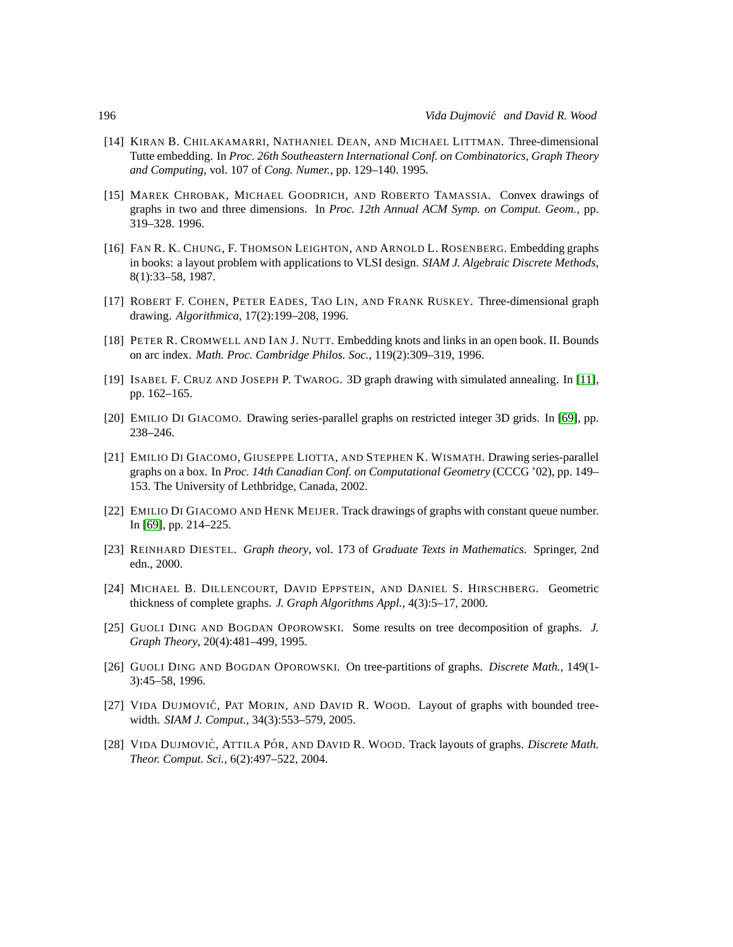- <span id="page-41-10"></span>[14] KIRAN B. CHILAKAMARRI, NATHANIEL DEAN, AND MICHAEL LITTMAN. Three-dimensional Tutte embedding. In *Proc. 26th Southeastern International Conf. on Combinatorics, Graph Theory and Computing*, vol. 107 of *Cong. Numer.*, pp. 129–140. 1995.
- <span id="page-41-11"></span>[15] MAREK CHROBAK, MICHAEL GOODRICH, AND ROBERTO TAMASSIA. Convex drawings of graphs in two and three dimensions. In *Proc. 12th Annual ACM Symp. on Comput. Geom.*, pp. 319–328. 1996.
- <span id="page-41-0"></span>[16] FAN R. K. CHUNG, F. THOMSON LEIGHTON, AND ARNOLD L. ROSENBERG. Embedding graphs in books: a layout problem with applications to VLSI design. *SIAM J. Algebraic Discrete Methods*, 8(1):33–58, 1987.
- <span id="page-41-6"></span>[17] ROBERT F. COHEN, PETER EADES, TAO LIN, AND FRANK RUSKEY. Three-dimensional graph drawing. *Algorithmica*, 17(2):199–208, 1996.
- <span id="page-41-2"></span>[18] PETER R. CROMWELL AND IAN J. NUTT. Embedding knots and links in an open book. II. Bounds on arc index. *Math. Proc. Cambridge Philos. Soc.*, 119(2):309–319, 1996.
- <span id="page-41-12"></span>[19] ISABEL F. CRUZ AND JOSEPH P. TWAROG. 3D graph drawing with simulated annealing. In [\[11\]](#page-40-12), pp. 162–165.
- <span id="page-41-7"></span>[20] EMILIO DI GIACOMO. Drawing series-parallel graphs on restricted integer 3D grids. In [\[69\]](#page-44-15), pp. 238–246.
- <span id="page-41-8"></span>[21] EMILIO DI GIACOMO, GIUSEPPE LIOTTA, AND STEPHEN K. WISMATH. Drawing series-parallel graphs on a box. In *Proc. 14th Canadian Conf. on Computational Geometry* (CCCG '02), pp. 149– 153. The University of Lethbridge, Canada, 2002.
- <span id="page-41-9"></span>[22] EMILIO DI GIACOMO AND HENK MEIJER. Track drawings of graphs with constant queue number. In [\[69\]](#page-44-15), pp. 214–225.
- <span id="page-41-4"></span>[23] REINHARD DIESTEL. *Graph theory*, vol. 173 of *Graduate Texts in Mathematics*. Springer, 2nd edn., 2000.
- <span id="page-41-5"></span>[24] MICHAEL B. DILLENCOURT, DAVID EPPSTEIN, AND DANIEL S. HIRSCHBERG. Geometric thickness of complete graphs. *J. Graph Algorithms Appl.*, 4(3):5–17, 2000.
- <span id="page-41-13"></span>[25] GUOLI DING AND BOGDAN OPOROWSKI. Some results on tree decomposition of graphs. *J. Graph Theory*, 20(4):481–499, 1995.
- <span id="page-41-14"></span>[26] GUOLI DING AND BOGDAN OPOROWSKI. On tree-partitions of graphs. *Discrete Math.*, 149(1- 3):45–58, 1996.
- <span id="page-41-1"></span>[27] VIDA DUJMOVIC´, PAT MORIN, AND DAVID R. WOOD. Layout of graphs with bounded treewidth. *SIAM J. Comput.*, 34(3):553–579, 2005.
- <span id="page-41-3"></span>[28] VIDA DUJMOVIĆ, ATTILA PÓR, AND DAVID R. WOOD. Track layouts of graphs. *Discrete Math. Theor. Comput. Sci.*, 6(2):497–522, 2004.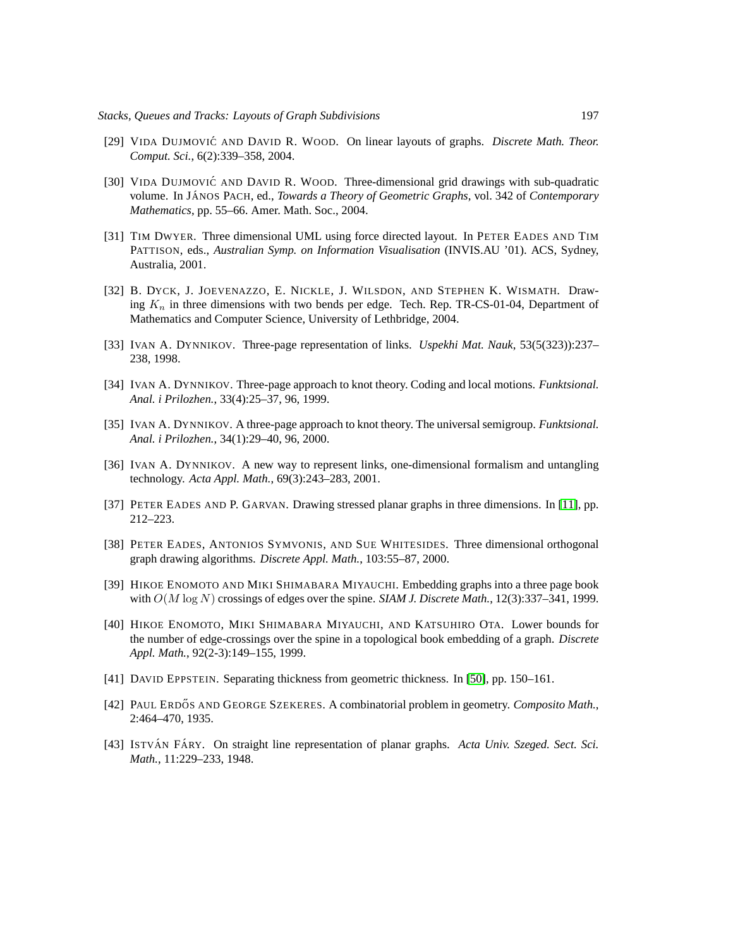- <span id="page-42-0"></span>[29] VIDA DUJMOVIĆ AND DAVID R. WOOD. On linear layouts of graphs. *Discrete Math. Theor. Comput. Sci.*, 6(2):339–358, 2004.
- <span id="page-42-9"></span>[30] VIDA DUJMOVIĆ AND DAVID R. WOOD. Three-dimensional grid drawings with sub-quadratic volume. In JÁNOS PACH, ed., *Towards a Theory of Geometric Graphs*, vol. 342 of *Contemporary Mathematics*, pp. 55–66. Amer. Math. Soc., 2004.
- <span id="page-42-11"></span>[31] TIM DWYER. Three dimensional UML using force directed layout. In PETER EADES AND TIM PATTISON, eds., *Australian Symp. on Information Visualisation* (INVIS.AU '01). ACS, Sydney, Australia, 2001.
- <span id="page-42-14"></span>[32] B. DYCK, J. JOEVENAZZO, E. NICKLE, J. WILSDON, AND STEPHEN K. WISMATH. Drawing  $K_n$  in three dimensions with two bends per edge. Tech. Rep. TR-CS-01-04, Department of Mathematics and Computer Science, University of Lethbridge, 2004.
- <span id="page-42-2"></span>[33] IVAN A. DYNNIKOV. Three-page representation of links. *Uspekhi Mat. Nauk*, 53(5(323)):237– 238, 1998.
- <span id="page-42-3"></span>[34] IVAN A. DYNNIKOV. Three-page approach to knot theory. Coding and local motions. *Funktsional. Anal. i Prilozhen.*, 33(4):25–37, 96, 1999.
- <span id="page-42-4"></span>[35] IVAN A. DYNNIKOV. A three-page approach to knot theory. The universal semigroup. *Funktsional. Anal. i Prilozhen.*, 34(1):29–40, 96, 2000.
- <span id="page-42-5"></span>[36] IVAN A. DYNNIKOV. A new way to represent links, one-dimensional formalism and untangling technology. *Acta Appl. Math.*, 69(3):243–283, 2001.
- <span id="page-42-10"></span>[37] PETER EADES AND P. GARVAN. Drawing stressed planar graphs in three dimensions. In [\[11\]](#page-40-12), pp. 212–223.
- <span id="page-42-8"></span>[38] PETER EADES, ANTONIOS SYMVONIS, AND SUE WHITESIDES. Three dimensional orthogonal graph drawing algorithms. *Discrete Appl. Math.*, 103:55–87, 2000.
- <span id="page-42-1"></span>[39] HIKOE ENOMOTO AND MIKI SHIMABARA MIYAUCHI. Embedding graphs into a three page book with  $O(M \log N)$  crossings of edges over the spine. *SIAM J. Discrete Math.*, 12(3):337–341, 1999.
- <span id="page-42-6"></span>[40] HIKOE ENOMOTO, MIKI SHIMABARA MIYAUCHI, AND KATSUHIRO OTA. Lower bounds for the number of edge-crossings over the spine in a topological book embedding of a graph. *Discrete Appl. Math.*, 92(2-3):149–155, 1999.
- <span id="page-42-7"></span>[41] DAVID EPPSTEIN. Separating thickness from geometric thickness. In [\[50\]](#page-43-15), pp. 150–161.
- <span id="page-42-12"></span>[42] PAUL ERDŐS AND GEORGE SZEKERES. A combinatorial problem in geometry. *Composito Math.*, 2:464–470, 1935.
- <span id="page-42-13"></span>[43] ISTVÁN FÁRY. On straight line representation of planar graphs. *Acta Univ. Szeged. Sect. Sci. Math.*, 11:229–233, 1948.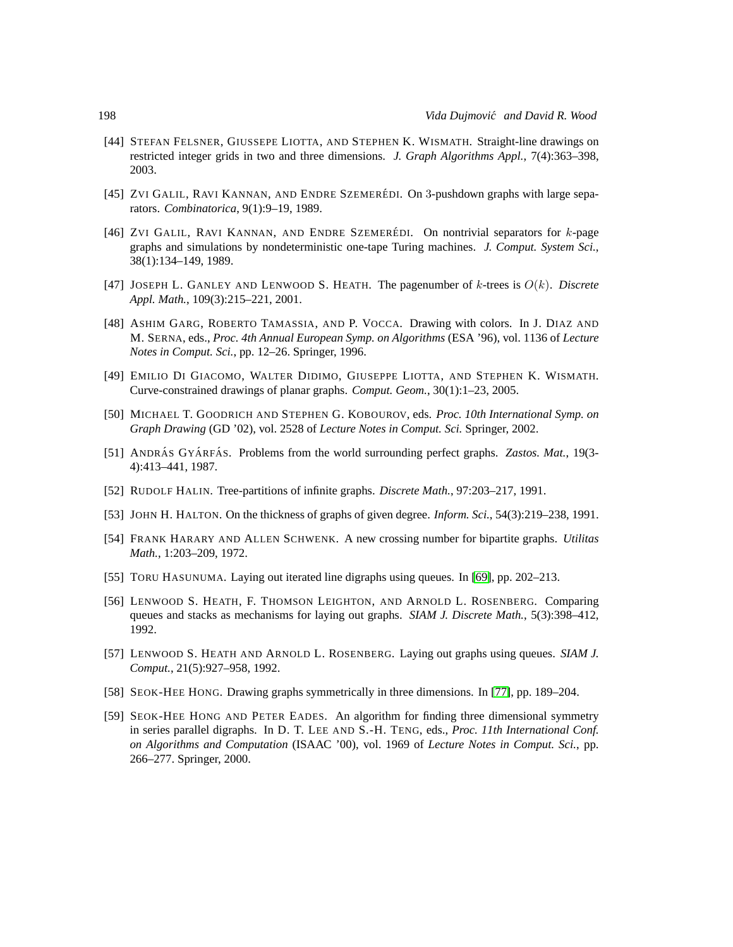- <span id="page-43-7"></span>[44] STEFAN FELSNER, GIUSSEPE LIOTTA, AND STEPHEN K. WISMATH. Straight-line drawings on restricted integer grids in two and three dimensions. *J. Graph Algorithms Appl.*, 7(4):363–398, 2003.
- <span id="page-43-3"></span>[45] ZVI GALIL, RAVI KANNAN, AND ENDRE SZEMERÉDI. On 3-pushdown graphs with large separators. *Combinatorica*, 9(1):9–19, 1989.
- <span id="page-43-4"></span>[46] ZVI GALIL, RAVI KANNAN, AND ENDRE SZEMERÉDI. On nontrivial separators for  $k$ -page graphs and simulations by nondeterministic one-tape Turing machines. *J. Comput. System Sci.*, 38(1):134–149, 1989.
- <span id="page-43-2"></span>[47] JOSEPH L. GANLEY AND LENWOOD S. HEATH. The pagenumber of  $k$ -trees is  $O(k)$ . *Discrete Appl. Math.*, 109(3):215–221, 2001.
- <span id="page-43-9"></span>[48] ASHIM GARG, ROBERTO TAMASSIA, AND P. VOCCA. Drawing with colors. In J. DIAZ AND M. SERNA, eds., *Proc. 4th Annual European Symp. on Algorithms* (ESA '96), vol. 1136 of *Lecture Notes in Comput. Sci.*, pp. 12–26. Springer, 1996.
- <span id="page-43-5"></span>[49] EMILIO DI GIACOMO, WALTER DIDIMO, GIUSEPPE LIOTTA, AND STEPHEN K. WISMATH. Curve-constrained drawings of planar graphs. *Comput. Geom.*, 30(1):1–23, 2005.
- <span id="page-43-15"></span>[50] MICHAEL T. GOODRICH AND STEPHEN G. KOBOUROV, eds. *Proc. 10th International Symp. on Graph Drawing* (GD '02), vol. 2528 of *Lecture Notes in Comput. Sci.* Springer, 2002.
- <span id="page-43-0"></span>[51] ANDRÁS GYÁRFÁS. Problems from the world surrounding perfect graphs. *Zastos. Mat.*, 19(3-4):413–441, 1987.
- <span id="page-43-12"></span>[52] RUDOLF HALIN. Tree-partitions of infinite graphs. *Discrete Math.*, 97:203–217, 1991.
- <span id="page-43-6"></span>[53] JOHN H. HALTON. On the thickness of graphs of given degree. *Inform. Sci.*, 54(3):219–238, 1991.
- <span id="page-43-14"></span>[54] FRANK HARARY AND ALLEN SCHWENK. A new crossing number for bipartite graphs. *Utilitas Math.*, 1:203–209, 1972.
- <span id="page-43-8"></span>[55] TORU HASUNUMA. Laying out iterated line digraphs using queues. In [\[69\]](#page-44-15), pp. 202–213.
- <span id="page-43-1"></span>[56] LENWOOD S. HEATH, F. THOMSON LEIGHTON, AND ARNOLD L. ROSENBERG. Comparing queues and stacks as mechanisms for laying out graphs. *SIAM J. Discrete Math.*, 5(3):398–412, 1992.
- <span id="page-43-13"></span>[57] LENWOOD S. HEATH AND ARNOLD L. ROSENBERG. Laying out graphs using queues. *SIAM J. Comput.*, 21(5):927–958, 1992.
- <span id="page-43-10"></span>[58] SEOK-HEE HONG. Drawing graphs symmetrically in three dimensions. In [\[77\]](#page-45-13), pp. 189–204.
- <span id="page-43-11"></span>[59] SEOK-HEE HONG AND PETER EADES. An algorithm for finding three dimensional symmetry in series parallel digraphs. In D. T. LEE AND S.-H. TENG, eds., *Proc. 11th International Conf. on Algorithms and Computation* (ISAAC '00), vol. 1969 of *Lecture Notes in Comput. Sci.*, pp. 266–277. Springer, 2000.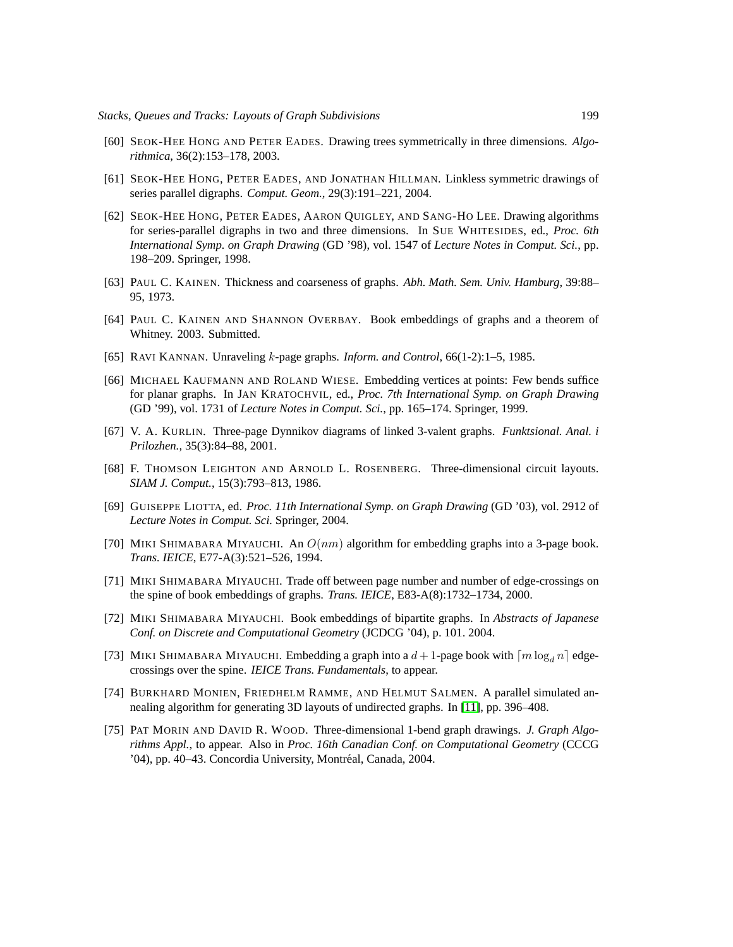- <span id="page-44-9"></span>[60] SEOK-HEE HONG AND PETER EADES. Drawing trees symmetrically in three dimensions. *Algorithmica*, 36(2):153–178, 2003.
- <span id="page-44-10"></span>[61] SEOK-HEE HONG, PETER EADES, AND JONATHAN HILLMAN. Linkless symmetric drawings of series parallel digraphs. *Comput. Geom.*, 29(3):191–221, 2004.
- <span id="page-44-11"></span>[62] SEOK-HEE HONG, PETER EADES, AARON QUIGLEY, AND SANG-HO LEE. Drawing algorithms for series-parallel digraphs in two and three dimensions. In SUE WHITESIDES, ed., *Proc. 6th International Symp. on Graph Drawing* (GD '98), vol. 1547 of *Lecture Notes in Comput. Sci.*, pp. 198–209. Springer, 1998.
- <span id="page-44-8"></span>[63] PAUL C. KAINEN. Thickness and coarseness of graphs. *Abh. Math. Sem. Univ. Hamburg*, 39:88– 95, 1973.
- <span id="page-44-2"></span>[64] PAUL C. KAINEN AND SHANNON OVERBAY. Book embeddings of graphs and a theorem of Whitney. 2003. Submitted.
- <span id="page-44-3"></span>[65] RAVI KANNAN. Unraveling k-page graphs. *Inform. and Control*, 66(1-2):1–5, 1985.
- <span id="page-44-7"></span>[66] MICHAEL KAUFMANN AND ROLAND WIESE. Embedding vertices at points: Few bends suffice for planar graphs. In JAN KRATOCHVIL, ed., *Proc. 7th International Symp. on Graph Drawing* (GD '99), vol. 1731 of *Lecture Notes in Comput. Sci.*, pp. 165–174. Springer, 1999.
- <span id="page-44-4"></span>[67] V. A. KURLIN. Three-page Dynnikov diagrams of linked 3-valent graphs. *Funktsional. Anal. i Prilozhen.*, 35(3):84–88, 2001.
- <span id="page-44-13"></span>[68] F. THOMSON LEIGHTON AND ARNOLD L. ROSENBERG. Three-dimensional circuit layouts. *SIAM J. Comput.*, 15(3):793–813, 1986.
- <span id="page-44-15"></span>[69] GUISEPPE LIOTTA, ed. *Proc. 11th International Symp. on Graph Drawing* (GD '03), vol. 2912 of *Lecture Notes in Comput. Sci.* Springer, 2004.
- <span id="page-44-0"></span>[70] MIKI SHIMABARA MIYAUCHI. An  $O(nm)$  algorithm for embedding graphs into a 3-page book. *Trans. IEICE*, E77-A(3):521–526, 1994.
- <span id="page-44-5"></span>[71] MIKI SHIMABARA MIYAUCHI. Trade off between page number and number of edge-crossings on the spine of book embeddings of graphs. *Trans. IEICE*, E83-A(8):1732–1734, 2000.
- <span id="page-44-6"></span>[72] MIKI SHIMABARA MIYAUCHI. Book embeddings of bipartite graphs. In *Abstracts of Japanese Conf. on Discrete and Computational Geometry* (JCDCG '04), p. 101. 2004.
- <span id="page-44-1"></span>[73] MIKI SHIMABARA MIYAUCHI. Embedding a graph into a  $d+1$ -page book with  $\lceil m \log_d n \rceil$  edgecrossings over the spine. *IEICE Trans. Fundamentals*, to appear.
- <span id="page-44-12"></span>[74] BURKHARD MONIEN, FRIEDHELM RAMME, AND HELMUT SALMEN. A parallel simulated annealing algorithm for generating 3D layouts of undirected graphs. In [\[11\]](#page-40-12), pp. 396–408.
- <span id="page-44-14"></span>[75] PAT MORIN AND DAVID R. WOOD. Three-dimensional 1-bend graph drawings. *J. Graph Algorithms Appl.*, to appear. Also in *Proc. 16th Canadian Conf. on Computational Geometry* (CCCG '04), pp. 40–43. Concordia University, Montréal, Canada, 2004.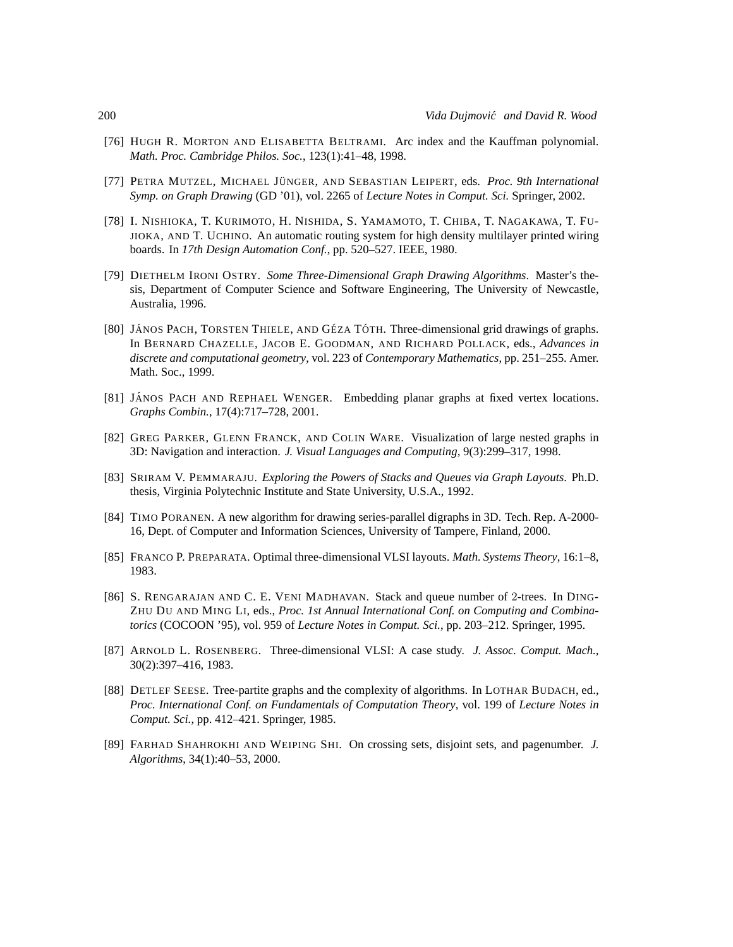- <span id="page-45-1"></span>[76] HUGH R. MORTON AND ELISABETTA BELTRAMI. Arc index and the Kauffman polynomial. *Math. Proc. Cambridge Philos. Soc.*, 123(1):41–48, 1998.
- <span id="page-45-13"></span>[77] PETRA MUTZEL, MICHAEL JÜNGER, AND SEBASTIAN LEIPERT, eds. *Proc. 9th International Symp. on Graph Drawing* (GD '01), vol. 2265 of *Lecture Notes in Comput. Sci.* Springer, 2002.
- <span id="page-45-7"></span>[78] I. NISHIOKA, T. KURIMOTO, H. NISHIDA, S. YAMAMOTO, T. CHIBA, T. NAGAKAWA, T. FU-JIOKA, AND T. UCHINO. An automatic routing system for high density multilayer printed wiring boards. In *17th Design Automation Conf.*, pp. 520–527. IEEE, 1980.
- <span id="page-45-5"></span>[79] DIETHELM IRONI OSTRY. *Some Three-Dimensional Graph Drawing Algorithms*. Master's thesis, Department of Computer Science and Software Engineering, The University of Newcastle, Australia, 1996.
- <span id="page-45-3"></span>[80] JÁNOS PACH, TORSTEN THIELE, AND GÉZA TÓTH. Three-dimensional grid drawings of graphs. In BERNARD CHAZELLE, JACOB E. GOODMAN, AND RICHARD POLLACK, eds., *Advances in discrete and computational geometry*, vol. 223 of *Contemporary Mathematics*, pp. 251–255. Amer. Math. Soc., 1999.
- <span id="page-45-2"></span>[81] JÁNOS PACH AND REPHAEL WENGER. Embedding planar graphs at fixed vertex locations. *Graphs Combin.*, 17(4):717–728, 2001.
- <span id="page-45-6"></span>[82] GREG PARKER, GLENN FRANCK, AND COLIN WARE. Visualization of large nested graphs in 3D: Navigation and interaction. *J. Visual Languages and Computing*, 9(3):299–317, 1998.
- <span id="page-45-11"></span>[83] SRIRAM V. PEMMARAJU. *Exploring the Powers of Stacks and Queues via Graph Layouts*. Ph.D. thesis, Virginia Polytechnic Institute and State University, U.S.A., 1992.
- <span id="page-45-4"></span>[84] TIMO PORANEN. A new algorithm for drawing series-parallel digraphs in 3D. Tech. Rep. A-2000- 16, Dept. of Computer and Information Sciences, University of Tampere, Finland, 2000.
- <span id="page-45-8"></span>[85] FRANCO P. PREPARATA. Optimal three-dimensional VLSI layouts. *Math. Systems Theory*, 16:1–8, 1983.
- <span id="page-45-0"></span>[86] S. RENGARAJAN AND C. E. VENI MADHAVAN. Stack and queue number of 2-trees. In DING-ZHU DU AND MING LI, eds., *Proc. 1st Annual International Conf. on Computing and Combinatorics* (COCOON '95), vol. 959 of *Lecture Notes in Comput. Sci.*, pp. 203–212. Springer, 1995.
- <span id="page-45-9"></span>[87] ARNOLD L. ROSENBERG. Three-dimensional VLSI: A case study. *J. Assoc. Comput. Mach.*, 30(2):397–416, 1983.
- <span id="page-45-10"></span>[88] DETLEF SEESE. Tree-partite graphs and the complexity of algorithms. In LOTHAR BUDACH, ed., *Proc. International Conf. on Fundamentals of Computation Theory*, vol. 199 of *Lecture Notes in Comput. Sci.*, pp. 412–421. Springer, 1985.
- <span id="page-45-12"></span>[89] FARHAD SHAHROKHI AND WEIPING SHI. On crossing sets, disjoint sets, and pagenumber. *J. Algorithms*, 34(1):40–53, 2000.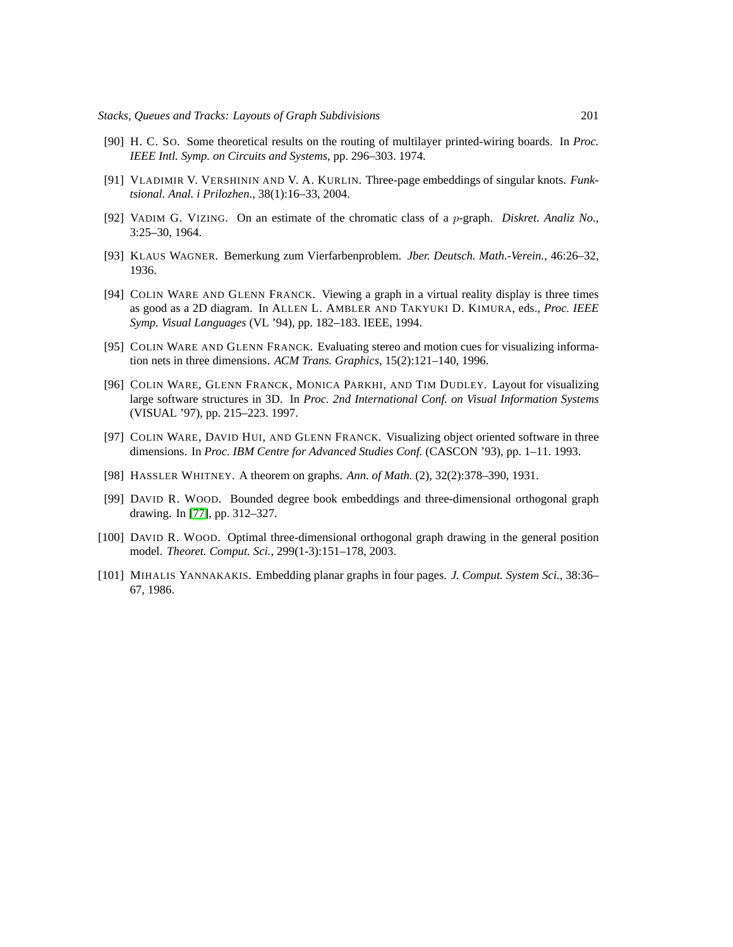- <span id="page-46-6"></span>[90] H. C. SO. Some theoretical results on the routing of multilayer printed-wiring boards. In *Proc. IEEE Intl. Symp. on Circuits and Systems*, pp. 296–303. 1974.
- <span id="page-46-0"></span>[91] VLADIMIR V. VERSHININ AND V. A. KURLIN. Three-page embeddings of singular knots. *Funktsional. Anal. i Prilozhen.*, 38(1):16–33, 2004.
- <span id="page-46-8"></span>[92] VADIM G. VIZING. On an estimate of the chromatic class of a p-graph. *Diskret. Analiz No.*, 3:25–30, 1964.
- <span id="page-46-10"></span>[93] KLAUS WAGNER. Bemerkung zum Vierfarbenproblem. *Jber. Deutsch. Math.-Verein.*, 46:26–32, 1936.
- <span id="page-46-2"></span>[94] COLIN WARE AND GLENN FRANCK. Viewing a graph in a virtual reality display is three times as good as a 2D diagram. In ALLEN L. AMBLER AND TAKYUKI D. KIMURA, eds., *Proc. IEEE Symp. Visual Languages* (VL '94), pp. 182–183. IEEE, 1994.
- <span id="page-46-3"></span>[95] COLIN WARE AND GLENN FRANCK. Evaluating stereo and motion cues for visualizing information nets in three dimensions. *ACM Trans. Graphics*, 15(2):121–140, 1996.
- <span id="page-46-4"></span>[96] COLIN WARE, GLENN FRANCK, MONICA PARKHI, AND TIM DUDLEY. Layout for visualizing large software structures in 3D. In *Proc. 2nd International Conf. on Visual Information Systems* (VISUAL '97), pp. 215–223. 1997.
- <span id="page-46-5"></span>[97] COLIN WARE, DAVID HUI, AND GLENN FRANCK. Visualizing object oriented software in three dimensions. In *Proc. IBM Centre for Advanced Studies Conf.* (CASCON '93), pp. 1–11. 1993.
- <span id="page-46-9"></span>[98] HASSLER WHITNEY. A theorem on graphs. *Ann. of Math.* (2), 32(2):378–390, 1931.
- <span id="page-46-7"></span>[99] DAVID R. WOOD. Bounded degree book embeddings and three-dimensional orthogonal graph drawing. In [\[77\]](#page-45-13), pp. 312–327.
- <span id="page-46-1"></span>[100] DAVID R. WOOD. Optimal three-dimensional orthogonal graph drawing in the general position model. *Theoret. Comput. Sci.*, 299(1-3):151–178, 2003.
- <span id="page-46-11"></span>[101] MIHALIS YANNAKAKIS. Embedding planar graphs in four pages. *J. Comput. System Sci.*, 38:36– 67, 1986.